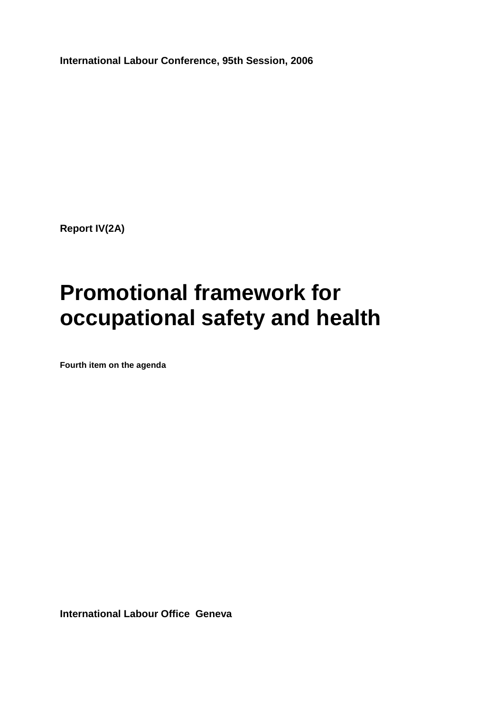**International Labour Conference, 95th Session, 2006** 

**Report IV(2A)** 

# **Promotional framework for occupational safety and health**

**Fourth item on the agenda** 

**International Labour Office Geneva**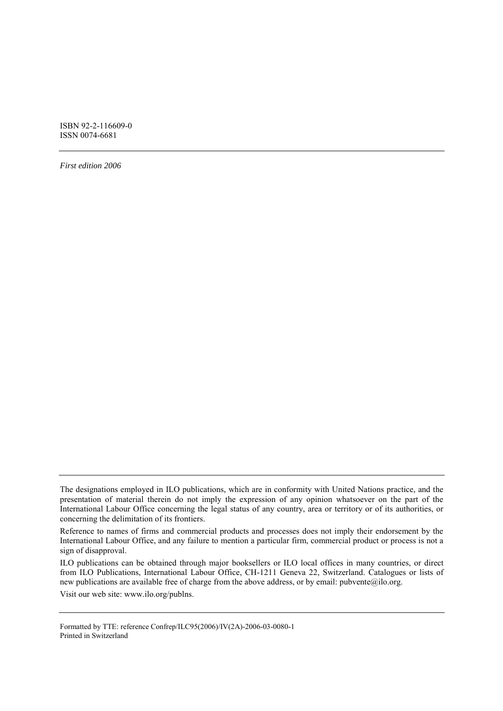ISBN 92-2-116609-0 ISSN 0074-6681

*First edition 2006* 

ILO publications can be obtained through major booksellers or ILO local offices in many countries, or direct from ILO Publications, International Labour Office, CH-1211 Geneva 22, Switzerland. Catalogues or lists of new publications are available free of charge from the above address, or by email: pubvente@ilo.org.

Visit our web site: www.ilo.org/publns.

Formatted by TTE: reference Confrep/ILC95(2006)/IV(2A)-2006-03-0080-1 Printed in Switzerland

The designations employed in ILO publications, which are in conformity with United Nations practice, and the presentation of material therein do not imply the expression of any opinion whatsoever on the part of the International Labour Office concerning the legal status of any country, area or territory or of its authorities, or concerning the delimitation of its frontiers.

Reference to names of firms and commercial products and processes does not imply their endorsement by the International Labour Office, and any failure to mention a particular firm, commercial product or process is not a sign of disapproval.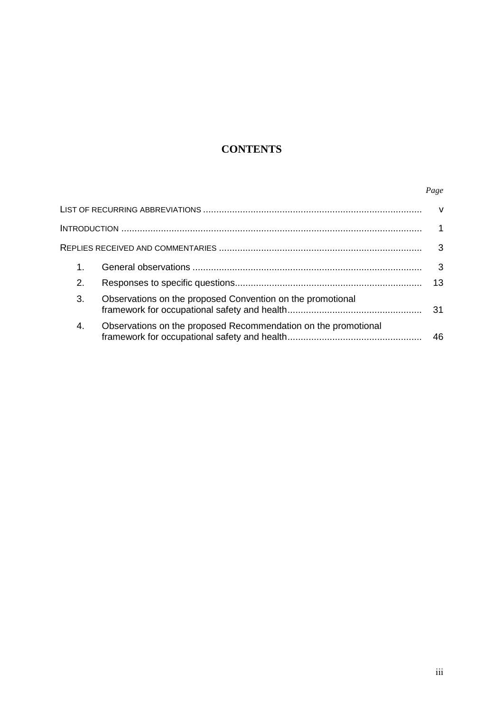# **CONTENTS**

# *Page*

| $1_{-}$ |                                                                | 3   |
|---------|----------------------------------------------------------------|-----|
| 2.      |                                                                | 13  |
| 3.      | Observations on the proposed Convention on the promotional     | -31 |
| 4.      | Observations on the proposed Recommendation on the promotional | 46  |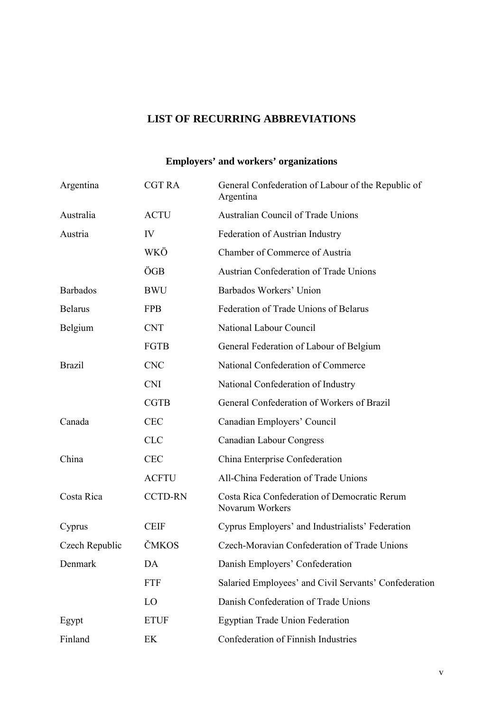# **LIST OF RECURRING ABBREVIATIONS**

# **Employers' and workers' organizations**

| Argentina       | <b>CGT RA</b>  | General Confederation of Labour of the Republic of<br>Argentina |
|-----------------|----------------|-----------------------------------------------------------------|
| Australia       | <b>ACTU</b>    | <b>Australian Council of Trade Unions</b>                       |
| Austria         | IV             | Federation of Austrian Industry                                 |
|                 | WKÖ            | Chamber of Commerce of Austria                                  |
|                 | ÖGB            | <b>Austrian Confederation of Trade Unions</b>                   |
| <b>Barbados</b> | <b>BWU</b>     | Barbados Workers' Union                                         |
| <b>Belarus</b>  | <b>FPB</b>     | Federation of Trade Unions of Belarus                           |
| Belgium         | <b>CNT</b>     | National Labour Council                                         |
|                 | FGTB           | General Federation of Labour of Belgium                         |
| <b>Brazil</b>   | <b>CNC</b>     | National Confederation of Commerce                              |
|                 | <b>CNI</b>     | National Confederation of Industry                              |
|                 | <b>CGTB</b>    | General Confederation of Workers of Brazil                      |
| Canada          | <b>CEC</b>     | Canadian Employers' Council                                     |
|                 | <b>CLC</b>     | <b>Canadian Labour Congress</b>                                 |
| China           | <b>CEC</b>     | China Enterprise Confederation                                  |
|                 | <b>ACFTU</b>   | All-China Federation of Trade Unions                            |
| Costa Rica      | <b>CCTD-RN</b> | Costa Rica Confederation of Democratic Rerum<br>Novarum Workers |
| Cyprus          | <b>CEIF</b>    | Cyprus Employers' and Industrialists' Federation                |
| Czech Republic  | ČMKOS          | Czech-Moravian Confederation of Trade Unions                    |
| Denmark         | DA             | Danish Employers' Confederation                                 |
|                 | <b>FTF</b>     | Salaried Employees' and Civil Servants' Confederation           |
|                 | LO             | Danish Confederation of Trade Unions                            |
| Egypt           | <b>ETUF</b>    | <b>Egyptian Trade Union Federation</b>                          |
| Finland         | EK             | Confederation of Finnish Industries                             |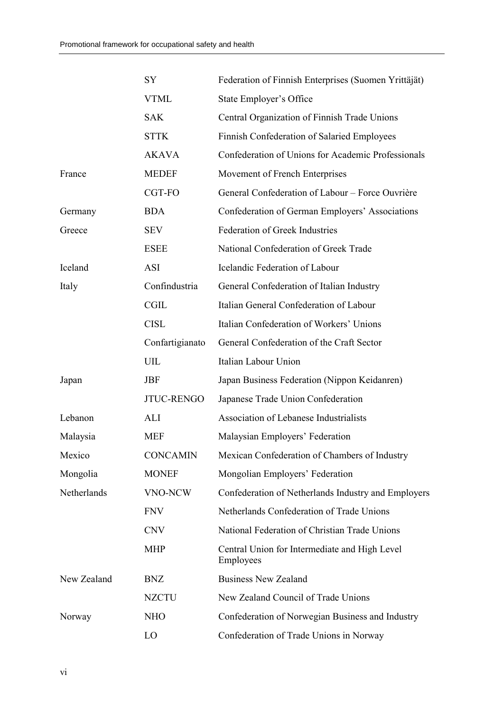|             | SY                | Federation of Finnish Enterprises (Suomen Yrittäjät)       |
|-------------|-------------------|------------------------------------------------------------|
|             | <b>VTML</b>       | State Employer's Office                                    |
|             | <b>SAK</b>        | Central Organization of Finnish Trade Unions               |
|             | <b>STTK</b>       | Finnish Confederation of Salaried Employees                |
|             | <b>AKAVA</b>      | Confederation of Unions for Academic Professionals         |
| France      | <b>MEDEF</b>      | Movement of French Enterprises                             |
|             | CGT-FO            | General Confederation of Labour - Force Ouvrière           |
| Germany     | <b>BDA</b>        | Confederation of German Employers' Associations            |
| Greece      | <b>SEV</b>        | <b>Federation of Greek Industries</b>                      |
|             | <b>ESEE</b>       | National Confederation of Greek Trade                      |
| Iceland     | <b>ASI</b>        | Icelandic Federation of Labour                             |
| Italy       | Confindustria     | General Confederation of Italian Industry                  |
|             | <b>CGIL</b>       | Italian General Confederation of Labour                    |
|             | <b>CISL</b>       | Italian Confederation of Workers' Unions                   |
|             | Confartigianato   | General Confederation of the Craft Sector                  |
|             | UIL               | Italian Labour Union                                       |
| Japan       | <b>JBF</b>        | Japan Business Federation (Nippon Keidanren)               |
|             | <b>JTUC-RENGO</b> | Japanese Trade Union Confederation                         |
| Lebanon     | ALI               | Association of Lebanese Industrialists                     |
| Malaysia    | <b>MEF</b>        | Malaysian Employers' Federation                            |
| Mexico      | <b>CONCAMIN</b>   | Mexican Confederation of Chambers of Industry              |
| Mongolia    | <b>MONEF</b>      | Mongolian Employers' Federation                            |
| Netherlands | VNO-NCW           | Confederation of Netherlands Industry and Employers        |
|             | <b>FNV</b>        | Netherlands Confederation of Trade Unions                  |
|             | <b>CNV</b>        | National Federation of Christian Trade Unions              |
|             | <b>MHP</b>        | Central Union for Intermediate and High Level<br>Employees |
| New Zealand | <b>BNZ</b>        | <b>Business New Zealand</b>                                |
|             | <b>NZCTU</b>      | New Zealand Council of Trade Unions                        |
| Norway      | <b>NHO</b>        | Confederation of Norwegian Business and Industry           |
|             | LO                | Confederation of Trade Unions in Norway                    |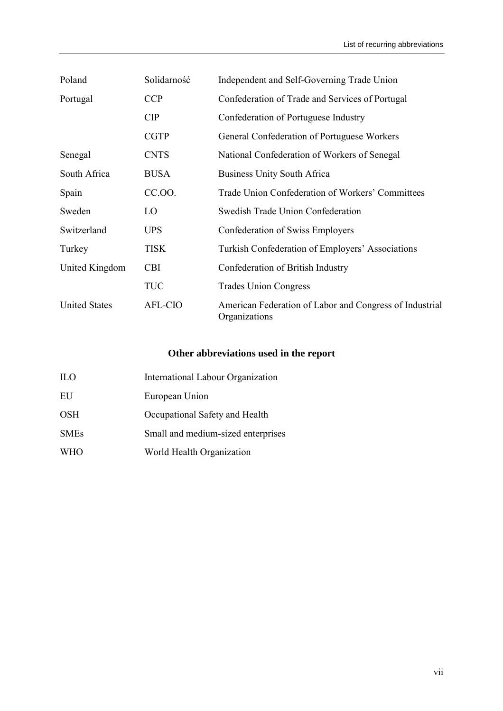| Poland               | Solidarność    | Independent and Self-Governing Trade Union                               |
|----------------------|----------------|--------------------------------------------------------------------------|
| Portugal             | <b>CCP</b>     | Confederation of Trade and Services of Portugal                          |
|                      | <b>CIP</b>     | Confederation of Portuguese Industry                                     |
|                      | <b>CGTP</b>    | General Confederation of Portuguese Workers                              |
| Senegal              | <b>CNTS</b>    | National Confederation of Workers of Senegal                             |
| South Africa         | <b>BUSA</b>    | <b>Business Unity South Africa</b>                                       |
| Spain                | CC.00.         | Trade Union Confederation of Workers' Committees                         |
| Sweden               | LO             | Swedish Trade Union Confederation                                        |
| Switzerland          | <b>UPS</b>     | Confederation of Swiss Employers                                         |
| Turkey               | TISK           | Turkish Confederation of Employers' Associations                         |
| United Kingdom       | <b>CBI</b>     | Confederation of British Industry                                        |
|                      | <b>TUC</b>     | <b>Trades Union Congress</b>                                             |
| <b>United States</b> | <b>AFL-CIO</b> | American Federation of Labor and Congress of Industrial<br>Organizations |

# **Other abbreviations used in the report**

| <b>ILO</b>  | International Labour Organization  |
|-------------|------------------------------------|
| EU          | European Union                     |
| <b>OSH</b>  | Occupational Safety and Health     |
| <b>SMEs</b> | Small and medium-sized enterprises |
| <b>WHO</b>  | World Health Organization          |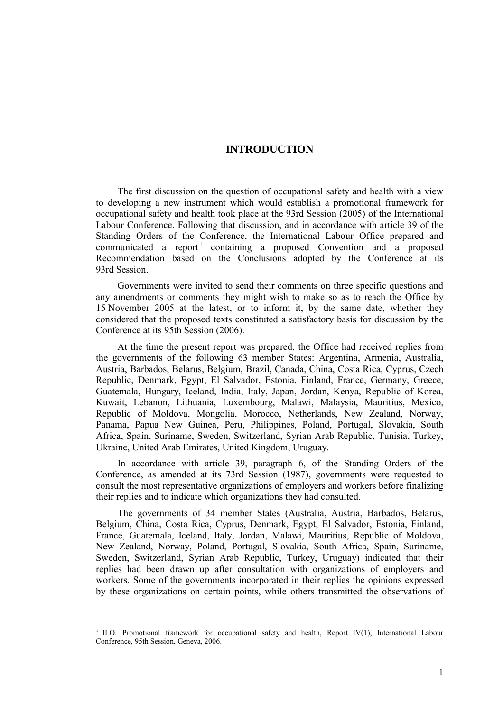# **INTRODUCTION**

The first discussion on the question of occupational safety and health with a view to developing a new instrument which would establish a promotional framework for occupational safety and health took place at the 93rd Session (2005) of the International Labour Conference. Following that discussion, and in accordance with article 39 of the Standing Orders of the Conference, the International Labour Office prepared and communicated a report<sup>1</sup> containing a proposed Convention and a proposed Recommendation based on the Conclusions adopted by the Conference at its 93rd Session.

Governments were invited to send their comments on three specific questions and any amendments or comments they might wish to make so as to reach the Office by 15 November 2005 at the latest, or to inform it, by the same date, whether they considered that the proposed texts constituted a satisfactory basis for discussion by the Conference at its 95th Session (2006).

At the time the present report was prepared, the Office had received replies from the governments of the following 63 member States: Argentina, Armenia, Australia, Austria, Barbados, Belarus, Belgium, Brazil, Canada, China, Costa Rica, Cyprus, Czech Republic, Denmark, Egypt, El Salvador, Estonia, Finland, France, Germany, Greece, Guatemala, Hungary, Iceland, India, Italy, Japan, Jordan, Kenya, Republic of Korea, Kuwait, Lebanon, Lithuania, Luxembourg, Malawi, Malaysia, Mauritius, Mexico, Republic of Moldova, Mongolia, Morocco, Netherlands, New Zealand, Norway, Panama, Papua New Guinea, Peru, Philippines, Poland, Portugal, Slovakia, South Africa, Spain, Suriname, Sweden, Switzerland, Syrian Arab Republic, Tunisia, Turkey, Ukraine, United Arab Emirates, United Kingdom, Uruguay.

In accordance with article 39, paragraph 6, of the Standing Orders of the Conference, as amended at its 73rd Session (1987), governments were requested to consult the most representative organizations of employers and workers before finalizing their replies and to indicate which organizations they had consulted.

The governments of 34 member States (Australia, Austria, Barbados, Belarus, Belgium, China, Costa Rica, Cyprus, Denmark, Egypt, El Salvador, Estonia, Finland, France, Guatemala, Iceland, Italy, Jordan, Malawi, Mauritius, Republic of Moldova, New Zealand, Norway, Poland, Portugal, Slovakia, South Africa, Spain, Suriname, Sweden, Switzerland, Syrian Arab Republic, Turkey, Uruguay) indicated that their replies had been drawn up after consultation with organizations of employers and workers. Some of the governments incorporated in their replies the opinions expressed by these organizations on certain points, while others transmitted the observations of

 $\overline{a}$ 

<sup>1</sup> ILO: Promotional framework for occupational safety and health, Report IV(1), International Labour Conference, 95th Session, Geneva, 2006.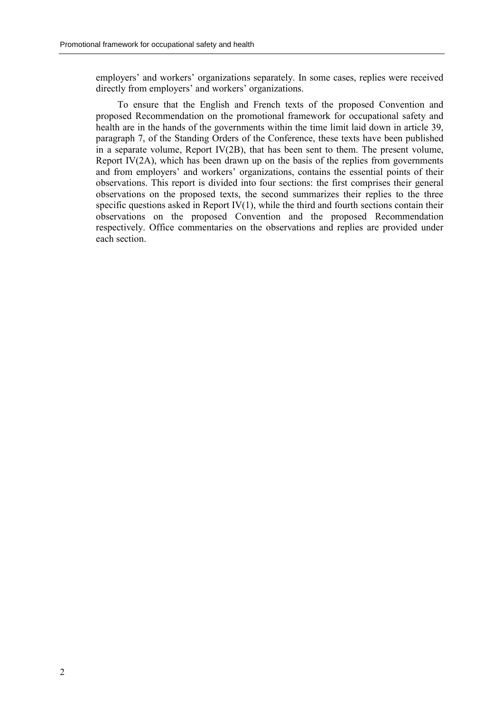employers' and workers' organizations separately. In some cases, replies were received directly from employers' and workers' organizations.

To ensure that the English and French texts of the proposed Convention and proposed Recommendation on the promotional framework for occupational safety and health are in the hands of the governments within the time limit laid down in article 39, paragraph 7, of the Standing Orders of the Conference, these texts have been published in a separate volume, Report IV(2B), that has been sent to them. The present volume, Report IV( $2A$ ), which has been drawn up on the basis of the replies from governments and from employers' and workers' organizations, contains the essential points of their observations. This report is divided into four sections: the first comprises their general observations on the proposed texts, the second summarizes their replies to the three specific questions asked in Report IV $(1)$ , while the third and fourth sections contain their observations on the proposed Convention and the proposed Recommendation respectively. Office commentaries on the observations and replies are provided under each section.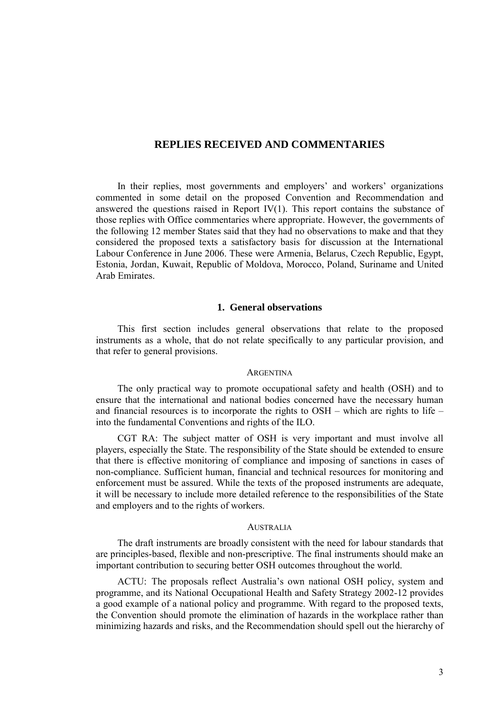# **REPLIES RECEIVED AND COMMENTARIES**

In their replies, most governments and employers' and workers' organizations commented in some detail on the proposed Convention and Recommendation and answered the questions raised in Report IV(1). This report contains the substance of those replies with Office commentaries where appropriate. However, the governments of the following 12 member States said that they had no observations to make and that they considered the proposed texts a satisfactory basis for discussion at the International Labour Conference in June 2006. These were Armenia, Belarus, Czech Republic, Egypt, Estonia, Jordan, Kuwait, Republic of Moldova, Morocco, Poland, Suriname and United Arab Emirates.

# **1. General observations**

This first section includes general observations that relate to the proposed instruments as a whole, that do not relate specifically to any particular provision, and that refer to general provisions.

#### **ARGENTINA**

The only practical way to promote occupational safety and health (OSH) and to ensure that the international and national bodies concerned have the necessary human and financial resources is to incorporate the rights to OSH  $-$  which are rights to life  $$ into the fundamental Conventions and rights of the ILO.

CGT RA: The subject matter of OSH is very important and must involve all players, especially the State. The responsibility of the State should be extended to ensure that there is effective monitoring of compliance and imposing of sanctions in cases of non-compliance. Sufficient human, financial and technical resources for monitoring and enforcement must be assured. While the texts of the proposed instruments are adequate, it will be necessary to include more detailed reference to the responsibilities of the State and employers and to the rights of workers.

#### **AUSTRALIA**

The draft instruments are broadly consistent with the need for labour standards that are principles-based, flexible and non-prescriptive. The final instruments should make an important contribution to securing better OSH outcomes throughout the world.

ACTU: The proposals reflect Australiaís own national OSH policy, system and programme, and its National Occupational Health and Safety Strategy 2002-12 provides a good example of a national policy and programme. With regard to the proposed texts, the Convention should promote the elimination of hazards in the workplace rather than minimizing hazards and risks, and the Recommendation should spell out the hierarchy of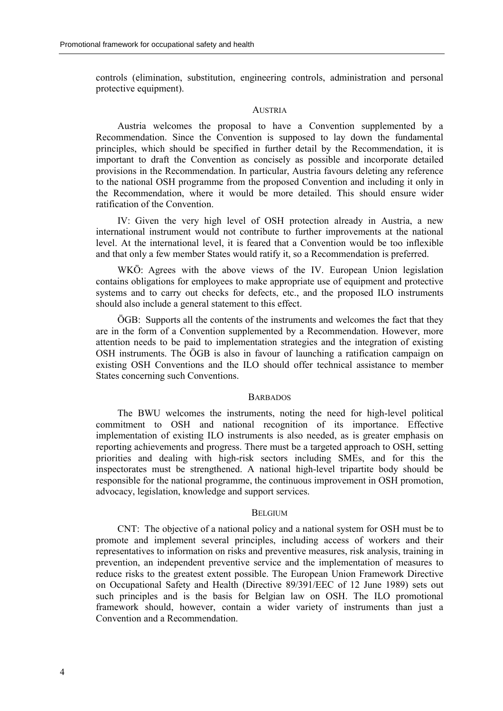controls (elimination, substitution, engineering controls, administration and personal protective equipment).

# AUSTRIA

Austria welcomes the proposal to have a Convention supplemented by a Recommendation. Since the Convention is supposed to lay down the fundamental principles, which should be specified in further detail by the Recommendation, it is important to draft the Convention as concisely as possible and incorporate detailed provisions in the Recommendation. In particular, Austria favours deleting any reference to the national OSH programme from the proposed Convention and including it only in the Recommendation, where it would be more detailed. This should ensure wider ratification of the Convention.

IV: Given the very high level of OSH protection already in Austria, a new international instrument would not contribute to further improvements at the national level. At the international level, it is feared that a Convention would be too inflexible and that only a few member States would ratify it, so a Recommendation is preferred.

WKÖ: Agrees with the above views of the IV. European Union legislation contains obligations for employees to make appropriate use of equipment and protective systems and to carry out checks for defects, etc., and the proposed ILO instruments should also include a general statement to this effect.

÷GB: Supports all the contents of the instruments and welcomes the fact that they are in the form of a Convention supplemented by a Recommendation. However, more attention needs to be paid to implementation strategies and the integration of existing OSH instruments. The ÖGB is also in favour of launching a ratification campaign on existing OSH Conventions and the ILO should offer technical assistance to member States concerning such Conventions.

#### **BARBADOS**

The BWU welcomes the instruments, noting the need for high-level political commitment to OSH and national recognition of its importance. Effective implementation of existing ILO instruments is also needed, as is greater emphasis on reporting achievements and progress. There must be a targeted approach to OSH, setting priorities and dealing with high-risk sectors including SMEs, and for this the inspectorates must be strengthened. A national high-level tripartite body should be responsible for the national programme, the continuous improvement in OSH promotion, advocacy, legislation, knowledge and support services.

# **BELGIUM**

CNT: The objective of a national policy and a national system for OSH must be to promote and implement several principles, including access of workers and their representatives to information on risks and preventive measures, risk analysis, training in prevention, an independent preventive service and the implementation of measures to reduce risks to the greatest extent possible. The European Union Framework Directive on Occupational Safety and Health (Directive 89/391/EEC of 12 June 1989) sets out such principles and is the basis for Belgian law on OSH. The ILO promotional framework should, however, contain a wider variety of instruments than just a Convention and a Recommendation.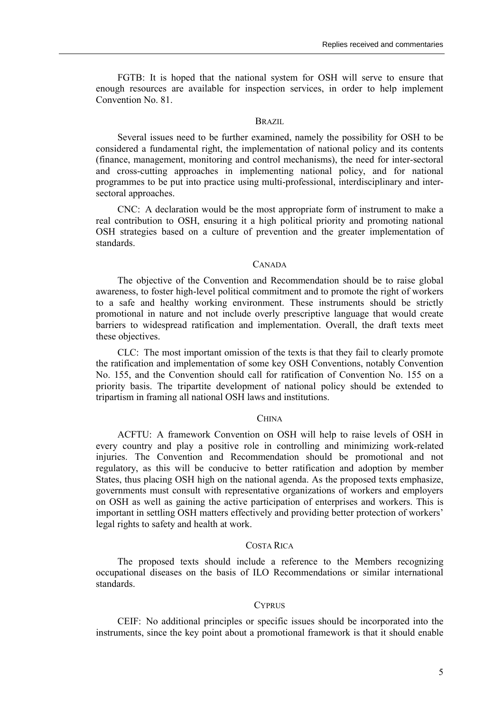FGTB: It is hoped that the national system for OSH will serve to ensure that enough resources are available for inspection services, in order to help implement Convention No. 81.

#### BRAZIL

Several issues need to be further examined, namely the possibility for OSH to be considered a fundamental right, the implementation of national policy and its contents (finance, management, monitoring and control mechanisms), the need for inter-sectoral and cross-cutting approaches in implementing national policy, and for national programmes to be put into practice using multi-professional, interdisciplinary and intersectoral approaches.

CNC: A declaration would be the most appropriate form of instrument to make a real contribution to OSH, ensuring it a high political priority and promoting national OSH strategies based on a culture of prevention and the greater implementation of standards.

# CANADA

The objective of the Convention and Recommendation should be to raise global awareness, to foster high-level political commitment and to promote the right of workers to a safe and healthy working environment. These instruments should be strictly promotional in nature and not include overly prescriptive language that would create barriers to widespread ratification and implementation. Overall, the draft texts meet these objectives.

CLC: The most important omission of the texts is that they fail to clearly promote the ratification and implementation of some key OSH Conventions, notably Convention No. 155, and the Convention should call for ratification of Convention No. 155 on a priority basis. The tripartite development of national policy should be extended to tripartism in framing all national OSH laws and institutions.

#### **CHINA**

ACFTU: A framework Convention on OSH will help to raise levels of OSH in every country and play a positive role in controlling and minimizing work-related injuries. The Convention and Recommendation should be promotional and not regulatory, as this will be conducive to better ratification and adoption by member States, thus placing OSH high on the national agenda. As the proposed texts emphasize, governments must consult with representative organizations of workers and employers on OSH as well as gaining the active participation of enterprises and workers. This is important in settling OSH matters effectively and providing better protection of workers' legal rights to safety and health at work.

#### COSTA RICA

The proposed texts should include a reference to the Members recognizing occupational diseases on the basis of ILO Recommendations or similar international standards.

#### **CYPRUS**

CEIF: No additional principles or specific issues should be incorporated into the instruments, since the key point about a promotional framework is that it should enable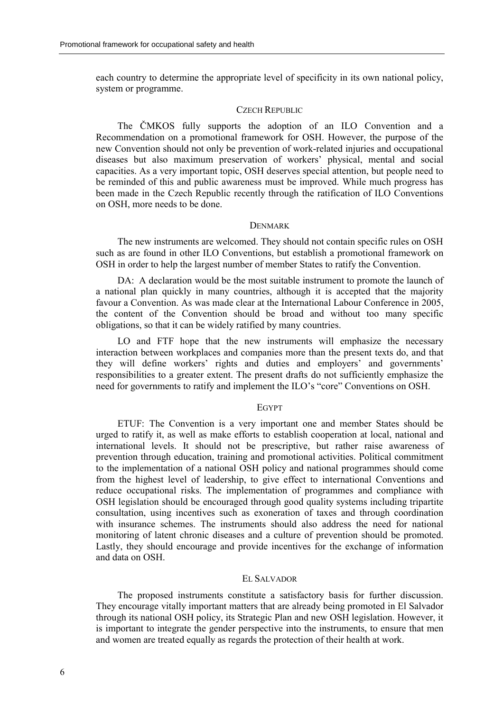each country to determine the appropriate level of specificity in its own national policy, system or programme.

#### CZECH REPUBLIC

The ČMKOS fully supports the adoption of an ILO Convention and a Recommendation on a promotional framework for OSH. However, the purpose of the new Convention should not only be prevention of work-related injuries and occupational diseases but also maximum preservation of workers' physical, mental and social capacities. As a very important topic, OSH deserves special attention, but people need to be reminded of this and public awareness must be improved. While much progress has been made in the Czech Republic recently through the ratification of ILO Conventions on OSH, more needs to be done.

#### **DENMARK**

The new instruments are welcomed. They should not contain specific rules on OSH such as are found in other ILO Conventions, but establish a promotional framework on OSH in order to help the largest number of member States to ratify the Convention.

DA: A declaration would be the most suitable instrument to promote the launch of a national plan quickly in many countries, although it is accepted that the majority favour a Convention. As was made clear at the International Labour Conference in 2005, the content of the Convention should be broad and without too many specific obligations, so that it can be widely ratified by many countries.

LO and FTF hope that the new instruments will emphasize the necessary interaction between workplaces and companies more than the present texts do, and that they will define workers' rights and duties and employers' and governments' responsibilities to a greater extent. The present drafts do not sufficiently emphasize the need for governments to ratify and implement the ILO's "core" Conventions on OSH.

#### **EGYPT**

ETUF: The Convention is a very important one and member States should be urged to ratify it, as well as make efforts to establish cooperation at local, national and international levels. It should not be prescriptive, but rather raise awareness of prevention through education, training and promotional activities. Political commitment to the implementation of a national OSH policy and national programmes should come from the highest level of leadership, to give effect to international Conventions and reduce occupational risks. The implementation of programmes and compliance with OSH legislation should be encouraged through good quality systems including tripartite consultation, using incentives such as exoneration of taxes and through coordination with insurance schemes. The instruments should also address the need for national monitoring of latent chronic diseases and a culture of prevention should be promoted. Lastly, they should encourage and provide incentives for the exchange of information and data on OSH.

# EL SALVADOR

The proposed instruments constitute a satisfactory basis for further discussion. They encourage vitally important matters that are already being promoted in El Salvador through its national OSH policy, its Strategic Plan and new OSH legislation. However, it is important to integrate the gender perspective into the instruments, to ensure that men and women are treated equally as regards the protection of their health at work.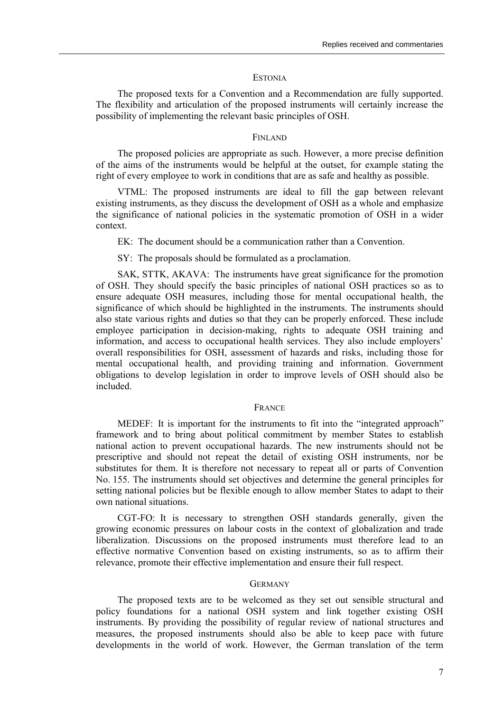#### **ESTONIA**

The proposed texts for a Convention and a Recommendation are fully supported. The flexibility and articulation of the proposed instruments will certainly increase the possibility of implementing the relevant basic principles of OSH.

#### **FINLAND**

The proposed policies are appropriate as such. However, a more precise definition of the aims of the instruments would be helpful at the outset, for example stating the right of every employee to work in conditions that are as safe and healthy as possible.

VTML: The proposed instruments are ideal to fill the gap between relevant existing instruments, as they discuss the development of OSH as a whole and emphasize the significance of national policies in the systematic promotion of OSH in a wider context.

EK: The document should be a communication rather than a Convention.

SY: The proposals should be formulated as a proclamation.

SAK, STTK, AKAVA: The instruments have great significance for the promotion of OSH. They should specify the basic principles of national OSH practices so as to ensure adequate OSH measures, including those for mental occupational health, the significance of which should be highlighted in the instruments. The instruments should also state various rights and duties so that they can be properly enforced. These include employee participation in decision-making, rights to adequate OSH training and information, and access to occupational health services. They also include employers' overall responsibilities for OSH, assessment of hazards and risks, including those for mental occupational health, and providing training and information. Government obligations to develop legislation in order to improve levels of OSH should also be included.

#### FRANCE

MEDEF: It is important for the instruments to fit into the "integrated approach" framework and to bring about political commitment by member States to establish national action to prevent occupational hazards. The new instruments should not be prescriptive and should not repeat the detail of existing OSH instruments, nor be substitutes for them. It is therefore not necessary to repeat all or parts of Convention No. 155. The instruments should set objectives and determine the general principles for setting national policies but be flexible enough to allow member States to adapt to their own national situations.

CGT-FO: It is necessary to strengthen OSH standards generally, given the growing economic pressures on labour costs in the context of globalization and trade liberalization. Discussions on the proposed instruments must therefore lead to an effective normative Convention based on existing instruments, so as to affirm their relevance, promote their effective implementation and ensure their full respect.

#### **GERMANY**

The proposed texts are to be welcomed as they set out sensible structural and policy foundations for a national OSH system and link together existing OSH instruments. By providing the possibility of regular review of national structures and measures, the proposed instruments should also be able to keep pace with future developments in the world of work. However, the German translation of the term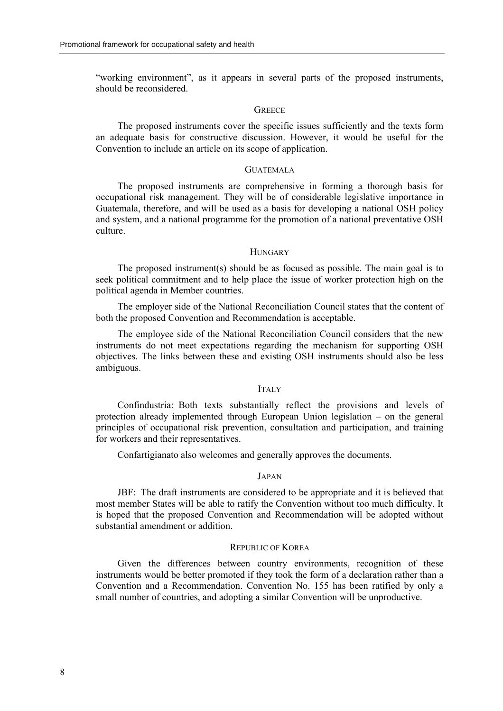"working environment", as it appears in several parts of the proposed instruments, should be reconsidered.

## **GREECE**

The proposed instruments cover the specific issues sufficiently and the texts form an adequate basis for constructive discussion. However, it would be useful for the Convention to include an article on its scope of application.

# **GUATEMALA**

The proposed instruments are comprehensive in forming a thorough basis for occupational risk management. They will be of considerable legislative importance in Guatemala, therefore, and will be used as a basis for developing a national OSH policy and system, and a national programme for the promotion of a national preventative OSH culture.

#### **HUNGARY**

The proposed instrument(s) should be as focused as possible. The main goal is to seek political commitment and to help place the issue of worker protection high on the political agenda in Member countries.

The employer side of the National Reconciliation Council states that the content of both the proposed Convention and Recommendation is acceptable.

The employee side of the National Reconciliation Council considers that the new instruments do not meet expectations regarding the mechanism for supporting OSH objectives. The links between these and existing OSH instruments should also be less ambiguous.

#### **ITALY**

Confindustria: Both texts substantially reflect the provisions and levels of protection already implemented through European Union legislation  $-$  on the general principles of occupational risk prevention, consultation and participation, and training for workers and their representatives.

Confartigianato also welcomes and generally approves the documents.

#### JAPAN

JBF: The draft instruments are considered to be appropriate and it is believed that most member States will be able to ratify the Convention without too much difficulty. It is hoped that the proposed Convention and Recommendation will be adopted without substantial amendment or addition.

#### REPUBLIC OF KOREA

Given the differences between country environments, recognition of these instruments would be better promoted if they took the form of a declaration rather than a Convention and a Recommendation. Convention No. 155 has been ratified by only a small number of countries, and adopting a similar Convention will be unproductive.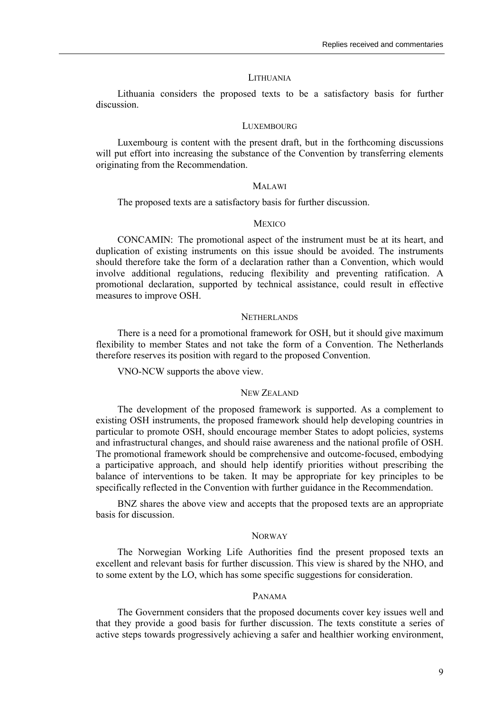#### LITHUANIA

Lithuania considers the proposed texts to be a satisfactory basis for further discussion.

#### **LUXEMBOURG**

Luxembourg is content with the present draft, but in the forthcoming discussions will put effort into increasing the substance of the Convention by transferring elements originating from the Recommendation.

#### MALAWI

The proposed texts are a satisfactory basis for further discussion.

# **MEXICO**

CONCAMIN: The promotional aspect of the instrument must be at its heart, and duplication of existing instruments on this issue should be avoided. The instruments should therefore take the form of a declaration rather than a Convention, which would involve additional regulations, reducing flexibility and preventing ratification. A promotional declaration, supported by technical assistance, could result in effective measures to improve OSH.

#### **NETHERLANDS**

There is a need for a promotional framework for OSH, but it should give maximum flexibility to member States and not take the form of a Convention. The Netherlands therefore reserves its position with regard to the proposed Convention.

VNO-NCW supports the above view.

# NEW ZEALAND

The development of the proposed framework is supported. As a complement to existing OSH instruments, the proposed framework should help developing countries in particular to promote OSH, should encourage member States to adopt policies, systems and infrastructural changes, and should raise awareness and the national profile of OSH. The promotional framework should be comprehensive and outcome-focused, embodying a participative approach, and should help identify priorities without prescribing the balance of interventions to be taken. It may be appropriate for key principles to be specifically reflected in the Convention with further guidance in the Recommendation.

BNZ shares the above view and accepts that the proposed texts are an appropriate basis for discussion.

# **NORWAY**

The Norwegian Working Life Authorities find the present proposed texts an excellent and relevant basis for further discussion. This view is shared by the NHO, and to some extent by the LO, which has some specific suggestions for consideration.

# PANAMA

The Government considers that the proposed documents cover key issues well and that they provide a good basis for further discussion. The texts constitute a series of active steps towards progressively achieving a safer and healthier working environment,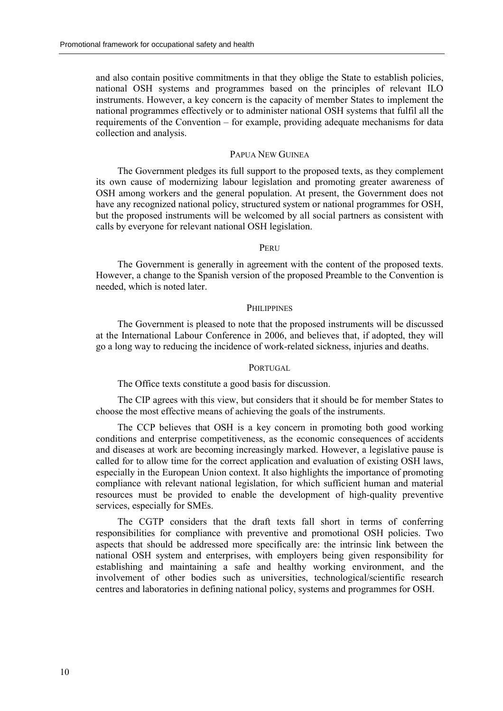and also contain positive commitments in that they oblige the State to establish policies, national OSH systems and programmes based on the principles of relevant ILO instruments. However, a key concern is the capacity of member States to implement the national programmes effectively or to administer national OSH systems that fulfil all the requirements of the Convention  $-$  for example, providing adequate mechanisms for data collection and analysis.

# PAPUA NEW GUINEA

The Government pledges its full support to the proposed texts, as they complement its own cause of modernizing labour legislation and promoting greater awareness of OSH among workers and the general population. At present, the Government does not have any recognized national policy, structured system or national programmes for OSH, but the proposed instruments will be welcomed by all social partners as consistent with calls by everyone for relevant national OSH legislation.

#### PERU

The Government is generally in agreement with the content of the proposed texts. However, a change to the Spanish version of the proposed Preamble to the Convention is needed, which is noted later.

#### **PHILIPPINES**

The Government is pleased to note that the proposed instruments will be discussed at the International Labour Conference in 2006, and believes that, if adopted, they will go a long way to reducing the incidence of work-related sickness, injuries and deaths.

# PORTUGAL.

The Office texts constitute a good basis for discussion.

The CIP agrees with this view, but considers that it should be for member States to choose the most effective means of achieving the goals of the instruments.

The CCP believes that OSH is a key concern in promoting both good working conditions and enterprise competitiveness, as the economic consequences of accidents and diseases at work are becoming increasingly marked. However, a legislative pause is called for to allow time for the correct application and evaluation of existing OSH laws, especially in the European Union context. It also highlights the importance of promoting compliance with relevant national legislation, for which sufficient human and material resources must be provided to enable the development of high-quality preventive services, especially for SMEs.

The CGTP considers that the draft texts fall short in terms of conferring responsibilities for compliance with preventive and promotional OSH policies. Two aspects that should be addressed more specifically are: the intrinsic link between the national OSH system and enterprises, with employers being given responsibility for establishing and maintaining a safe and healthy working environment, and the involvement of other bodies such as universities, technological/scientific research centres and laboratories in defining national policy, systems and programmes for OSH.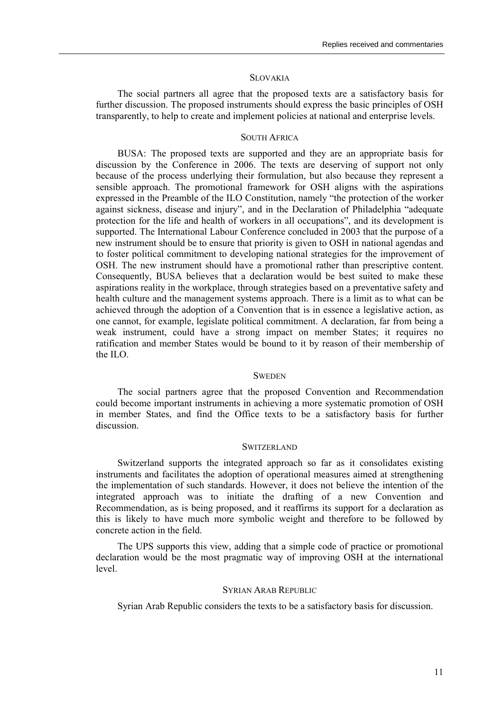#### **SLOVAKIA**

The social partners all agree that the proposed texts are a satisfactory basis for further discussion. The proposed instruments should express the basic principles of OSH transparently, to help to create and implement policies at national and enterprise levels.

# SOUTH AFRICA

BUSA: The proposed texts are supported and they are an appropriate basis for discussion by the Conference in 2006. The texts are deserving of support not only because of the process underlying their formulation, but also because they represent a sensible approach. The promotional framework for OSH aligns with the aspirations expressed in the Preamble of the ILO Constitution, namely "the protection of the worker against sickness, disease and injury", and in the Declaration of Philadelphia "adequate protection for the life and health of workers in all occupations", and its development is supported. The International Labour Conference concluded in 2003 that the purpose of a new instrument should be to ensure that priority is given to OSH in national agendas and to foster political commitment to developing national strategies for the improvement of OSH. The new instrument should have a promotional rather than prescriptive content. Consequently, BUSA believes that a declaration would be best suited to make these aspirations reality in the workplace, through strategies based on a preventative safety and health culture and the management systems approach. There is a limit as to what can be achieved through the adoption of a Convention that is in essence a legislative action, as one cannot, for example, legislate political commitment. A declaration, far from being a weak instrument, could have a strong impact on member States; it requires no ratification and member States would be bound to it by reason of their membership of the ILO.

#### **SWEDEN**

The social partners agree that the proposed Convention and Recommendation could become important instruments in achieving a more systematic promotion of OSH in member States, and find the Office texts to be a satisfactory basis for further discussion.

#### **SWITZERLAND**

Switzerland supports the integrated approach so far as it consolidates existing instruments and facilitates the adoption of operational measures aimed at strengthening the implementation of such standards. However, it does not believe the intention of the integrated approach was to initiate the drafting of a new Convention and Recommendation, as is being proposed, and it reaffirms its support for a declaration as this is likely to have much more symbolic weight and therefore to be followed by concrete action in the field.

The UPS supports this view, adding that a simple code of practice or promotional declaration would be the most pragmatic way of improving OSH at the international level.

#### SYRIAN ARAB REPUBLIC

Syrian Arab Republic considers the texts to be a satisfactory basis for discussion.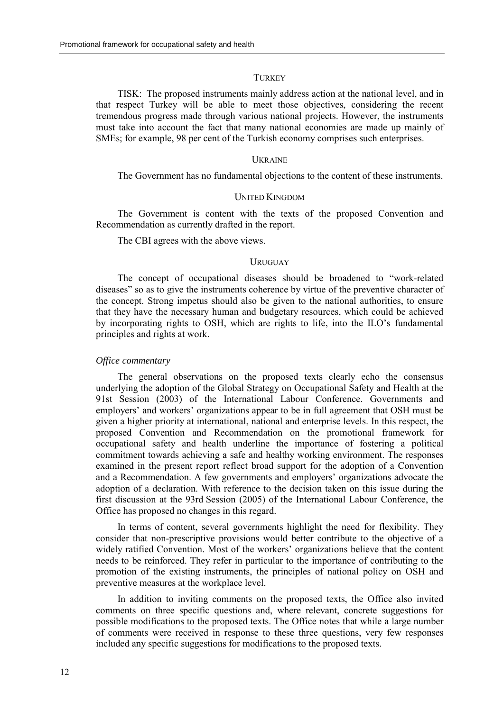#### **TURKEY**

TISK: The proposed instruments mainly address action at the national level, and in that respect Turkey will be able to meet those objectives, considering the recent tremendous progress made through various national projects. However, the instruments must take into account the fact that many national economies are made up mainly of SMEs; for example, 98 per cent of the Turkish economy comprises such enterprises.

#### **UKRAINE**

The Government has no fundamental objections to the content of these instruments.

#### UNITED KINGDOM

The Government is content with the texts of the proposed Convention and Recommendation as currently drafted in the report.

The CBI agrees with the above views.

# URUGUAY

The concept of occupational diseases should be broadened to "work-related" diseases<sup>"</sup> so as to give the instruments coherence by virtue of the preventive character of the concept. Strong impetus should also be given to the national authorities, to ensure that they have the necessary human and budgetary resources, which could be achieved by incorporating rights to OSH, which are rights to life, into the ILO's fundamental principles and rights at work.

#### *Office commentary*

The general observations on the proposed texts clearly echo the consensus underlying the adoption of the Global Strategy on Occupational Safety and Health at the 91st Session (2003) of the International Labour Conference. Governments and employers' and workers' organizations appear to be in full agreement that OSH must be given a higher priority at international, national and enterprise levels. In this respect, the proposed Convention and Recommendation on the promotional framework for occupational safety and health underline the importance of fostering a political commitment towards achieving a safe and healthy working environment. The responses examined in the present report reflect broad support for the adoption of a Convention and a Recommendation. A few governments and employers' organizations advocate the adoption of a declaration. With reference to the decision taken on this issue during the first discussion at the 93rd Session (2005) of the International Labour Conference, the Office has proposed no changes in this regard.

In terms of content, several governments highlight the need for flexibility. They consider that non-prescriptive provisions would better contribute to the objective of a widely ratified Convention. Most of the workers' organizations believe that the content needs to be reinforced. They refer in particular to the importance of contributing to the promotion of the existing instruments, the principles of national policy on OSH and preventive measures at the workplace level.

In addition to inviting comments on the proposed texts, the Office also invited comments on three specific questions and, where relevant, concrete suggestions for possible modifications to the proposed texts. The Office notes that while a large number of comments were received in response to these three questions, very few responses included any specific suggestions for modifications to the proposed texts.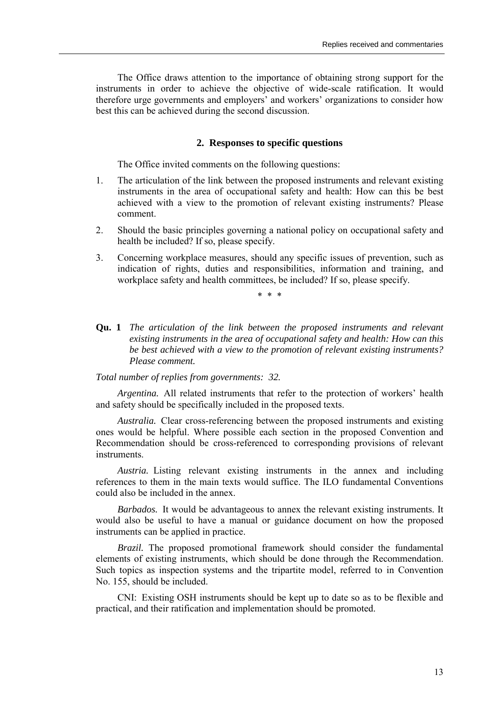The Office draws attention to the importance of obtaining strong support for the instruments in order to achieve the objective of wide-scale ratification. It would therefore urge governments and employers' and workers' organizations to consider how best this can be achieved during the second discussion.

# **2. Responses to specific questions**

The Office invited comments on the following questions:

- 1. The articulation of the link between the proposed instruments and relevant existing instruments in the area of occupational safety and health: How can this be best achieved with a view to the promotion of relevant existing instruments? Please comment.
- 2. Should the basic principles governing a national policy on occupational safety and health be included? If so, please specify.
- 3. Concerning workplace measures, should any specific issues of prevention, such as indication of rights, duties and responsibilities, information and training, and workplace safety and health committees, be included? If so, please specify.

\* \* \*

**Qu. 1** *The articulation of the link between the proposed instruments and relevant existing instruments in the area of occupational safety and health: How can this be best achieved with a view to the promotion of relevant existing instruments? Please comment.*

# *Total number of replies from governments: 32.*

*Argentina.* All related instruments that refer to the protection of workers' health and safety should be specifically included in the proposed texts.

*Australia.* Clear cross-referencing between the proposed instruments and existing ones would be helpful. Where possible each section in the proposed Convention and Recommendation should be cross-referenced to corresponding provisions of relevant instruments.

*Austria.* Listing relevant existing instruments in the annex and including references to them in the main texts would suffice. The ILO fundamental Conventions could also be included in the annex.

*Barbados.* It would be advantageous to annex the relevant existing instruments. It would also be useful to have a manual or guidance document on how the proposed instruments can be applied in practice.

*Brazil.* The proposed promotional framework should consider the fundamental elements of existing instruments, which should be done through the Recommendation. Such topics as inspection systems and the tripartite model, referred to in Convention No. 155, should be included.

CNI: Existing OSH instruments should be kept up to date so as to be flexible and practical, and their ratification and implementation should be promoted.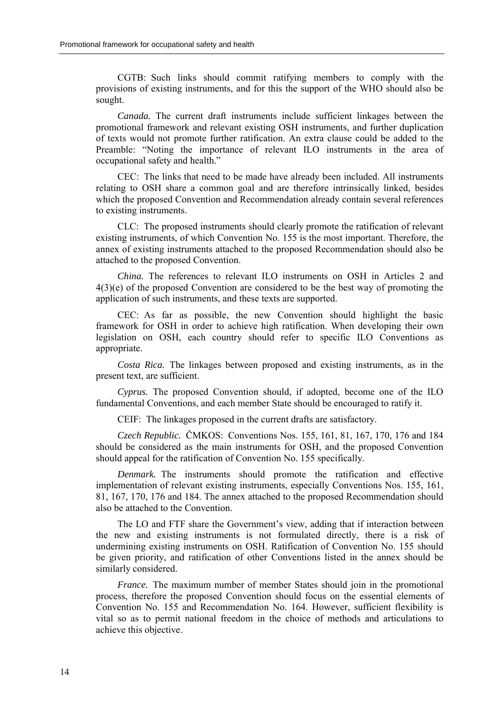CGTB: Such links should commit ratifying members to comply with the provisions of existing instruments, and for this the support of the WHO should also be sought.

*Canada.* The current draft instruments include sufficient linkages between the promotional framework and relevant existing OSH instruments, and further duplication of texts would not promote further ratification. An extra clause could be added to the Preamble: "Noting the importance of relevant ILO instruments in the area of occupational safety and health."

CEC: The links that need to be made have already been included. All instruments relating to OSH share a common goal and are therefore intrinsically linked, besides which the proposed Convention and Recommendation already contain several references to existing instruments.

CLC: The proposed instruments should clearly promote the ratification of relevant existing instruments, of which Convention No. 155 is the most important. Therefore, the annex of existing instruments attached to the proposed Recommendation should also be attached to the proposed Convention.

*China.* The references to relevant ILO instruments on OSH in Articles 2 and 4(3)(e) of the proposed Convention are considered to be the best way of promoting the application of such instruments, and these texts are supported.

CEC: As far as possible, the new Convention should highlight the basic framework for OSH in order to achieve high ratification. When developing their own legislation on OSH, each country should refer to specific ILO Conventions as appropriate.

*Costa Rica.* The linkages between proposed and existing instruments, as in the present text, are sufficient.

*Cyprus.* The proposed Convention should, if adopted, become one of the ILO fundamental Conventions, and each member State should be encouraged to ratify it.

CEIF: The linkages proposed in the current drafts are satisfactory.

*Czech Republic.* ČMKOS: Conventions Nos. 155, 161, 81, 167, 170, 176 and 184 should be considered as the main instruments for OSH, and the proposed Convention should appeal for the ratification of Convention No. 155 specifically.

*Denmark.* The instruments should promote the ratification and effective implementation of relevant existing instruments, especially Conventions Nos. 155, 161, 81, 167, 170, 176 and 184. The annex attached to the proposed Recommendation should also be attached to the Convention.

The LO and FTF share the Government's view, adding that if interaction between the new and existing instruments is not formulated directly, there is a risk of undermining existing instruments on OSH. Ratification of Convention No. 155 should be given priority, and ratification of other Conventions listed in the annex should be similarly considered.

*France.* The maximum number of member States should join in the promotional process, therefore the proposed Convention should focus on the essential elements of Convention No. 155 and Recommendation No. 164. However, sufficient flexibility is vital so as to permit national freedom in the choice of methods and articulations to achieve this objective.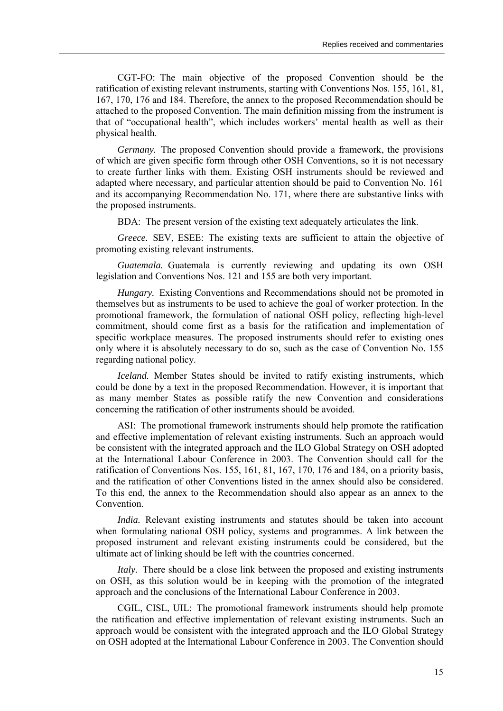CGT-FO: The main objective of the proposed Convention should be the ratification of existing relevant instruments, starting with Conventions Nos. 155, 161, 81, 167, 170, 176 and 184. Therefore, the annex to the proposed Recommendation should be attached to the proposed Convention. The main definition missing from the instrument is that of "occupational health", which includes workers' mental health as well as their physical health.

*Germany.* The proposed Convention should provide a framework, the provisions of which are given specific form through other OSH Conventions, so it is not necessary to create further links with them. Existing OSH instruments should be reviewed and adapted where necessary, and particular attention should be paid to Convention No. 161 and its accompanying Recommendation No. 171, where there are substantive links with the proposed instruments.

BDA: The present version of the existing text adequately articulates the link.

*Greece.* SEV, ESEE: The existing texts are sufficient to attain the objective of promoting existing relevant instruments.

*Guatemala.* Guatemala is currently reviewing and updating its own OSH legislation and Conventions Nos. 121 and 155 are both very important.

*Hungary.* Existing Conventions and Recommendations should not be promoted in themselves but as instruments to be used to achieve the goal of worker protection. In the promotional framework, the formulation of national OSH policy, reflecting high-level commitment, should come first as a basis for the ratification and implementation of specific workplace measures. The proposed instruments should refer to existing ones only where it is absolutely necessary to do so, such as the case of Convention No. 155 regarding national policy.

*Iceland.* Member States should be invited to ratify existing instruments, which could be done by a text in the proposed Recommendation. However, it is important that as many member States as possible ratify the new Convention and considerations concerning the ratification of other instruments should be avoided.

ASI: The promotional framework instruments should help promote the ratification and effective implementation of relevant existing instruments. Such an approach would be consistent with the integrated approach and the ILO Global Strategy on OSH adopted at the International Labour Conference in 2003. The Convention should call for the ratification of Conventions Nos. 155, 161, 81, 167, 170, 176 and 184, on a priority basis, and the ratification of other Conventions listed in the annex should also be considered. To this end, the annex to the Recommendation should also appear as an annex to the Convention.

*India.* Relevant existing instruments and statutes should be taken into account when formulating national OSH policy, systems and programmes. A link between the proposed instrument and relevant existing instruments could be considered, but the ultimate act of linking should be left with the countries concerned.

*Italy*. There should be a close link between the proposed and existing instruments on OSH, as this solution would be in keeping with the promotion of the integrated approach and the conclusions of the International Labour Conference in 2003.

CGIL, CISL, UIL: The promotional framework instruments should help promote the ratification and effective implementation of relevant existing instruments. Such an approach would be consistent with the integrated approach and the ILO Global Strategy on OSH adopted at the International Labour Conference in 2003. The Convention should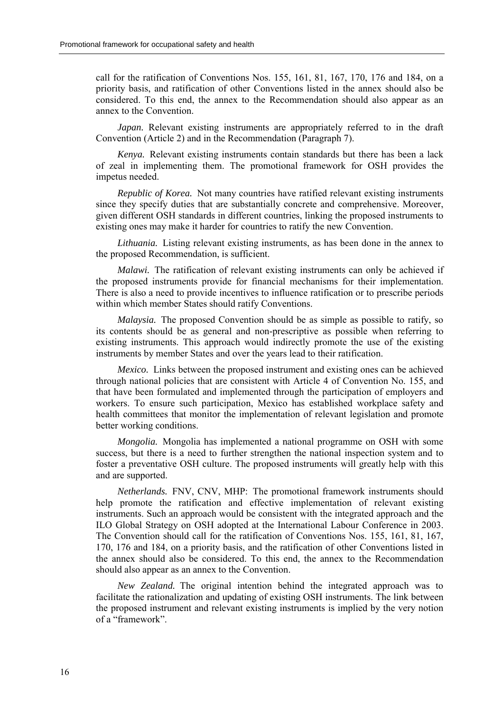call for the ratification of Conventions Nos. 155, 161, 81, 167, 170, 176 and 184, on a priority basis, and ratification of other Conventions listed in the annex should also be considered. To this end, the annex to the Recommendation should also appear as an annex to the Convention.

*Japan.* Relevant existing instruments are appropriately referred to in the draft Convention (Article 2) and in the Recommendation (Paragraph 7).

*Kenya.* Relevant existing instruments contain standards but there has been a lack of zeal in implementing them. The promotional framework for OSH provides the impetus needed.

*Republic of Korea.* Not many countries have ratified relevant existing instruments since they specify duties that are substantially concrete and comprehensive. Moreover, given different OSH standards in different countries, linking the proposed instruments to existing ones may make it harder for countries to ratify the new Convention.

*Lithuania.* Listing relevant existing instruments, as has been done in the annex to the proposed Recommendation, is sufficient.

*Malawi.* The ratification of relevant existing instruments can only be achieved if the proposed instruments provide for financial mechanisms for their implementation. There is also a need to provide incentives to influence ratification or to prescribe periods within which member States should ratify Conventions.

*Malaysia.* The proposed Convention should be as simple as possible to ratify, so its contents should be as general and non-prescriptive as possible when referring to existing instruments. This approach would indirectly promote the use of the existing instruments by member States and over the years lead to their ratification.

*Mexico.* Links between the proposed instrument and existing ones can be achieved through national policies that are consistent with Article 4 of Convention No. 155, and that have been formulated and implemented through the participation of employers and workers. To ensure such participation, Mexico has established workplace safety and health committees that monitor the implementation of relevant legislation and promote better working conditions.

*Mongolia.* Mongolia has implemented a national programme on OSH with some success, but there is a need to further strengthen the national inspection system and to foster a preventative OSH culture. The proposed instruments will greatly help with this and are supported.

*Netherlands.* FNV, CNV, MHP: The promotional framework instruments should help promote the ratification and effective implementation of relevant existing instruments. Such an approach would be consistent with the integrated approach and the ILO Global Strategy on OSH adopted at the International Labour Conference in 2003. The Convention should call for the ratification of Conventions Nos. 155, 161, 81, 167, 170, 176 and 184, on a priority basis, and the ratification of other Conventions listed in the annex should also be considered. To this end, the annex to the Recommendation should also appear as an annex to the Convention.

*New Zealand.* The original intention behind the integrated approach was to facilitate the rationalization and updating of existing OSH instruments. The link between the proposed instrument and relevant existing instruments is implied by the very notion of a "framework"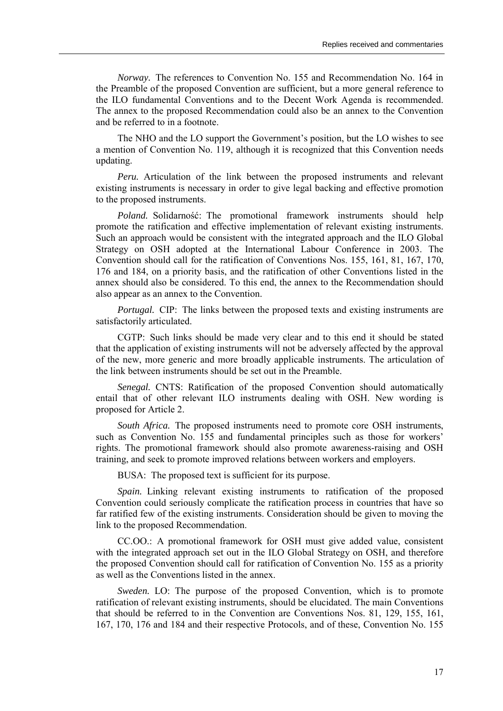*Norway.* The references to Convention No. 155 and Recommendation No. 164 in the Preamble of the proposed Convention are sufficient, but a more general reference to the ILO fundamental Conventions and to the Decent Work Agenda is recommended. The annex to the proposed Recommendation could also be an annex to the Convention and be referred to in a footnote.

The NHO and the LO support the Government's position, but the LO wishes to see a mention of Convention No. 119, although it is recognized that this Convention needs updating.

*Peru.* Articulation of the link between the proposed instruments and relevant existing instruments is necessary in order to give legal backing and effective promotion to the proposed instruments.

*Poland.* Solidarność: The promotional framework instruments should help promote the ratification and effective implementation of relevant existing instruments. Such an approach would be consistent with the integrated approach and the ILO Global Strategy on OSH adopted at the International Labour Conference in 2003. The Convention should call for the ratification of Conventions Nos. 155, 161, 81, 167, 170, 176 and 184, on a priority basis, and the ratification of other Conventions listed in the annex should also be considered. To this end, the annex to the Recommendation should also appear as an annex to the Convention.

*Portugal.* CIP: The links between the proposed texts and existing instruments are satisfactorily articulated.

CGTP: Such links should be made very clear and to this end it should be stated that the application of existing instruments will not be adversely affected by the approval of the new, more generic and more broadly applicable instruments. The articulation of the link between instruments should be set out in the Preamble.

*Senegal.* CNTS: Ratification of the proposed Convention should automatically entail that of other relevant ILO instruments dealing with OSH. New wording is proposed for Article 2.

*South Africa.* The proposed instruments need to promote core OSH instruments, such as Convention No. 155 and fundamental principles such as those for workers' rights. The promotional framework should also promote awareness-raising and OSH training, and seek to promote improved relations between workers and employers.

BUSA: The proposed text is sufficient for its purpose.

*Spain.* Linking relevant existing instruments to ratification of the proposed Convention could seriously complicate the ratification process in countries that have so far ratified few of the existing instruments. Consideration should be given to moving the link to the proposed Recommendation.

CC.OO.: A promotional framework for OSH must give added value, consistent with the integrated approach set out in the ILO Global Strategy on OSH, and therefore the proposed Convention should call for ratification of Convention No. 155 as a priority as well as the Conventions listed in the annex.

*Sweden.* LO: The purpose of the proposed Convention, which is to promote ratification of relevant existing instruments, should be elucidated. The main Conventions that should be referred to in the Convention are Conventions Nos. 81, 129, 155, 161, 167, 170, 176 and 184 and their respective Protocols, and of these, Convention No. 155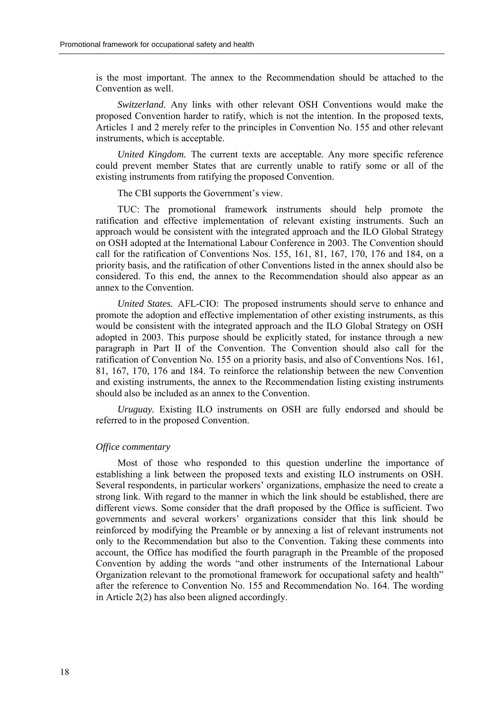is the most important. The annex to the Recommendation should be attached to the Convention as well.

*Switzerland.* Any links with other relevant OSH Conventions would make the proposed Convention harder to ratify, which is not the intention. In the proposed texts, Articles 1 and 2 merely refer to the principles in Convention No. 155 and other relevant instruments, which is acceptable.

*United Kingdom.* The current texts are acceptable. Any more specific reference could prevent member States that are currently unable to ratify some or all of the existing instruments from ratifying the proposed Convention.

The CBI supports the Government's view.

TUC: The promotional framework instruments should help promote the ratification and effective implementation of relevant existing instruments. Such an approach would be consistent with the integrated approach and the ILO Global Strategy on OSH adopted at the International Labour Conference in 2003. The Convention should call for the ratification of Conventions Nos. 155, 161, 81, 167, 170, 176 and 184, on a priority basis, and the ratification of other Conventions listed in the annex should also be considered. To this end, the annex to the Recommendation should also appear as an annex to the Convention.

*United States.* AFL-CIO: The proposed instruments should serve to enhance and promote the adoption and effective implementation of other existing instruments, as this would be consistent with the integrated approach and the ILO Global Strategy on OSH adopted in 2003. This purpose should be explicitly stated, for instance through a new paragraph in Part II of the Convention. The Convention should also call for the ratification of Convention No. 155 on a priority basis, and also of Conventions Nos. 161, 81, 167, 170, 176 and 184. To reinforce the relationship between the new Convention and existing instruments, the annex to the Recommendation listing existing instruments should also be included as an annex to the Convention.

*Uruguay.* Existing ILO instruments on OSH are fully endorsed and should be referred to in the proposed Convention.

#### *Office commentary*

Most of those who responded to this question underline the importance of establishing a link between the proposed texts and existing ILO instruments on OSH. Several respondents, in particular workers' organizations, emphasize the need to create a strong link. With regard to the manner in which the link should be established, there are different views. Some consider that the draft proposed by the Office is sufficient. Two governments and several workers' organizations consider that this link should be reinforced by modifying the Preamble or by annexing a list of relevant instruments not only to the Recommendation but also to the Convention. Taking these comments into account, the Office has modified the fourth paragraph in the Preamble of the proposed Convention by adding the words "and other instruments of the International Labour Organization relevant to the promotional framework for occupational safety and health<sup>"</sup> after the reference to Convention No. 155 and Recommendation No. 164. The wording in Article 2(2) has also been aligned accordingly.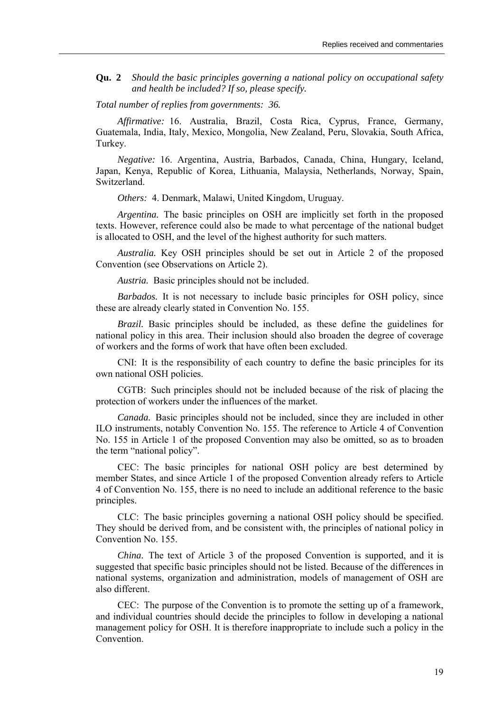**Qu. 2** *Should the basic principles governing a national policy on occupational safety and health be included? If so, please specify.*

*Total number of replies from governments: 36.* 

*Affirmative:* 16. Australia, Brazil, Costa Rica, Cyprus, France, Germany, Guatemala, India, Italy, Mexico, Mongolia, New Zealand, Peru, Slovakia, South Africa, Turkey.

*Negative:* 16. Argentina, Austria, Barbados, Canada, China, Hungary, Iceland, Japan, Kenya, Republic of Korea, Lithuania, Malaysia, Netherlands, Norway, Spain, Switzerland.

*Others:* 4. Denmark, Malawi, United Kingdom, Uruguay.

*Argentina.* The basic principles on OSH are implicitly set forth in the proposed texts. However, reference could also be made to what percentage of the national budget is allocated to OSH, and the level of the highest authority for such matters.

*Australia.* Key OSH principles should be set out in Article 2 of the proposed Convention (see Observations on Article 2).

*Austria.* Basic principles should not be included.

*Barbados.* It is not necessary to include basic principles for OSH policy, since these are already clearly stated in Convention No. 155.

*Brazil.* Basic principles should be included, as these define the guidelines for national policy in this area. Their inclusion should also broaden the degree of coverage of workers and the forms of work that have often been excluded.

CNI: It is the responsibility of each country to define the basic principles for its own national OSH policies.

CGTB: Such principles should not be included because of the risk of placing the protection of workers under the influences of the market.

*Canada.* Basic principles should not be included, since they are included in other ILO instruments, notably Convention No. 155. The reference to Article 4 of Convention No. 155 in Article 1 of the proposed Convention may also be omitted, so as to broaden the term "national policy".

CEC: The basic principles for national OSH policy are best determined by member States, and since Article 1 of the proposed Convention already refers to Article 4 of Convention No. 155, there is no need to include an additional reference to the basic principles.

CLC: The basic principles governing a national OSH policy should be specified. They should be derived from, and be consistent with, the principles of national policy in Convention No. 155.

*China.* The text of Article 3 of the proposed Convention is supported, and it is suggested that specific basic principles should not be listed. Because of the differences in national systems, organization and administration, models of management of OSH are also different.

CEC: The purpose of the Convention is to promote the setting up of a framework, and individual countries should decide the principles to follow in developing a national management policy for OSH. It is therefore inappropriate to include such a policy in the **Convention**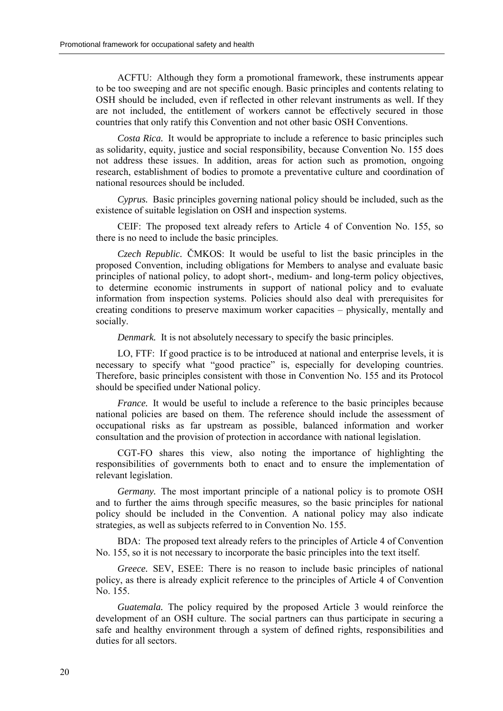ACFTU: Although they form a promotional framework, these instruments appear to be too sweeping and are not specific enough. Basic principles and contents relating to OSH should be included, even if reflected in other relevant instruments as well. If they are not included, the entitlement of workers cannot be effectively secured in those countries that only ratify this Convention and not other basic OSH Conventions.

*Costa Rica.* It would be appropriate to include a reference to basic principles such as solidarity, equity, justice and social responsibility, because Convention No. 155 does not address these issues. In addition, areas for action such as promotion, ongoing research, establishment of bodies to promote a preventative culture and coordination of national resources should be included.

*Cyprus.* Basic principles governing national policy should be included, such as the existence of suitable legislation on OSH and inspection systems.

CEIF: The proposed text already refers to Article 4 of Convention No. 155, so there is no need to include the basic principles.

*Czech Republic.* ČMKOS: It would be useful to list the basic principles in the proposed Convention, including obligations for Members to analyse and evaluate basic principles of national policy, to adopt short-, medium- and long-term policy objectives, to determine economic instruments in support of national policy and to evaluate information from inspection systems. Policies should also deal with prerequisites for creating conditions to preserve maximum worker capacities – physically, mentally and socially.

*Denmark.* It is not absolutely necessary to specify the basic principles.

LO, FTF: If good practice is to be introduced at national and enterprise levels, it is necessary to specify what "good practice" is, especially for developing countries. Therefore, basic principles consistent with those in Convention No. 155 and its Protocol should be specified under National policy.

*France.* It would be useful to include a reference to the basic principles because national policies are based on them. The reference should include the assessment of occupational risks as far upstream as possible, balanced information and worker consultation and the provision of protection in accordance with national legislation.

CGT-FO shares this view, also noting the importance of highlighting the responsibilities of governments both to enact and to ensure the implementation of relevant legislation.

*Germany.* The most important principle of a national policy is to promote OSH and to further the aims through specific measures, so the basic principles for national policy should be included in the Convention. A national policy may also indicate strategies, as well as subjects referred to in Convention No. 155.

BDA: The proposed text already refers to the principles of Article 4 of Convention No. 155, so it is not necessary to incorporate the basic principles into the text itself.

*Greece.* SEV, ESEE: There is no reason to include basic principles of national policy, as there is already explicit reference to the principles of Article 4 of Convention No. 155.

*Guatemala.* The policy required by the proposed Article 3 would reinforce the development of an OSH culture. The social partners can thus participate in securing a safe and healthy environment through a system of defined rights, responsibilities and duties for all sectors.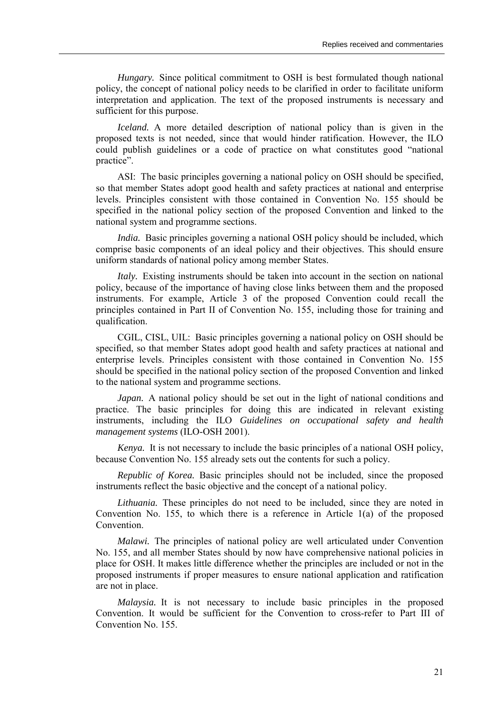*Hungary.* Since political commitment to OSH is best formulated though national policy, the concept of national policy needs to be clarified in order to facilitate uniform interpretation and application. The text of the proposed instruments is necessary and sufficient for this purpose.

*Iceland.* A more detailed description of national policy than is given in the proposed texts is not needed, since that would hinder ratification. However, the ILO could publish guidelines or a code of practice on what constitutes good "national practice".

ASI: The basic principles governing a national policy on OSH should be specified, so that member States adopt good health and safety practices at national and enterprise levels. Principles consistent with those contained in Convention No. 155 should be specified in the national policy section of the proposed Convention and linked to the national system and programme sections.

*India.* Basic principles governing a national OSH policy should be included, which comprise basic components of an ideal policy and their objectives. This should ensure uniform standards of national policy among member States.

*Italy.* Existing instruments should be taken into account in the section on national policy, because of the importance of having close links between them and the proposed instruments. For example, Article 3 of the proposed Convention could recall the principles contained in Part II of Convention No. 155, including those for training and qualification.

CGIL, CISL, UIL: Basic principles governing a national policy on OSH should be specified, so that member States adopt good health and safety practices at national and enterprise levels. Principles consistent with those contained in Convention No. 155 should be specified in the national policy section of the proposed Convention and linked to the national system and programme sections.

*Japan.* A national policy should be set out in the light of national conditions and practice. The basic principles for doing this are indicated in relevant existing instruments, including the ILO *Guidelines on occupational safety and health management systems* (ILO-OSH 2001).

*Kenya.* It is not necessary to include the basic principles of a national OSH policy, because Convention No. 155 already sets out the contents for such a policy.

*Republic of Korea.* Basic principles should not be included, since the proposed instruments reflect the basic objective and the concept of a national policy.

*Lithuania.* These principles do not need to be included, since they are noted in Convention No. 155, to which there is a reference in Article 1(a) of the proposed Convention.

*Malawi.* The principles of national policy are well articulated under Convention No. 155, and all member States should by now have comprehensive national policies in place for OSH. It makes little difference whether the principles are included or not in the proposed instruments if proper measures to ensure national application and ratification are not in place.

*Malaysia.* It is not necessary to include basic principles in the proposed Convention. It would be sufficient for the Convention to cross-refer to Part III of Convention No. 155.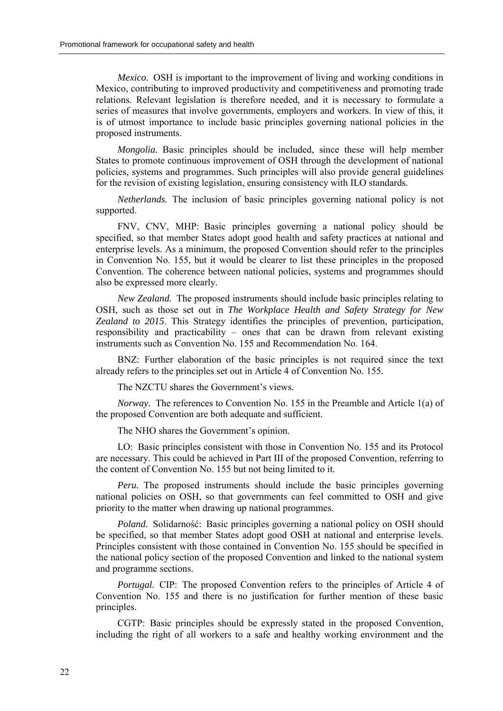*Mexico.* OSH is important to the improvement of living and working conditions in Mexico, contributing to improved productivity and competitiveness and promoting trade relations. Relevant legislation is therefore needed, and it is necessary to formulate a series of measures that involve governments, employers and workers. In view of this, it is of utmost importance to include basic principles governing national policies in the proposed instruments.

*Mongolia.* Basic principles should be included, since these will help member States to promote continuous improvement of OSH through the development of national policies, systems and programmes. Such principles will also provide general guidelines for the revision of existing legislation, ensuring consistency with ILO standards.

*Netherlands.* The inclusion of basic principles governing national policy is not supported.

FNV, CNV, MHP: Basic principles governing a national policy should be specified, so that member States adopt good health and safety practices at national and enterprise levels. As a minimum, the proposed Convention should refer to the principles in Convention No. 155, but it would be clearer to list these principles in the proposed Convention. The coherence between national policies, systems and programmes should also be expressed more clearly.

*New Zealand.* The proposed instruments should include basic principles relating to OSH, such as those set out in *The Workplace Health and Safety Strategy for New Zealand to 2015*. This Strategy identifies the principles of prevention, participation, responsibility and practicability  $-$  ones that can be drawn from relevant existing instruments such as Convention No. 155 and Recommendation No. 164.

BNZ: Further elaboration of the basic principles is not required since the text already refers to the principles set out in Article 4 of Convention No. 155.

The NZCTU shares the Government's views.

*Norway.* The references to Convention No. 155 in the Preamble and Article 1(a) of the proposed Convention are both adequate and sufficient.

The NHO shares the Government's opinion.

LO: Basic principles consistent with those in Convention No. 155 and its Protocol are necessary. This could be achieved in Part III of the proposed Convention, referring to the content of Convention No. 155 but not being limited to it.

*Peru.* The proposed instruments should include the basic principles governing national policies on OSH, so that governments can feel committed to OSH and give priority to the matter when drawing up national programmes.

*Poland.* Solidarność: Basic principles governing a national policy on OSH should be specified, so that member States adopt good OSH at national and enterprise levels. Principles consistent with those contained in Convention No. 155 should be specified in the national policy section of the proposed Convention and linked to the national system and programme sections.

*Portugal.* CIP: The proposed Convention refers to the principles of Article 4 of Convention No. 155 and there is no justification for further mention of these basic principles.

CGTP: Basic principles should be expressly stated in the proposed Convention, including the right of all workers to a safe and healthy working environment and the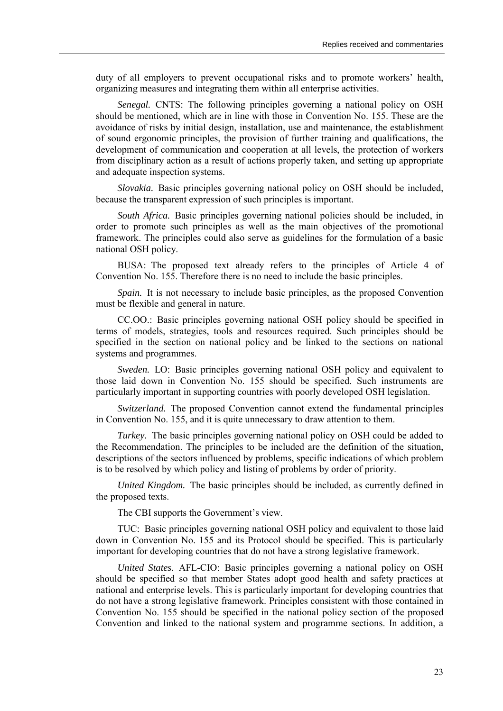duty of all employers to prevent occupational risks and to promote workers' health, organizing measures and integrating them within all enterprise activities.

*Senegal.* CNTS: The following principles governing a national policy on OSH should be mentioned, which are in line with those in Convention No. 155. These are the avoidance of risks by initial design, installation, use and maintenance, the establishment of sound ergonomic principles, the provision of further training and qualifications, the development of communication and cooperation at all levels, the protection of workers from disciplinary action as a result of actions properly taken, and setting up appropriate and adequate inspection systems.

*Slovakia.* Basic principles governing national policy on OSH should be included, because the transparent expression of such principles is important.

*South Africa.* Basic principles governing national policies should be included, in order to promote such principles as well as the main objectives of the promotional framework. The principles could also serve as guidelines for the formulation of a basic national OSH policy.

BUSA: The proposed text already refers to the principles of Article 4 of Convention No. 155. Therefore there is no need to include the basic principles.

*Spain.* It is not necessary to include basic principles, as the proposed Convention must be flexible and general in nature.

CC.OO.: Basic principles governing national OSH policy should be specified in terms of models, strategies, tools and resources required. Such principles should be specified in the section on national policy and be linked to the sections on national systems and programmes.

*Sweden.* LO: Basic principles governing national OSH policy and equivalent to those laid down in Convention No. 155 should be specified. Such instruments are particularly important in supporting countries with poorly developed OSH legislation.

*Switzerland.* The proposed Convention cannot extend the fundamental principles in Convention No. 155, and it is quite unnecessary to draw attention to them.

*Turkey.* The basic principles governing national policy on OSH could be added to the Recommendation. The principles to be included are the definition of the situation, descriptions of the sectors influenced by problems, specific indications of which problem is to be resolved by which policy and listing of problems by order of priority.

*United Kingdom.* The basic principles should be included, as currently defined in the proposed texts.

The CBI supports the Government's view.

TUC: Basic principles governing national OSH policy and equivalent to those laid down in Convention No. 155 and its Protocol should be specified. This is particularly important for developing countries that do not have a strong legislative framework.

*United States.* AFL-CIO: Basic principles governing a national policy on OSH should be specified so that member States adopt good health and safety practices at national and enterprise levels. This is particularly important for developing countries that do not have a strong legislative framework. Principles consistent with those contained in Convention No. 155 should be specified in the national policy section of the proposed Convention and linked to the national system and programme sections. In addition, a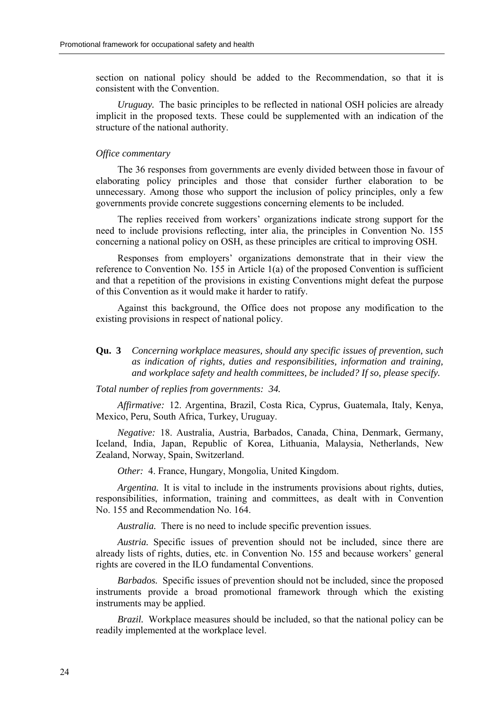section on national policy should be added to the Recommendation, so that it is consistent with the Convention.

*Uruguay.* The basic principles to be reflected in national OSH policies are already implicit in the proposed texts. These could be supplemented with an indication of the structure of the national authority.

#### *Office commentary*

The 36 responses from governments are evenly divided between those in favour of elaborating policy principles and those that consider further elaboration to be unnecessary. Among those who support the inclusion of policy principles, only a few governments provide concrete suggestions concerning elements to be included.

The replies received from workers' organizations indicate strong support for the need to include provisions reflecting, inter alia, the principles in Convention No. 155 concerning a national policy on OSH, as these principles are critical to improving OSH.

Responses from employers' organizations demonstrate that in their view the reference to Convention No. 155 in Article 1(a) of the proposed Convention is sufficient and that a repetition of the provisions in existing Conventions might defeat the purpose of this Convention as it would make it harder to ratify.

Against this background, the Office does not propose any modification to the existing provisions in respect of national policy.

**Qu. 3** *Concerning workplace measures, should any specific issues of prevention, such as indication of rights, duties and responsibilities, information and training, and workplace safety and health committees, be included? If so, please specify.*

#### *Total number of replies from governments: 34.*

*Affirmative:* 12. Argentina, Brazil, Costa Rica, Cyprus, Guatemala, Italy, Kenya, Mexico, Peru, South Africa, Turkey, Uruguay.

*Negative:* 18. Australia, Austria, Barbados, Canada, China, Denmark, Germany, Iceland, India, Japan, Republic of Korea, Lithuania, Malaysia, Netherlands, New Zealand, Norway, Spain, Switzerland.

*Other:* 4. France, Hungary, Mongolia, United Kingdom.

*Argentina.* It is vital to include in the instruments provisions about rights, duties, responsibilities, information, training and committees, as dealt with in Convention No. 155 and Recommendation No. 164.

*Australia.* There is no need to include specific prevention issues.

*Austria.* Specific issues of prevention should not be included, since there are already lists of rights, duties, etc. in Convention No. 155 and because workers' general rights are covered in the ILO fundamental Conventions.

*Barbados.* Specific issues of prevention should not be included, since the proposed instruments provide a broad promotional framework through which the existing instruments may be applied.

*Brazil.* Workplace measures should be included, so that the national policy can be readily implemented at the workplace level.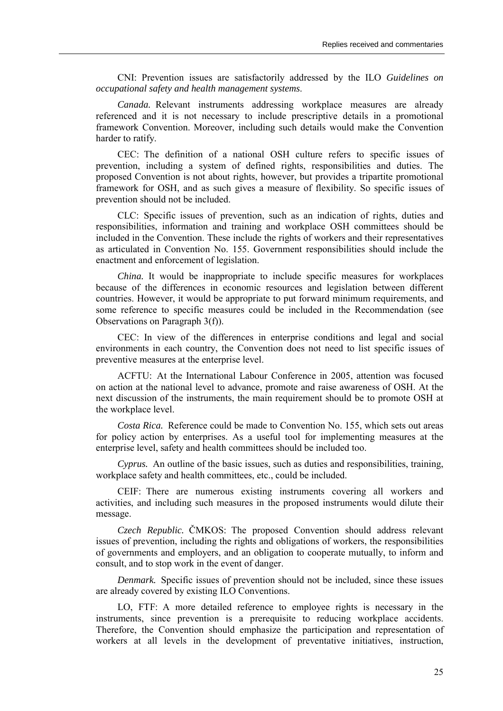CNI: Prevention issues are satisfactorily addressed by the ILO *Guidelines on occupational safety and health management systems*.

*Canada.* Relevant instruments addressing workplace measures are already referenced and it is not necessary to include prescriptive details in a promotional framework Convention. Moreover, including such details would make the Convention harder to ratify.

CEC: The definition of a national OSH culture refers to specific issues of prevention, including a system of defined rights, responsibilities and duties. The proposed Convention is not about rights, however, but provides a tripartite promotional framework for OSH, and as such gives a measure of flexibility. So specific issues of prevention should not be included.

CLC: Specific issues of prevention, such as an indication of rights, duties and responsibilities, information and training and workplace OSH committees should be included in the Convention. These include the rights of workers and their representatives as articulated in Convention No. 155. Government responsibilities should include the enactment and enforcement of legislation.

*China.* It would be inappropriate to include specific measures for workplaces because of the differences in economic resources and legislation between different countries. However, it would be appropriate to put forward minimum requirements, and some reference to specific measures could be included in the Recommendation (see Observations on Paragraph 3(f)).

CEC: In view of the differences in enterprise conditions and legal and social environments in each country, the Convention does not need to list specific issues of preventive measures at the enterprise level.

ACFTU: At the International Labour Conference in 2005, attention was focused on action at the national level to advance, promote and raise awareness of OSH. At the next discussion of the instruments, the main requirement should be to promote OSH at the workplace level.

*Costa Rica.* Reference could be made to Convention No. 155, which sets out areas for policy action by enterprises. As a useful tool for implementing measures at the enterprise level, safety and health committees should be included too.

*Cyprus.* An outline of the basic issues, such as duties and responsibilities, training, workplace safety and health committees, etc., could be included.

CEIF: There are numerous existing instruments covering all workers and activities, and including such measures in the proposed instruments would dilute their message.

*Czech Republic.* ČMKOS: The proposed Convention should address relevant issues of prevention, including the rights and obligations of workers, the responsibilities of governments and employers, and an obligation to cooperate mutually, to inform and consult, and to stop work in the event of danger.

*Denmark.* Specific issues of prevention should not be included, since these issues are already covered by existing ILO Conventions.

LO, FTF: A more detailed reference to employee rights is necessary in the instruments, since prevention is a prerequisite to reducing workplace accidents. Therefore, the Convention should emphasize the participation and representation of workers at all levels in the development of preventative initiatives, instruction,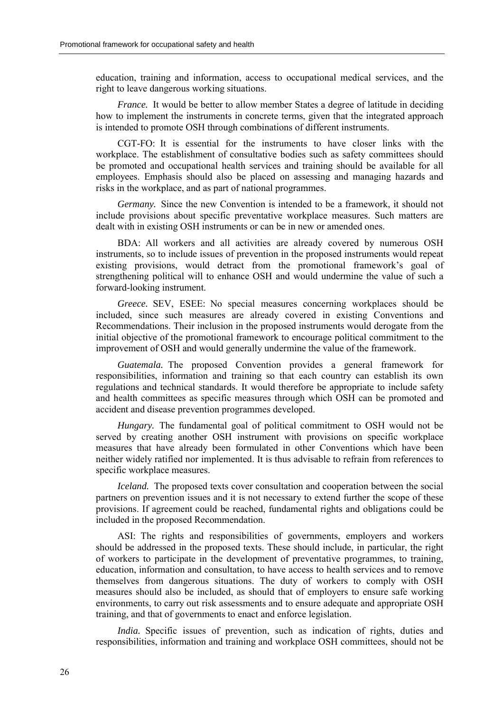education, training and information, access to occupational medical services, and the right to leave dangerous working situations.

*France.* It would be better to allow member States a degree of latitude in deciding how to implement the instruments in concrete terms, given that the integrated approach is intended to promote OSH through combinations of different instruments.

CGT-FO: It is essential for the instruments to have closer links with the workplace. The establishment of consultative bodies such as safety committees should be promoted and occupational health services and training should be available for all employees. Emphasis should also be placed on assessing and managing hazards and risks in the workplace, and as part of national programmes.

*Germany.* Since the new Convention is intended to be a framework, it should not include provisions about specific preventative workplace measures. Such matters are dealt with in existing OSH instruments or can be in new or amended ones.

BDA: All workers and all activities are already covered by numerous OSH instruments, so to include issues of prevention in the proposed instruments would repeat existing provisions, would detract from the promotional framework's goal of strengthening political will to enhance OSH and would undermine the value of such a forward-looking instrument.

*Greece.* SEV, ESEE: No special measures concerning workplaces should be included, since such measures are already covered in existing Conventions and Recommendations. Their inclusion in the proposed instruments would derogate from the initial objective of the promotional framework to encourage political commitment to the improvement of OSH and would generally undermine the value of the framework.

*Guatemala.* The proposed Convention provides a general framework for responsibilities, information and training so that each country can establish its own regulations and technical standards. It would therefore be appropriate to include safety and health committees as specific measures through which OSH can be promoted and accident and disease prevention programmes developed.

*Hungary*. The fundamental goal of political commitment to OSH would not be served by creating another OSH instrument with provisions on specific workplace measures that have already been formulated in other Conventions which have been neither widely ratified nor implemented. It is thus advisable to refrain from references to specific workplace measures.

*Iceland.* The proposed texts cover consultation and cooperation between the social partners on prevention issues and it is not necessary to extend further the scope of these provisions. If agreement could be reached, fundamental rights and obligations could be included in the proposed Recommendation.

ASI: The rights and responsibilities of governments, employers and workers should be addressed in the proposed texts. These should include, in particular, the right of workers to participate in the development of preventative programmes, to training, education, information and consultation, to have access to health services and to remove themselves from dangerous situations. The duty of workers to comply with OSH measures should also be included, as should that of employers to ensure safe working environments, to carry out risk assessments and to ensure adequate and appropriate OSH training, and that of governments to enact and enforce legislation.

*India.* Specific issues of prevention, such as indication of rights, duties and responsibilities, information and training and workplace OSH committees, should not be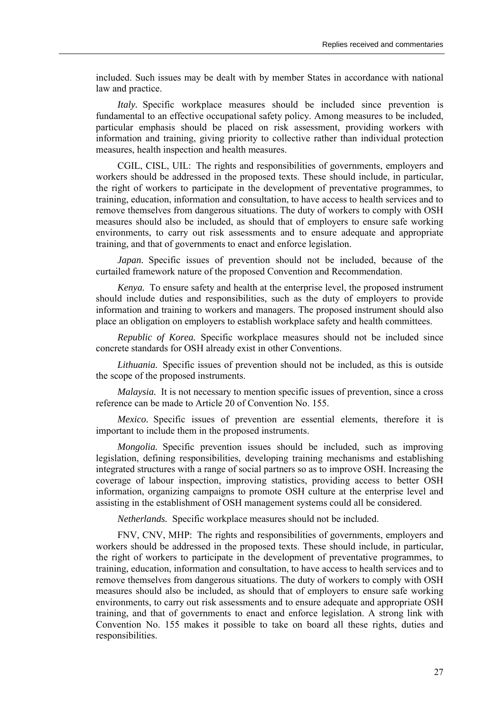included. Such issues may be dealt with by member States in accordance with national law and practice.

*Italy*. Specific workplace measures should be included since prevention is fundamental to an effective occupational safety policy. Among measures to be included, particular emphasis should be placed on risk assessment, providing workers with information and training, giving priority to collective rather than individual protection measures, health inspection and health measures.

CGIL, CISL, UIL: The rights and responsibilities of governments, employers and workers should be addressed in the proposed texts. These should include, in particular, the right of workers to participate in the development of preventative programmes, to training, education, information and consultation, to have access to health services and to remove themselves from dangerous situations. The duty of workers to comply with OSH measures should also be included, as should that of employers to ensure safe working environments, to carry out risk assessments and to ensure adequate and appropriate training, and that of governments to enact and enforce legislation.

*Japan.* Specific issues of prevention should not be included, because of the curtailed framework nature of the proposed Convention and Recommendation.

*Kenya.* To ensure safety and health at the enterprise level, the proposed instrument should include duties and responsibilities, such as the duty of employers to provide information and training to workers and managers. The proposed instrument should also place an obligation on employers to establish workplace safety and health committees.

*Republic of Korea.* Specific workplace measures should not be included since concrete standards for OSH already exist in other Conventions.

*Lithuania.* Specific issues of prevention should not be included, as this is outside the scope of the proposed instruments.

*Malaysia.* It is not necessary to mention specific issues of prevention, since a cross reference can be made to Article 20 of Convention No. 155.

*Mexico.* Specific issues of prevention are essential elements, therefore it is important to include them in the proposed instruments.

*Mongolia.* Specific prevention issues should be included, such as improving legislation, defining responsibilities, developing training mechanisms and establishing integrated structures with a range of social partners so as to improve OSH. Increasing the coverage of labour inspection, improving statistics, providing access to better OSH information, organizing campaigns to promote OSH culture at the enterprise level and assisting in the establishment of OSH management systems could all be considered.

*Netherlands.* Specific workplace measures should not be included.

FNV, CNV, MHP: The rights and responsibilities of governments, employers and workers should be addressed in the proposed texts. These should include, in particular, the right of workers to participate in the development of preventative programmes, to training, education, information and consultation, to have access to health services and to remove themselves from dangerous situations. The duty of workers to comply with OSH measures should also be included, as should that of employers to ensure safe working environments, to carry out risk assessments and to ensure adequate and appropriate OSH training, and that of governments to enact and enforce legislation. A strong link with Convention No. 155 makes it possible to take on board all these rights, duties and responsibilities.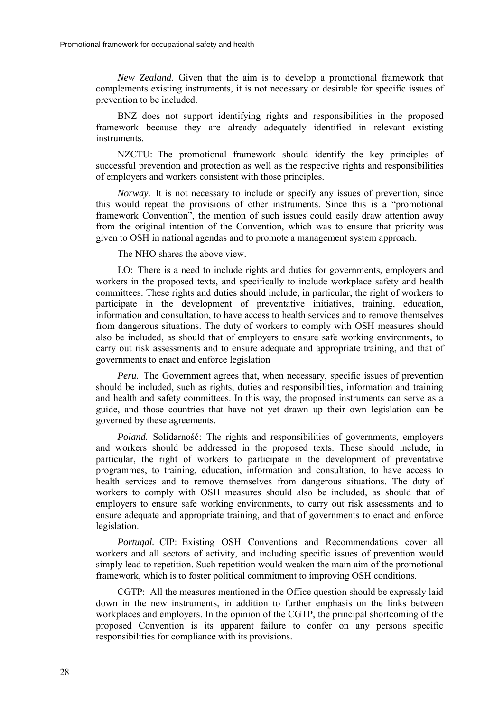*New Zealand.* Given that the aim is to develop a promotional framework that complements existing instruments, it is not necessary or desirable for specific issues of prevention to be included.

BNZ does not support identifying rights and responsibilities in the proposed framework because they are already adequately identified in relevant existing instruments.

NZCTU: The promotional framework should identify the key principles of successful prevention and protection as well as the respective rights and responsibilities of employers and workers consistent with those principles.

*Norway.* It is not necessary to include or specify any issues of prevention, since this would repeat the provisions of other instruments. Since this is a "promotional" framework Convention", the mention of such issues could easily draw attention away from the original intention of the Convention, which was to ensure that priority was given to OSH in national agendas and to promote a management system approach.

The NHO shares the above view.

LO: There is a need to include rights and duties for governments, employers and workers in the proposed texts, and specifically to include workplace safety and health committees. These rights and duties should include, in particular, the right of workers to participate in the development of preventative initiatives, training, education, information and consultation, to have access to health services and to remove themselves from dangerous situations. The duty of workers to comply with OSH measures should also be included, as should that of employers to ensure safe working environments, to carry out risk assessments and to ensure adequate and appropriate training, and that of governments to enact and enforce legislation

*Peru.* The Government agrees that, when necessary, specific issues of prevention should be included, such as rights, duties and responsibilities, information and training and health and safety committees. In this way, the proposed instruments can serve as a guide, and those countries that have not yet drawn up their own legislation can be governed by these agreements.

*Poland.* Solidarność: The rights and responsibilities of governments, employers and workers should be addressed in the proposed texts. These should include, in particular, the right of workers to participate in the development of preventative programmes, to training, education, information and consultation, to have access to health services and to remove themselves from dangerous situations. The duty of workers to comply with OSH measures should also be included, as should that of employers to ensure safe working environments, to carry out risk assessments and to ensure adequate and appropriate training, and that of governments to enact and enforce legislation.

*Portugal.* CIP: Existing OSH Conventions and Recommendations cover all workers and all sectors of activity, and including specific issues of prevention would simply lead to repetition. Such repetition would weaken the main aim of the promotional framework, which is to foster political commitment to improving OSH conditions.

CGTP: All the measures mentioned in the Office question should be expressly laid down in the new instruments, in addition to further emphasis on the links between workplaces and employers. In the opinion of the CGTP, the principal shortcoming of the proposed Convention is its apparent failure to confer on any persons specific responsibilities for compliance with its provisions.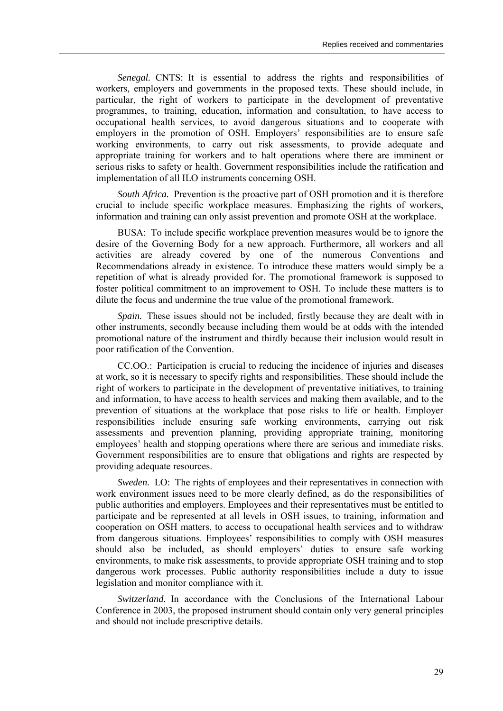*Senegal.* CNTS: It is essential to address the rights and responsibilities of workers, employers and governments in the proposed texts. These should include, in particular, the right of workers to participate in the development of preventative programmes, to training, education, information and consultation, to have access to occupational health services, to avoid dangerous situations and to cooperate with employers in the promotion of OSH. Employers' responsibilities are to ensure safe working environments, to carry out risk assessments, to provide adequate and appropriate training for workers and to halt operations where there are imminent or serious risks to safety or health. Government responsibilities include the ratification and implementation of all ILO instruments concerning OSH.

*South Africa.* Prevention is the proactive part of OSH promotion and it is therefore crucial to include specific workplace measures. Emphasizing the rights of workers, information and training can only assist prevention and promote OSH at the workplace.

BUSA: To include specific workplace prevention measures would be to ignore the desire of the Governing Body for a new approach. Furthermore, all workers and all activities are already covered by one of the numerous Conventions and Recommendations already in existence. To introduce these matters would simply be a repetition of what is already provided for. The promotional framework is supposed to foster political commitment to an improvement to OSH. To include these matters is to dilute the focus and undermine the true value of the promotional framework.

*Spain.* These issues should not be included, firstly because they are dealt with in other instruments, secondly because including them would be at odds with the intended promotional nature of the instrument and thirdly because their inclusion would result in poor ratification of the Convention.

CC.OO.: Participation is crucial to reducing the incidence of injuries and diseases at work, so it is necessary to specify rights and responsibilities. These should include the right of workers to participate in the development of preventative initiatives, to training and information, to have access to health services and making them available, and to the prevention of situations at the workplace that pose risks to life or health. Employer responsibilities include ensuring safe working environments, carrying out risk assessments and prevention planning, providing appropriate training, monitoring employees' health and stopping operations where there are serious and immediate risks. Government responsibilities are to ensure that obligations and rights are respected by providing adequate resources.

*Sweden.* LO: The rights of employees and their representatives in connection with work environment issues need to be more clearly defined, as do the responsibilities of public authorities and employers. Employees and their representatives must be entitled to participate and be represented at all levels in OSH issues, to training, information and cooperation on OSH matters, to access to occupational health services and to withdraw from dangerous situations. Employeesí responsibilities to comply with OSH measures should also be included, as should employers' duties to ensure safe working environments, to make risk assessments, to provide appropriate OSH training and to stop dangerous work processes. Public authority responsibilities include a duty to issue legislation and monitor compliance with it.

*Switzerland.* In accordance with the Conclusions of the International Labour Conference in 2003, the proposed instrument should contain only very general principles and should not include prescriptive details.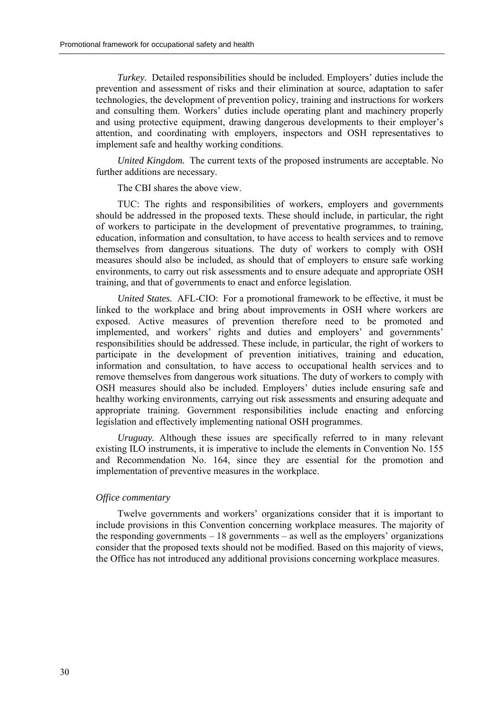*Turkey.* Detailed responsibilities should be included. Employers' duties include the prevention and assessment of risks and their elimination at source, adaptation to safer technologies, the development of prevention policy, training and instructions for workers and consulting them. Workers' duties include operating plant and machinery properly and using protective equipment, drawing dangerous developments to their employer's attention, and coordinating with employers, inspectors and OSH representatives to implement safe and healthy working conditions.

*United Kingdom.* The current texts of the proposed instruments are acceptable. No further additions are necessary.

The CBI shares the above view.

TUC: The rights and responsibilities of workers, employers and governments should be addressed in the proposed texts. These should include, in particular, the right of workers to participate in the development of preventative programmes, to training, education, information and consultation, to have access to health services and to remove themselves from dangerous situations. The duty of workers to comply with OSH measures should also be included, as should that of employers to ensure safe working environments, to carry out risk assessments and to ensure adequate and appropriate OSH training, and that of governments to enact and enforce legislation.

*United States.* AFL-CIO: For a promotional framework to be effective, it must be linked to the workplace and bring about improvements in OSH where workers are exposed. Active measures of prevention therefore need to be promoted and implemented, and workers' rights and duties and employers' and governments' responsibilities should be addressed. These include, in particular, the right of workers to participate in the development of prevention initiatives, training and education, information and consultation, to have access to occupational health services and to remove themselves from dangerous work situations. The duty of workers to comply with OSH measures should also be included. Employers' duties include ensuring safe and healthy working environments, carrying out risk assessments and ensuring adequate and appropriate training. Government responsibilities include enacting and enforcing legislation and effectively implementing national OSH programmes.

*Uruguay.* Although these issues are specifically referred to in many relevant existing ILO instruments, it is imperative to include the elements in Convention No. 155 and Recommendation No. 164, since they are essential for the promotion and implementation of preventive measures in the workplace.

#### *Office commentary*

Twelve governments and workers' organizations consider that it is important to include provisions in this Convention concerning workplace measures. The majority of the responding governments  $-18$  governments  $-$  as well as the employers' organizations consider that the proposed texts should not be modified. Based on this majority of views, the Office has not introduced any additional provisions concerning workplace measures.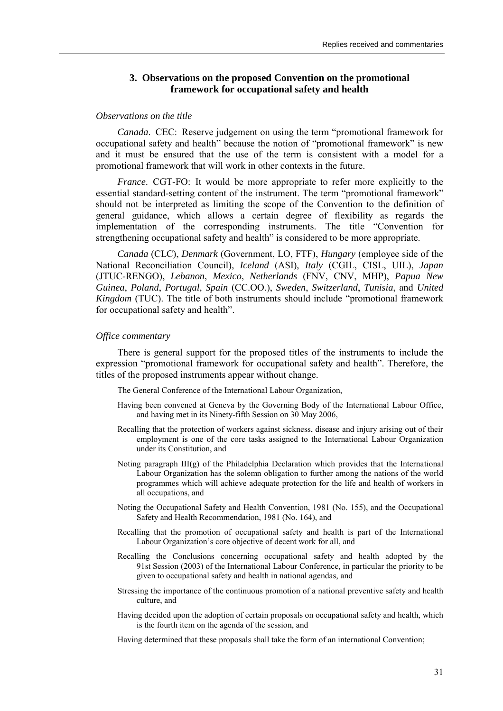# **3. Observations on the proposed Convention on the promotional framework for occupational safety and health**

#### *Observations on the title*

*Canada.* CEC: Reserve judgement on using the term "promotional framework for occupational safety and health<sup>"</sup> because the notion of "promotional framework" is new and it must be ensured that the use of the term is consistent with a model for a promotional framework that will work in other contexts in the future.

*France*. CGT-FO: It would be more appropriate to refer more explicitly to the essential standard-setting content of the instrument. The term "promotional framework" should not be interpreted as limiting the scope of the Convention to the definition of general guidance, which allows a certain degree of flexibility as regards the implementation of the corresponding instruments. The title "Convention for strengthening occupational safety and health<sup>"</sup> is considered to be more appropriate.

*Canada* (CLC), *Denmark* (Government, LO, FTF), *Hungary* (employee side of the National Reconciliation Council), *Iceland* (ASI), *Italy* (CGIL, CISL, UIL), *Japan* (JTUC-RENGO), *Lebanon*, *Mexico*, *Netherlands* (FNV, CNV, MHP), *Papua New Guinea*, *Poland*, *Portugal*, *Spain* (CC.OO.), *Sweden*, *Switzerland*, *Tunisia*, and *United Kingdom* (TUC). The title of both instruments should include "promotional framework for occupational safety and health".

#### *Office commentary*

There is general support for the proposed titles of the instruments to include the expression "promotional framework for occupational safety and health". Therefore, the titles of the proposed instruments appear without change.

The General Conference of the International Labour Organization,

- Having been convened at Geneva by the Governing Body of the International Labour Office, and having met in its Ninety-fifth Session on 30 May 2006,
- Recalling that the protection of workers against sickness, disease and injury arising out of their employment is one of the core tasks assigned to the International Labour Organization under its Constitution, and
- Noting paragraph III(g) of the Philadelphia Declaration which provides that the International Labour Organization has the solemn obligation to further among the nations of the world programmes which will achieve adequate protection for the life and health of workers in all occupations, and
- Noting the Occupational Safety and Health Convention, 1981 (No. 155), and the Occupational Safety and Health Recommendation, 1981 (No. 164), and
- Recalling that the promotion of occupational safety and health is part of the International Labour Organization's core objective of decent work for all, and
- Recalling the Conclusions concerning occupational safety and health adopted by the 91st Session (2003) of the International Labour Conference, in particular the priority to be given to occupational safety and health in national agendas, and
- Stressing the importance of the continuous promotion of a national preventive safety and health culture, and
- Having decided upon the adoption of certain proposals on occupational safety and health, which is the fourth item on the agenda of the session, and

Having determined that these proposals shall take the form of an international Convention;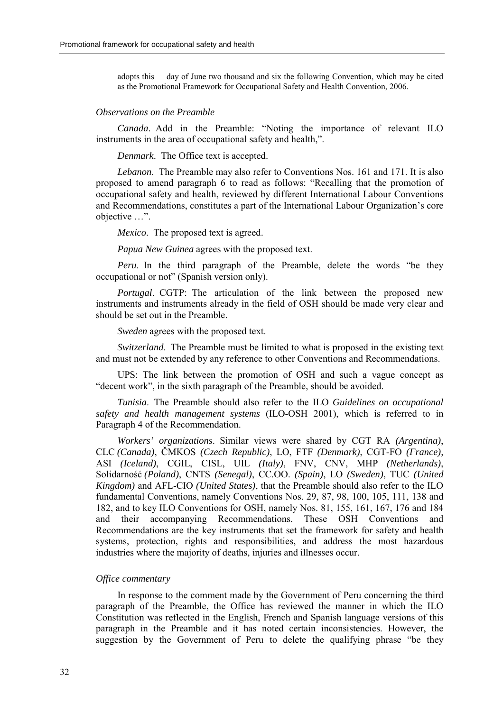adopts this day of June two thousand and six the following Convention, which may be cited as the Promotional Framework for Occupational Safety and Health Convention, 2006.

## *Observations on the Preamble*

*Canada*. Add in the Preamble: "Noting the importance of relevant ILO instruments in the area of occupational safety and health.".

*Denmark*. The Office text is accepted.

*Lebanon*. The Preamble may also refer to Conventions Nos. 161 and 171. It is also proposed to amend paragraph 6 to read as follows: "Recalling that the promotion of occupational safety and health, reviewed by different International Labour Conventions and Recommendations, constitutes a part of the International Labour Organization's core objective ...".

*Mexico*. The proposed text is agreed.

*Papua New Guinea* agrees with the proposed text.

*Peru*. In the third paragraph of the Preamble, delete the words "be they occupational or not" (Spanish version only).

*Portugal*. CGTP: The articulation of the link between the proposed new instruments and instruments already in the field of OSH should be made very clear and should be set out in the Preamble.

*Sweden* agrees with the proposed text.

*Switzerland*. The Preamble must be limited to what is proposed in the existing text and must not be extended by any reference to other Conventions and Recommendations.

UPS: The link between the promotion of OSH and such a vague concept as "decent work", in the sixth paragraph of the Preamble, should be avoided.

*Tunisia*. The Preamble should also refer to the ILO *Guidelines on occupational safety and health management systems* (ILO-OSH 2001), which is referred to in Paragraph 4 of the Recommendation.

*Workers' organizations*. Similar views were shared by CGT RA *(Argentina)*, CLC *(Canada)*, ČMKOS *(Czech Republic)*, LO, FTF *(Denmark)*, CGT-FO *(France),* ASI *(Iceland)*, CGIL, CISL, UIL *(Italy)*, FNV, CNV, MHP *(Netherlands)*, Solidarność *(Poland)*, CNTS *(Senegal)*, CC.OO. *(Spain)*, LO *(Sweden)*, TUC *(United Kingdom)* and AFL-CIO *(United States)*, that the Preamble should also refer to the ILO fundamental Conventions, namely Conventions Nos. 29, 87, 98, 100, 105, 111, 138 and 182, and to key ILO Conventions for OSH, namely Nos. 81, 155, 161, 167, 176 and 184 and their accompanying Recommendations. These OSH Conventions and Recommendations are the key instruments that set the framework for safety and health systems, protection, rights and responsibilities, and address the most hazardous industries where the majority of deaths, injuries and illnesses occur.

# *Office commentary*

In response to the comment made by the Government of Peru concerning the third paragraph of the Preamble, the Office has reviewed the manner in which the ILO Constitution was reflected in the English, French and Spanish language versions of this paragraph in the Preamble and it has noted certain inconsistencies. However, the suggestion by the Government of Peru to delete the qualifying phrase "be they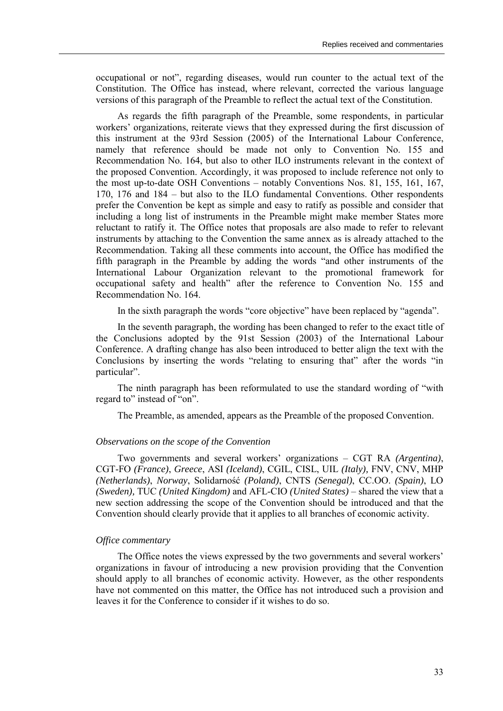occupational or notî, regarding diseases, would run counter to the actual text of the Constitution. The Office has instead, where relevant, corrected the various language versions of this paragraph of the Preamble to reflect the actual text of the Constitution.

As regards the fifth paragraph of the Preamble, some respondents, in particular workers' organizations, reiterate views that they expressed during the first discussion of this instrument at the 93rd Session (2005) of the International Labour Conference, namely that reference should be made not only to Convention No. 155 and Recommendation No. 164, but also to other ILO instruments relevant in the context of the proposed Convention. Accordingly, it was proposed to include reference not only to the most up-to-date OSH Conventions  $-$  notably Conventions Nos. 81, 155, 161, 167, 170, 176 and  $184 - \text{but also to the ILO fundamental Conventions. Other respondents}$ prefer the Convention be kept as simple and easy to ratify as possible and consider that including a long list of instruments in the Preamble might make member States more reluctant to ratify it. The Office notes that proposals are also made to refer to relevant instruments by attaching to the Convention the same annex as is already attached to the Recommendation. Taking all these comments into account, the Office has modified the fifth paragraph in the Preamble by adding the words "and other instruments of the International Labour Organization relevant to the promotional framework for occupational safety and health<sup>"</sup> after the reference to Convention No. 155 and Recommendation No. 164.

In the sixth paragraph the words "core objective" have been replaced by "agenda".

In the seventh paragraph, the wording has been changed to refer to the exact title of the Conclusions adopted by the 91st Session (2003) of the International Labour Conference. A drafting change has also been introduced to better align the text with the Conclusions by inserting the words "relating to ensuring that" after the words "in particular".

The ninth paragraph has been reformulated to use the standard wording of "with" regard to" instead of "on".

The Preamble, as amended, appears as the Preamble of the proposed Convention.

# *Observations on the scope of the Convention*

Two governments and several workers' organizations – CGT RA *(Argentina)*, CGT-FO *(France)*, *Greece*, ASI *(Iceland)*, CGIL, CISL, UIL *(Italy),* FNV, CNV, MHP *(Netherlands)*, *Norway*, Solidarność *(Poland)*, CNTS *(Senegal)*, CC.OO. *(Spain)*, LO *(Sweden), TUC (United Kingdom)* and AFL-CIO *(United States)* – shared the view that a new section addressing the scope of the Convention should be introduced and that the Convention should clearly provide that it applies to all branches of economic activity.

#### *Office commentary*

The Office notes the views expressed by the two governments and several workers<sup>'</sup> organizations in favour of introducing a new provision providing that the Convention should apply to all branches of economic activity. However, as the other respondents have not commented on this matter, the Office has not introduced such a provision and leaves it for the Conference to consider if it wishes to do so.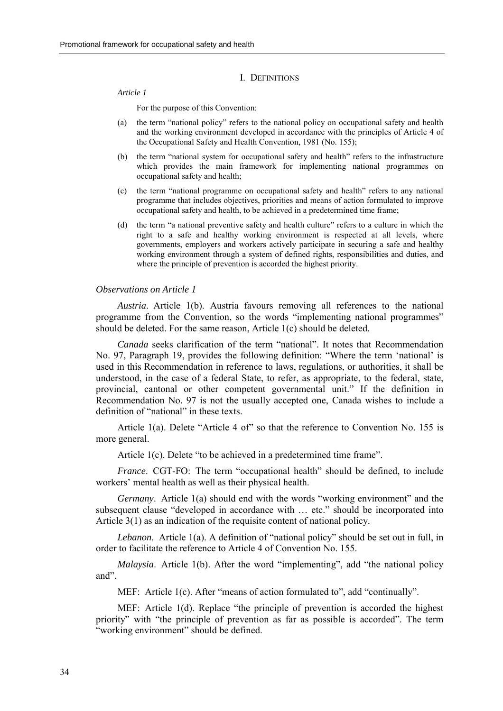#### I. DEFINITIONS

#### *Article 1*

For the purpose of this Convention:

- (a) the term "national policy" refers to the national policy on occupational safety and health and the working environment developed in accordance with the principles of Article 4 of the Occupational Safety and Health Convention, 1981 (No. 155);
- $(b)$  the term "national system for occupational safety and health" refers to the infrastructure which provides the main framework for implementing national programmes on occupational safety and health;
- $(c)$  the term "national programme on occupational safety and health" refers to any national programme that includes objectives, priorities and means of action formulated to improve occupational safety and health, to be achieved in a predetermined time frame;
- (d) the term  $a$  national preventive safety and health culture" refers to a culture in which the right to a safe and healthy working environment is respected at all levels, where governments, employers and workers actively participate in securing a safe and healthy working environment through a system of defined rights, responsibilities and duties, and where the principle of prevention is accorded the highest priority.

#### *Observations on Article 1*

*Austria*. Article 1(b). Austria favours removing all references to the national programme from the Convention, so the words "implementing national programmes" should be deleted. For the same reason, Article 1(c) should be deleted.

*Canada* seeks clarification of the term "national". It notes that Recommendation No. 97, Paragraph 19, provides the following definition: "Where the term 'national' is used in this Recommendation in reference to laws, regulations, or authorities, it shall be understood, in the case of a federal State, to refer, as appropriate, to the federal, state, provincial, cantonal or other competent governmental unit." If the definition in Recommendation No. 97 is not the usually accepted one, Canada wishes to include a definition of "national" in these texts.

Article 1(a). Delete "Article 4 of" so that the reference to Convention No. 155 is more general.

Article  $1(c)$ . Delete "to be achieved in a predetermined time frame".

*France*. CGT-FO: The term "occupational health" should be defined, to include workers' mental health as well as their physical health.

*Germany*. Article 1(a) should end with the words "working environment" and the subsequent clause "developed in accordance with  $\ldots$  etc." should be incorporated into Article 3(1) as an indication of the requisite content of national policy.

*Lebanon*. Article 1(a). A definition of "national policy" should be set out in full, in order to facilitate the reference to Article 4 of Convention No. 155.

*Malaysia*. Article 1(b). After the word "implementing", add "the national policy and".

MEF: Article  $1(c)$ . After "means of action formulated to", add "continually".

MEF: Article  $1(d)$ . Replace "the principle of prevention is accorded the highest priority" with "the principle of prevention as far as possible is accorded". The term "working environment" should be defined.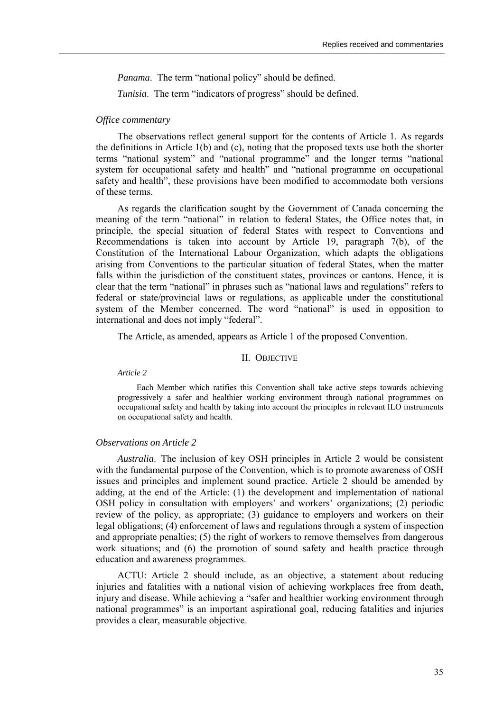*Panama*. The term "national policy" should be defined.

*Tunisia*. The term "indicators of progress" should be defined.

# *Office commentary*

The observations reflect general support for the contents of Article 1. As regards the definitions in Article 1(b) and (c), noting that the proposed texts use both the shorter terms "national system" and "national programme" and the longer terms "national system for occupational safety and health" and "national programme on occupational safety and health", these provisions have been modified to accommodate both versions of these terms.

As regards the clarification sought by the Government of Canada concerning the meaning of the term "national" in relation to federal States, the Office notes that, in principle, the special situation of federal States with respect to Conventions and Recommendations is taken into account by Article 19, paragraph 7(b), of the Constitution of the International Labour Organization, which adapts the obligations arising from Conventions to the particular situation of federal States, when the matter falls within the jurisdiction of the constituent states, provinces or cantons. Hence, it is clear that the term "national" in phrases such as "national laws and regulations" refers to federal or state/provincial laws or regulations, as applicable under the constitutional system of the Member concerned. The word "national" is used in opposition to international and does not imply "federal".

The Article, as amended, appears as Article 1 of the proposed Convention.

## II. OBJECTIVE

*Article 2* 

Each Member which ratifies this Convention shall take active steps towards achieving progressively a safer and healthier working environment through national programmes on occupational safety and health by taking into account the principles in relevant ILO instruments on occupational safety and health.

# *Observations on Article 2*

*Australia*. The inclusion of key OSH principles in Article 2 would be consistent with the fundamental purpose of the Convention, which is to promote awareness of OSH issues and principles and implement sound practice. Article 2 should be amended by adding, at the end of the Article: (1) the development and implementation of national OSH policy in consultation with employers' and workers' organizations; (2) periodic review of the policy, as appropriate; (3) guidance to employers and workers on their legal obligations; (4) enforcement of laws and regulations through a system of inspection and appropriate penalties; (5) the right of workers to remove themselves from dangerous work situations; and (6) the promotion of sound safety and health practice through education and awareness programmes.

ACTU: Article 2 should include, as an objective, a statement about reducing injuries and fatalities with a national vision of achieving workplaces free from death, injury and disease. While achieving a "safer and healthier working environment through national programmes" is an important aspirational goal, reducing fatalities and injuries provides a clear, measurable objective.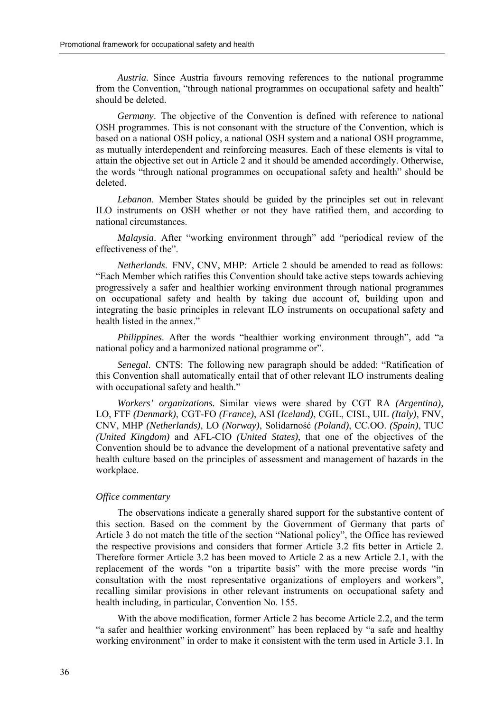*Austria*. Since Austria favours removing references to the national programme from the Convention, "through national programmes on occupational safety and health" should be deleted.

*Germany*. The objective of the Convention is defined with reference to national OSH programmes. This is not consonant with the structure of the Convention, which is based on a national OSH policy, a national OSH system and a national OSH programme, as mutually interdependent and reinforcing measures. Each of these elements is vital to attain the objective set out in Article 2 and it should be amended accordingly. Otherwise, the words "through national programmes on occupational safety and health" should be deleted.

*Lebanon*. Member States should be guided by the principles set out in relevant ILO instruments on OSH whether or not they have ratified them, and according to national circumstances.

*Malaysia*. After "working environment through" add "periodical review of the effectiveness of the<sup>"</sup>

*Netherlands*. FNV, CNV, MHP: Article 2 should be amended to read as follows: ìEach Member which ratifies this Convention should take active steps towards achieving progressively a safer and healthier working environment through national programmes on occupational safety and health by taking due account of, building upon and integrating the basic principles in relevant ILO instruments on occupational safety and health listed in the annex."

*Philippines*. After the words "healthier working environment through", add "a national policy and a harmonized national programme or".

*Senegal.* CNTS: The following new paragraph should be added: "Ratification of this Convention shall automatically entail that of other relevant ILO instruments dealing with occupational safety and health."

*Workers' organizations.* Similar views were shared by CGT RA *(Argentina),* LO, FTF *(Denmark)*, CGT-FO *(France)*, ASI *(Iceland)*, CGIL, CISL, UIL *(Italy)*, FNV, CNV, MHP *(Netherlands)*, LO *(Norway)*, Solidarność *(Poland)*, CC.OO. *(Spain)*, TUC *(United Kingdom)* and AFL-CIO *(United States)*, that one of the objectives of the Convention should be to advance the development of a national preventative safety and health culture based on the principles of assessment and management of hazards in the workplace.

# *Office commentary*

The observations indicate a generally shared support for the substantive content of this section. Based on the comment by the Government of Germany that parts of Article 3 do not match the title of the section "National policy", the Office has reviewed the respective provisions and considers that former Article 3.2 fits better in Article 2. Therefore former Article 3.2 has been moved to Article 2 as a new Article 2.1, with the replacement of the words "on a tripartite basis" with the more precise words "in consultation with the most representative organizations of employers and workers", recalling similar provisions in other relevant instruments on occupational safety and health including, in particular, Convention No. 155.

With the above modification, former Article 2 has become Article 2.2, and the term "a safer and healthier working environment" has been replaced by "a safe and healthy working environment" in order to make it consistent with the term used in Article 3.1. In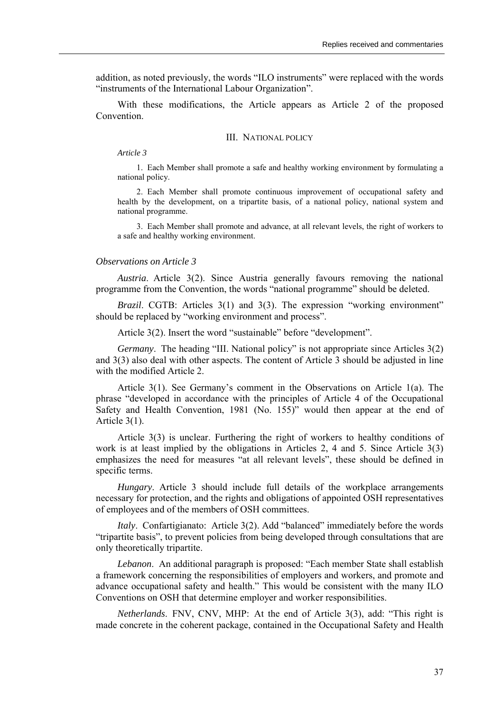addition, as noted previously, the words "ILO instruments" were replaced with the words "instruments of the International Labour Organization".

With these modifications, the Article appears as Article 2 of the proposed Convention.

#### III. NATIONAL POLICY

*Article 3* 

1. Each Member shall promote a safe and healthy working environment by formulating a national policy.

2. Each Member shall promote continuous improvement of occupational safety and health by the development, on a tripartite basis, of a national policy, national system and national programme.

3. Each Member shall promote and advance, at all relevant levels, the right of workers to a safe and healthy working environment.

#### *Observations on Article 3*

*Austria*. Article 3(2). Since Austria generally favours removing the national programme from the Convention, the words "national programme" should be deleted.

*Brazil*. CGTB: Articles 3(1) and 3(3). The expression "working environment" should be replaced by "working environment and process".

Article  $3(2)$ . Insert the word "sustainable" before "development".

*Germany*. The heading "III. National policy" is not appropriate since Articles 3(2) and 3(3) also deal with other aspects. The content of Article 3 should be adjusted in line with the modified Article 2.

Article  $3(1)$ . See Germany's comment in the Observations on Article 1(a). The phrase "developed in accordance with the principles of Article 4 of the Occupational Safety and Health Convention,  $1981$  (No.  $155$ )" would then appear at the end of Article 3(1).

Article 3(3) is unclear. Furthering the right of workers to healthy conditions of work is at least implied by the obligations in Articles 2, 4 and 5. Since Article 3(3) emphasizes the need for measures "at all relevant levels", these should be defined in specific terms.

*Hungary*. Article 3 should include full details of the workplace arrangements necessary for protection, and the rights and obligations of appointed OSH representatives of employees and of the members of OSH committees.

*Italy.* Confartigianato: Article 3(2). Add "balanced" immediately before the words ìtripartite basisî, to prevent policies from being developed through consultations that are only theoretically tripartite.

*Lebanon*. An additional paragraph is proposed: "Each member State shall establish a framework concerning the responsibilities of employers and workers, and promote and advance occupational safety and health." This would be consistent with the many ILO Conventions on OSH that determine employer and worker responsibilities.

*Netherlands*. FNV, CNV, MHP: At the end of Article 3(3), add: "This right is made concrete in the coherent package, contained in the Occupational Safety and Health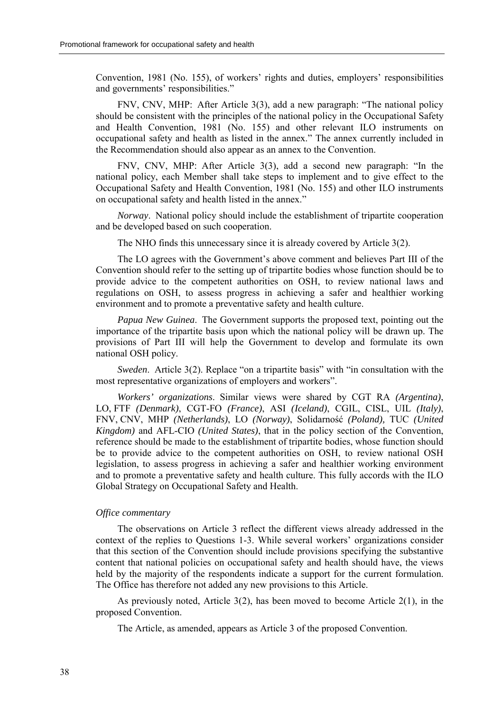Convention, 1981 (No. 155), of workers' rights and duties, employers' responsibilities and governments' responsibilities."

FNV, CNV, MHP: After Article 3(3), add a new paragraph: "The national policy should be consistent with the principles of the national policy in the Occupational Safety and Health Convention, 1981 (No. 155) and other relevant ILO instruments on occupational safety and health as listed in the annex." The annex currently included in the Recommendation should also appear as an annex to the Convention.

FNV, CNV, MHP: After Article  $3(3)$ , add a second new paragraph: "In the national policy, each Member shall take steps to implement and to give effect to the Occupational Safety and Health Convention, 1981 (No. 155) and other ILO instruments on occupational safety and health listed in the annex.<sup>"</sup>

*Norway*. National policy should include the establishment of tripartite cooperation and be developed based on such cooperation.

The NHO finds this unnecessary since it is already covered by Article 3(2).

The LO agrees with the Government's above comment and believes Part III of the Convention should refer to the setting up of tripartite bodies whose function should be to provide advice to the competent authorities on OSH, to review national laws and regulations on OSH, to assess progress in achieving a safer and healthier working environment and to promote a preventative safety and health culture.

*Papua New Guinea*. The Government supports the proposed text, pointing out the importance of the tripartite basis upon which the national policy will be drawn up. The provisions of Part III will help the Government to develop and formulate its own national OSH policy.

*Sweden.* Article 3(2). Replace "on a tripartite basis" with "in consultation with the most representative organizations of employers and workers".

*Workers' organizations*. Similar views were shared by CGT RA *(Argentina)*, LO, FTF *(Denmark)*, CGT-FO *(France)*, ASI *(Iceland)*, CGIL, CISL, UIL *(Italy)*, FNV, CNV, MHP *(Netherlands)*, LO *(Norway)*, Solidarność *(Poland),* TUC *(United Kingdom)* and AFL-CIO *(United States)*, that in the policy section of the Convention, reference should be made to the establishment of tripartite bodies, whose function should be to provide advice to the competent authorities on OSH, to review national OSH legislation, to assess progress in achieving a safer and healthier working environment and to promote a preventative safety and health culture. This fully accords with the ILO Global Strategy on Occupational Safety and Health.

# *Office commentary*

The observations on Article 3 reflect the different views already addressed in the context of the replies to Questions 1-3. While several workers' organizations consider that this section of the Convention should include provisions specifying the substantive content that national policies on occupational safety and health should have, the views held by the majority of the respondents indicate a support for the current formulation. The Office has therefore not added any new provisions to this Article.

As previously noted, Article  $3(2)$ , has been moved to become Article  $2(1)$ , in the proposed Convention.

The Article, as amended, appears as Article 3 of the proposed Convention.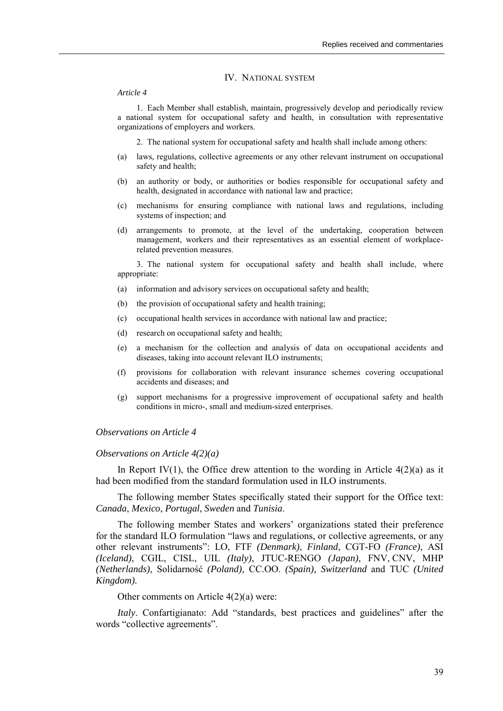#### IV. NATIONAL SYSTEM

#### *Article 4*

1. Each Member shall establish, maintain, progressively develop and periodically review a national system for occupational safety and health, in consultation with representative organizations of employers and workers.

2. The national system for occupational safety and health shall include among others:

- (a) laws, regulations, collective agreements or any other relevant instrument on occupational safety and health;
- (b) an authority or body, or authorities or bodies responsible for occupational safety and health, designated in accordance with national law and practice;
- (c) mechanisms for ensuring compliance with national laws and regulations, including systems of inspection; and
- (d) arrangements to promote, at the level of the undertaking, cooperation between management, workers and their representatives as an essential element of workplacerelated prevention measures.

3. The national system for occupational safety and health shall include, where appropriate:

- (a) information and advisory services on occupational safety and health;
- (b) the provision of occupational safety and health training;
- (c) occupational health services in accordance with national law and practice;
- (d) research on occupational safety and health;
- (e) a mechanism for the collection and analysis of data on occupational accidents and diseases, taking into account relevant ILO instruments;
- (f) provisions for collaboration with relevant insurance schemes covering occupational accidents and diseases; and
- (g) support mechanisms for a progressive improvement of occupational safety and health conditions in micro-, small and medium-sized enterprises.

# *Observations on Article 4*

#### *Observations on Article 4(2)(a)*

In Report IV(1), the Office drew attention to the wording in Article  $4(2)(a)$  as it had been modified from the standard formulation used in ILO instruments.

The following member States specifically stated their support for the Office text: *Canada*, *Mexico*, *Portugal*, *Sweden* and *Tunisia*.

The following member States and workersí organizations stated their preference for the standard ILO formulation "laws and regulations, or collective agreements, or any other relevant instrumentsî: LO, FTF *(Denmark)*, *Finland*, CGT-FO *(France)*, ASI *(Iceland)*, CGIL, CISL, UIL *(Italy)*, JTUC-RENGO *(Japan)*, FNV, CNV, MHP *(Netherlands)*, Solidarność *(Poland),* CC.OO. *(Spain), Switzerland* and TUC *(United Kingdom).* 

Other comments on Article 4(2)(a) were:

*Italy*. Confartigianato: Add "standards, best practices and guidelines" after the words "collective agreements".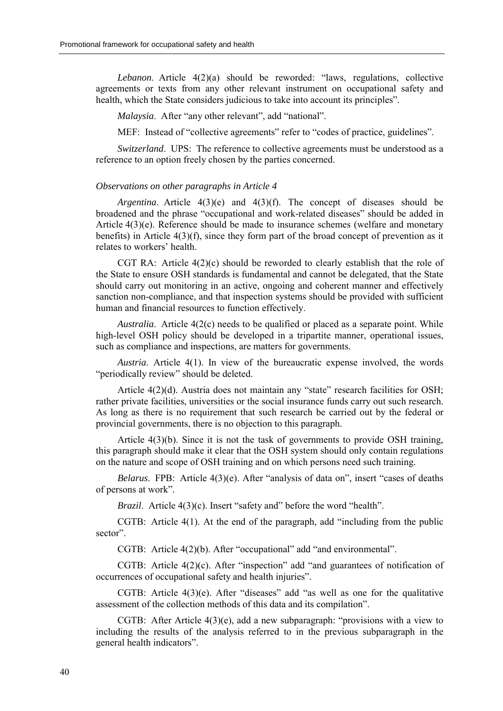*Lebanon*. Article  $4(2)(a)$  should be reworded: "laws, regulations, collective agreements or texts from any other relevant instrument on occupational safety and health, which the State considers judicious to take into account its principles".

*Malaysia.* After "any other relevant", add "national".

MEF: Instead of "collective agreements" refer to "codes of practice, guidelines".

*Switzerland.* UPS: The reference to collective agreements must be understood as a reference to an option freely chosen by the parties concerned.

#### *Observations on other paragraphs in Article 4*

*Argentina*. Article 4(3)(e) and 4(3)(f). The concept of diseases should be broadened and the phrase "occupational and work-related diseases" should be added in Article 4(3)(e). Reference should be made to insurance schemes (welfare and monetary benefits) in Article 4(3)(f), since they form part of the broad concept of prevention as it relates to workers' health.

CGT RA: Article  $4(2)(c)$  should be reworded to clearly establish that the role of the State to ensure OSH standards is fundamental and cannot be delegated, that the State should carry out monitoring in an active, ongoing and coherent manner and effectively sanction non-compliance, and that inspection systems should be provided with sufficient human and financial resources to function effectively.

*Australia*. Article 4(2(c) needs to be qualified or placed as a separate point. While high-level OSH policy should be developed in a tripartite manner, operational issues, such as compliance and inspections, are matters for governments.

*Austria*. Article 4(1). In view of the bureaucratic expense involved, the words "periodically review" should be deleted.

Article  $4(2)(d)$ . Austria does not maintain any "state" research facilities for OSH; rather private facilities, universities or the social insurance funds carry out such research. As long as there is no requirement that such research be carried out by the federal or provincial governments, there is no objection to this paragraph.

Article 4(3)(b). Since it is not the task of governments to provide OSH training, this paragraph should make it clear that the OSH system should only contain regulations on the nature and scope of OSH training and on which persons need such training.

*Belarus*. FPB: Article 4(3)(e). After "analysis of data on", insert "cases of deaths of persons at work".

*Brazil.* Article 4(3)(c). Insert "safety and" before the word "health".

CGTB: Article  $4(1)$ . At the end of the paragraph, add "including from the public sector".

CGTB: Article  $4(2)(b)$ . After "occupational" add "and environmental".

CGTB: Article  $4(2)(c)$ . After "inspection" add "and guarantees of notification of occurrences of occupational safety and health injuries".

CGTB: Article  $4(3)(e)$ . After "diseases" add "as well as one for the qualitative assessment of the collection methods of this data and its compilation".

CGTB: After Article  $4(3)(e)$ , add a new subparagraph: "provisions with a view to including the results of the analysis referred to in the previous subparagraph in the general health indicators".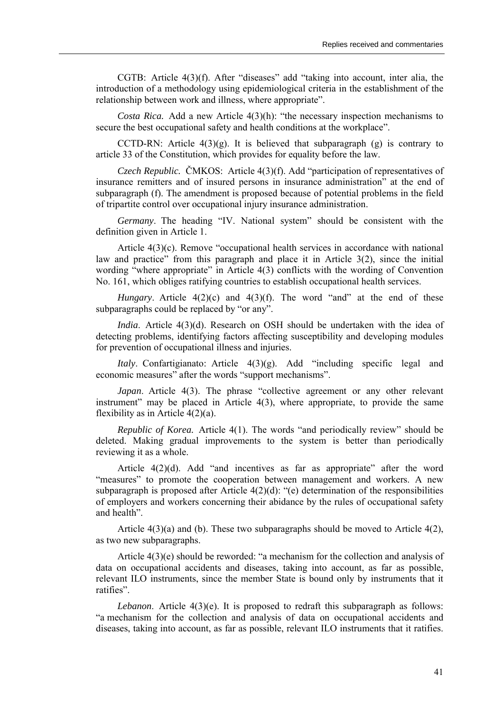CGTB: Article  $4(3)(f)$ . After "diseases" add "taking into account, inter alia, the introduction of a methodology using epidemiological criteria in the establishment of the relationship between work and illness, where appropriate".

*Costa Rica.* Add a new Article 4(3)(h): "the necessary inspection mechanisms to secure the best occupational safety and health conditions at the workplace".

CCTD-RN: Article  $4(3)(g)$ . It is believed that subparagraph  $(g)$  is contrary to article 33 of the Constitution, which provides for equality before the law.

*Czech Republic.* ČMKOS: Article 4(3)(f). Add "participation of representatives of insurance remitters and of insured persons in insurance administration" at the end of subparagraph (f). The amendment is proposed because of potential problems in the field of tripartite control over occupational injury insurance administration.

*Germany*. The heading "IV. National system" should be consistent with the definition given in Article 1.

Article  $4(3)(c)$ . Remove "occupational health services in accordance with national law and practice" from this paragraph and place it in Article  $3(2)$ , since the initial wording "where appropriate" in Article  $4(3)$  conflicts with the wording of Convention No. 161, which obliges ratifying countries to establish occupational health services.

*Hungary*. Article  $4(2)(c)$  and  $4(3)(f)$ . The word "and" at the end of these subparagraphs could be replaced by "or any".

*India*. Article 4(3)(d). Research on OSH should be undertaken with the idea of detecting problems, identifying factors affecting susceptibility and developing modules for prevention of occupational illness and injuries.

*Italy*. Confartigianato: Article 4(3)(g). Add "including specific legal and economic measures" after the words "support mechanisms".

*Japan*. Article 4(3). The phrase "collective agreement or any other relevant instrument" may be placed in Article  $4(3)$ , where appropriate, to provide the same flexibility as in Article 4(2)(a).

*Republic of Korea.* Article 4(1). The words "and periodically review" should be deleted. Making gradual improvements to the system is better than periodically reviewing it as a whole.

Article  $4(2)(d)$ . Add "and incentives as far as appropriate" after the word "measures" to promote the cooperation between management and workers. A new subparagraph is proposed after Article  $4(2)(d)$ : "(e) determination of the responsibilities of employers and workers concerning their abidance by the rules of occupational safety and health".

Article  $4(3)(a)$  and (b). These two subparagraphs should be moved to Article  $4(2)$ , as two new subparagraphs.

Article  $4(3)(e)$  should be reworded: "a mechanism for the collection and analysis of data on occupational accidents and diseases, taking into account, as far as possible, relevant ILO instruments, since the member State is bound only by instruments that it ratifies".

*Lebanon*. Article 4(3)(e). It is proposed to redraft this subparagraph as follows: ìa mechanism for the collection and analysis of data on occupational accidents and diseases, taking into account, as far as possible, relevant ILO instruments that it ratifies.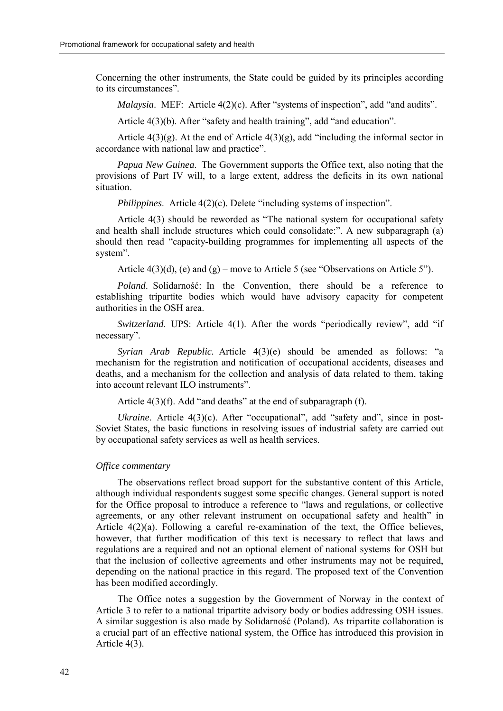Concerning the other instruments, the State could be guided by its principles according to its circumstances".

*Malaysia.* MEF: Article 4(2)(c). After "systems of inspection", add "and audits".

Article  $4(3)(b)$ . After "safety and health training", add "and education".

Article  $4(3)(g)$ . At the end of Article  $4(3)(g)$ , add "including the informal sector in accordance with national law and practice".

*Papua New Guinea*. The Government supports the Office text, also noting that the provisions of Part IV will, to a large extent, address the deficits in its own national situation.

*Philippines.* Article  $4(2)(c)$ . Delete "including systems of inspection".

Article  $4(3)$  should be reworded as "The national system for occupational safety and health shall include structures which could consolidate: $\degree$ . A new subparagraph (a) should then read "capacity-building programmes for implementing all aspects of the system".

Article  $4(3)(d)$ , (e) and (g) – move to Article 5 (see "Observations on Article 5").

*Poland*. Solidarność: In the Convention, there should be a reference to establishing tripartite bodies which would have advisory capacity for competent authorities in the OSH area.

*Switzerland*. UPS: Article 4(1). After the words "periodically review", add "if necessary".

*Syrian Arab Republic.* Article 4(3)(e) should be amended as follows: "a mechanism for the registration and notification of occupational accidents, diseases and deaths, and a mechanism for the collection and analysis of data related to them, taking into account relevant ILO instruments".

Article  $4(3)(f)$ . Add "and deaths" at the end of subparagraph (f).

*Ukraine*. Article 4(3)(c). After "occupational", add "safety and", since in post-Soviet States, the basic functions in resolving issues of industrial safety are carried out by occupational safety services as well as health services.

#### *Office commentary*

The observations reflect broad support for the substantive content of this Article, although individual respondents suggest some specific changes. General support is noted for the Office proposal to introduce a reference to "laws and regulations, or collective agreements, or any other relevant instrument on occupational safety and health<sup>"</sup> in Article 4(2)(a). Following a careful re-examination of the text, the Office believes, however, that further modification of this text is necessary to reflect that laws and regulations are a required and not an optional element of national systems for OSH but that the inclusion of collective agreements and other instruments may not be required, depending on the national practice in this regard. The proposed text of the Convention has been modified accordingly.

The Office notes a suggestion by the Government of Norway in the context of Article 3 to refer to a national tripartite advisory body or bodies addressing OSH issues. A similar suggestion is also made by Solidarność (Poland). As tripartite collaboration is a crucial part of an effective national system, the Office has introduced this provision in Article 4(3).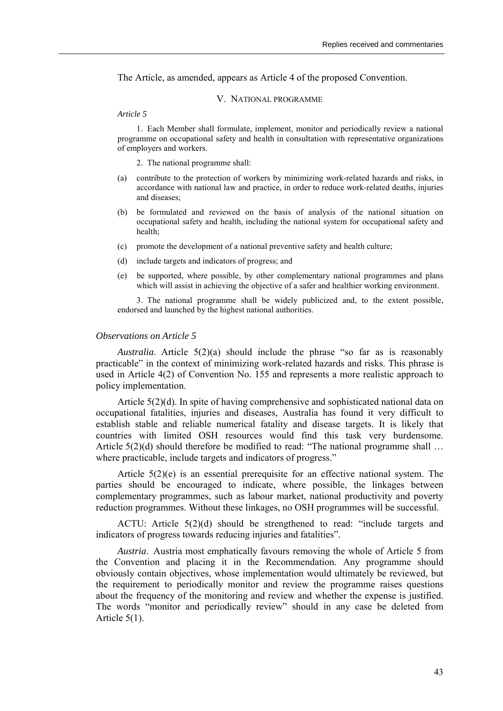The Article, as amended, appears as Article 4 of the proposed Convention.

# V. NATIONAL PROGRAMME

#### *Article 5*

1. Each Member shall formulate, implement, monitor and periodically review a national programme on occupational safety and health in consultation with representative organizations of employers and workers.

- 2. The national programme shall:
- (a) contribute to the protection of workers by minimizing work-related hazards and risks, in accordance with national law and practice, in order to reduce work-related deaths, injuries and diseases;
- (b) be formulated and reviewed on the basis of analysis of the national situation on occupational safety and health, including the national system for occupational safety and health;
- (c) promote the development of a national preventive safety and health culture;
- (d) include targets and indicators of progress; and
- (e) be supported, where possible, by other complementary national programmes and plans which will assist in achieving the objective of a safer and healthier working environment.

3. The national programme shall be widely publicized and, to the extent possible, endorsed and launched by the highest national authorities.

#### *Observations on Article 5*

*Australia*. Article  $5(2)(a)$  should include the phrase "so far as is reasonably practicable" in the context of minimizing work-related hazards and risks. This phrase is used in Article 4(2) of Convention No. 155 and represents a more realistic approach to policy implementation.

Article 5(2)(d). In spite of having comprehensive and sophisticated national data on occupational fatalities, injuries and diseases, Australia has found it very difficult to establish stable and reliable numerical fatality and disease targets. It is likely that countries with limited OSH resources would find this task very burdensome. Article  $5(2)(d)$  should therefore be modified to read: "The national programme shall  $\dots$ where practicable, include targets and indicators of progress."

Article 5(2)(e) is an essential prerequisite for an effective national system. The parties should be encouraged to indicate, where possible, the linkages between complementary programmes, such as labour market, national productivity and poverty reduction programmes. Without these linkages, no OSH programmes will be successful.

ACTU: Article  $5(2)(d)$  should be strengthened to read: "include targets and indicators of progress towards reducing injuries and fatalities".

*Austria*. Austria most emphatically favours removing the whole of Article 5 from the Convention and placing it in the Recommendation. Any programme should obviously contain objectives, whose implementation would ultimately be reviewed, but the requirement to periodically monitor and review the programme raises questions about the frequency of the monitoring and review and whether the expense is justified. The words "monitor and periodically review" should in any case be deleted from Article 5(1).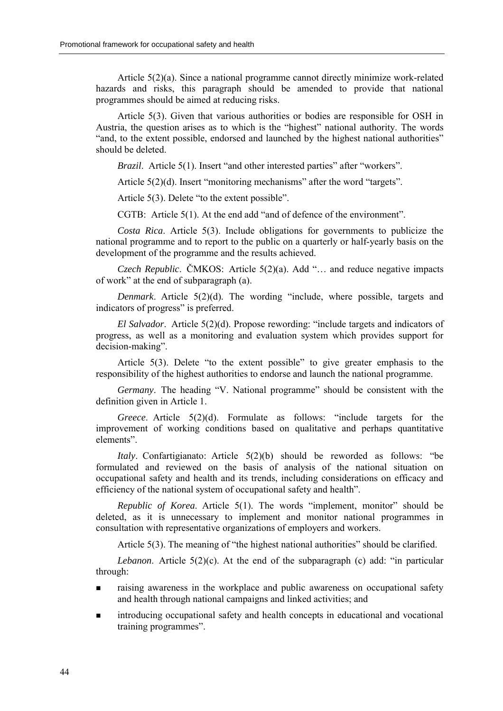Article 5(2)(a). Since a national programme cannot directly minimize work-related hazards and risks, this paragraph should be amended to provide that national programmes should be aimed at reducing risks.

Article 5(3). Given that various authorities or bodies are responsible for OSH in Austria, the question arises as to which is the "highest" national authority. The words "and, to the extent possible, endorsed and launched by the highest national authorities" should be deleted.

*Brazil.* Article 5(1). Insert "and other interested parties" after "workers".

Article  $5(2)(d)$ . Insert "monitoring mechanisms" after the word "targets".

Article  $5(3)$ . Delete "to the extent possible".

CGTB: Article  $5(1)$ . At the end add "and of defence of the environment".

*Costa Rica*. Article 5(3). Include obligations for governments to publicize the national programme and to report to the public on a quarterly or half-yearly basis on the development of the programme and the results achieved.

*Czech Republic.* ČMKOS: Article  $5(2)(a)$ . Add "... and reduce negative impacts of work" at the end of subparagraph  $(a)$ .

*Denmark*. Article 5(2)(d). The wording "include, where possible, targets and indicators of progress" is preferred.

*El Salvador.* Article 5(2)(d). Propose rewording: "include targets and indicators of progress, as well as a monitoring and evaluation system which provides support for decision-making".

Article  $5(3)$ . Delete "to the extent possible" to give greater emphasis to the responsibility of the highest authorities to endorse and launch the national programme.

*Germany*. The heading "V. National programme" should be consistent with the definition given in Article 1.

*Greece*. Article 5(2)(d). Formulate as follows: "include targets for the improvement of working conditions based on qualitative and perhaps quantitative elements".

*Italy*. Confartigianato: Article 5(2)(b) should be reworded as follows: "be formulated and reviewed on the basis of analysis of the national situation on occupational safety and health and its trends, including considerations on efficacy and efficiency of the national system of occupational safety and health".

*Republic of Korea*. Article 5(1). The words "implement, monitor" should be deleted, as it is unnecessary to implement and monitor national programmes in consultation with representative organizations of employers and workers.

Article  $5(3)$ . The meaning of "the highest national authorities" should be clarified.

*Lebanon*. Article  $5(2)(c)$ . At the end of the subparagraph (c) add: "in particular through:

- raising awareness in the workplace and public awareness on occupational safety and health through national campaigns and linked activities; and
- ! introducing occupational safety and health concepts in educational and vocational training programmes".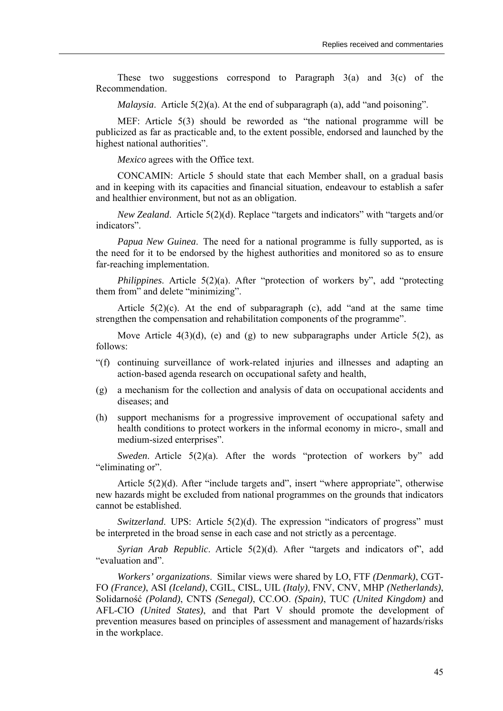These two suggestions correspond to Paragraph  $3(a)$  and  $3(c)$  of the Recommendation.

*Malaysia*. Article  $5(2)(a)$ . At the end of subparagraph  $(a)$ , add "and poisoning".

MEF: Article  $5(3)$  should be reworded as "the national programme will be publicized as far as practicable and, to the extent possible, endorsed and launched by the highest national authorities".

*Mexico* agrees with the Office text.

CONCAMIN: Article 5 should state that each Member shall, on a gradual basis and in keeping with its capacities and financial situation, endeavour to establish a safer and healthier environment, but not as an obligation.

*New Zealand.* Article 5(2)(d). Replace "targets and indicators" with "targets and/or indicators".

*Papua New Guinea*. The need for a national programme is fully supported, as is the need for it to be endorsed by the highest authorities and monitored so as to ensure far-reaching implementation.

*Philippines*. Article 5(2)(a). After "protection of workers by", add "protecting them from" and delete "minimizing".

Article  $5(2)(c)$ . At the end of subparagraph (c), add "and at the same time strengthen the compensation and rehabilitation components of the programme".

Move Article  $4(3)(d)$ , (e) and (g) to new subparagraphs under Article  $5(2)$ , as follows:

- ì(f) continuing surveillance of work-related injuries and illnesses and adapting an action-based agenda research on occupational safety and health,
- (g) a mechanism for the collection and analysis of data on occupational accidents and diseases; and
- (h) support mechanisms for a progressive improvement of occupational safety and health conditions to protect workers in the informal economy in micro-, small and medium-sized enterprises".

*Sweden*. Article 5(2)(a). After the words "protection of workers by" add "eliminating or".

Article  $5(2)(d)$ . After "include targets and", insert "where appropriate", otherwise new hazards might be excluded from national programmes on the grounds that indicators cannot be established.

*Switzerland*. UPS: Article 5(2)(d). The expression "indicators of progress" must be interpreted in the broad sense in each case and not strictly as a percentage.

*Syrian Arab Republic*. Article 5(2)(d). After "targets and indicators of", add "evaluation and".

*Workers' organizations*. Similar views were shared by LO, FTF *(Denmark)*, CGT-FO *(France)*, ASI *(Iceland)*, CGIL, CISL, UIL *(Italy)*, FNV, CNV, MHP *(Netherlands)*, Solidarność *(Poland)*, CNTS *(Senegal)*, CC.OO. *(Spain)*, TUC *(United Kingdom)* and AFL-CIO *(United States)*, and that Part V should promote the development of prevention measures based on principles of assessment and management of hazards/risks in the workplace.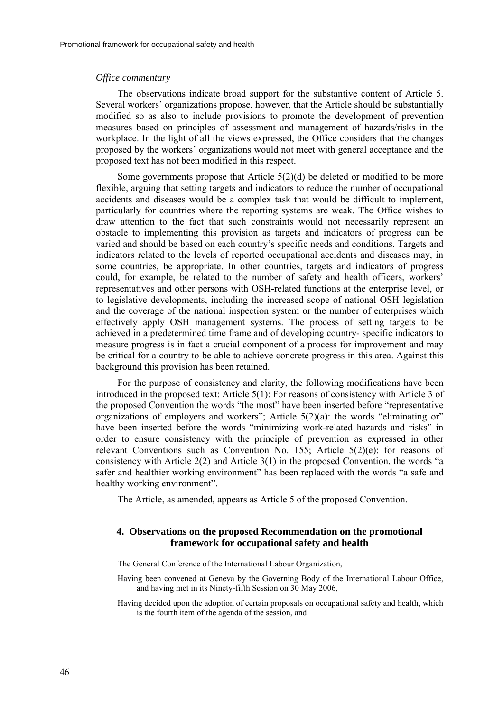# *Office commentary*

The observations indicate broad support for the substantive content of Article 5. Several workers' organizations propose, however, that the Article should be substantially modified so as also to include provisions to promote the development of prevention measures based on principles of assessment and management of hazards/risks in the workplace. In the light of all the views expressed, the Office considers that the changes proposed by the workers' organizations would not meet with general acceptance and the proposed text has not been modified in this respect.

Some governments propose that Article  $5(2)(d)$  be deleted or modified to be more flexible, arguing that setting targets and indicators to reduce the number of occupational accidents and diseases would be a complex task that would be difficult to implement, particularly for countries where the reporting systems are weak. The Office wishes to draw attention to the fact that such constraints would not necessarily represent an obstacle to implementing this provision as targets and indicators of progress can be varied and should be based on each countryís specific needs and conditions. Targets and indicators related to the levels of reported occupational accidents and diseases may, in some countries, be appropriate. In other countries, targets and indicators of progress could, for example, be related to the number of safety and health officers, workers' representatives and other persons with OSH-related functions at the enterprise level, or to legislative developments, including the increased scope of national OSH legislation and the coverage of the national inspection system or the number of enterprises which effectively apply OSH management systems. The process of setting targets to be achieved in a predetermined time frame and of developing country- specific indicators to measure progress is in fact a crucial component of a process for improvement and may be critical for a country to be able to achieve concrete progress in this area. Against this background this provision has been retained.

For the purpose of consistency and clarity, the following modifications have been introduced in the proposed text: Article 5(1): For reasons of consistency with Article 3 of the proposed Convention the words "the most" have been inserted before "representative" organizations of employers and workers"; Article  $5(2)(a)$ : the words "eliminating or" have been inserted before the words "minimizing work-related hazards and risks" in order to ensure consistency with the principle of prevention as expressed in other relevant Conventions such as Convention No. 155; Article 5(2)(e): for reasons of consistency with Article  $2(2)$  and Article  $3(1)$  in the proposed Convention, the words "a safer and healthier working environment" has been replaced with the words "a safe and healthy working environment".

The Article, as amended, appears as Article 5 of the proposed Convention.

# **4. Observations on the proposed Recommendation on the promotional framework for occupational safety and health**

The General Conference of the International Labour Organization,

- Having been convened at Geneva by the Governing Body of the International Labour Office, and having met in its Ninety-fifth Session on 30 May 2006,
- Having decided upon the adoption of certain proposals on occupational safety and health, which is the fourth item of the agenda of the session, and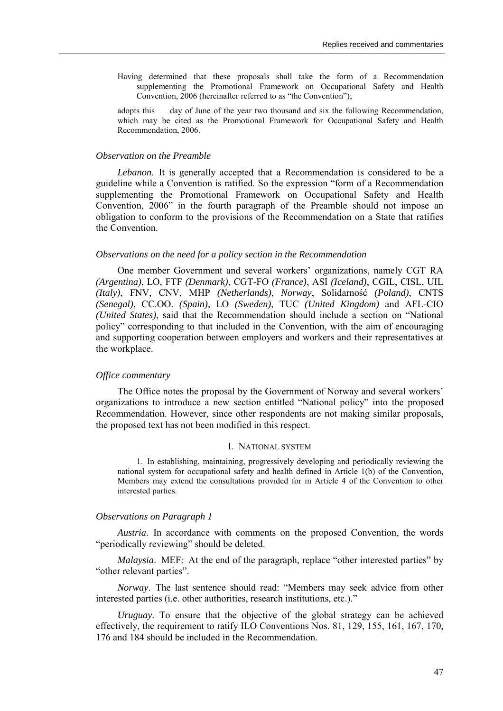Having determined that these proposals shall take the form of a Recommendation supplementing the Promotional Framework on Occupational Safety and Health Convention, 2006 (hereinafter referred to as "the Convention");

adopts this day of June of the year two thousand and six the following Recommendation, which may be cited as the Promotional Framework for Occupational Safety and Health Recommendation, 2006.

#### *Observation on the Preamble*

*Lebanon*. It is generally accepted that a Recommendation is considered to be a guideline while a Convention is ratified. So the expression "form of a Recommendation" supplementing the Promotional Framework on Occupational Safety and Health Convention, 2006î in the fourth paragraph of the Preamble should not impose an obligation to conform to the provisions of the Recommendation on a State that ratifies the Convention.

## *Observations on the need for a policy section in the Recommendation*

One member Government and several workers' organizations, namely CGT RA *(Argentina)*, LO, FTF *(Denmark)*, CGT-FO *(France)*, ASI *(Iceland)*, CGIL, CISL, UIL *(Italy)*, FNV, CNV, MHP *(Netherlands)*, *Norway*, Solidarność *(Poland)*, CNTS *(Senegal)*, CC.OO. *(Spain)*, LO *(Sweden)*, TUC *(United Kingdom)* and AFL-CIO *(United States)*, said that the Recommendation should include a section on "National policyî corresponding to that included in the Convention, with the aim of encouraging and supporting cooperation between employers and workers and their representatives at the workplace.

#### *Office commentary*

The Office notes the proposal by the Government of Norway and several workers<sup>'</sup> organizations to introduce a new section entitled "National policy" into the proposed Recommendation. However, since other respondents are not making similar proposals, the proposed text has not been modified in this respect.

#### I. NATIONAL SYSTEM

1. In establishing, maintaining, progressively developing and periodically reviewing the national system for occupational safety and health defined in Article 1(b) of the Convention, Members may extend the consultations provided for in Article 4 of the Convention to other interested parties.

#### *Observations on Paragraph 1*

*Austria*. In accordance with comments on the proposed Convention, the words "periodically reviewing" should be deleted.

*Malaysia*. MEF: At the end of the paragraph, replace "other interested parties" by "other relevant parties".

*Norway*. The last sentence should read: "Members may seek advice from other interested parties (i.e. other authorities, research institutions, etc.).<sup>77</sup>

*Uruguay*. To ensure that the objective of the global strategy can be achieved effectively, the requirement to ratify ILO Conventions Nos. 81, 129, 155, 161, 167, 170, 176 and 184 should be included in the Recommendation.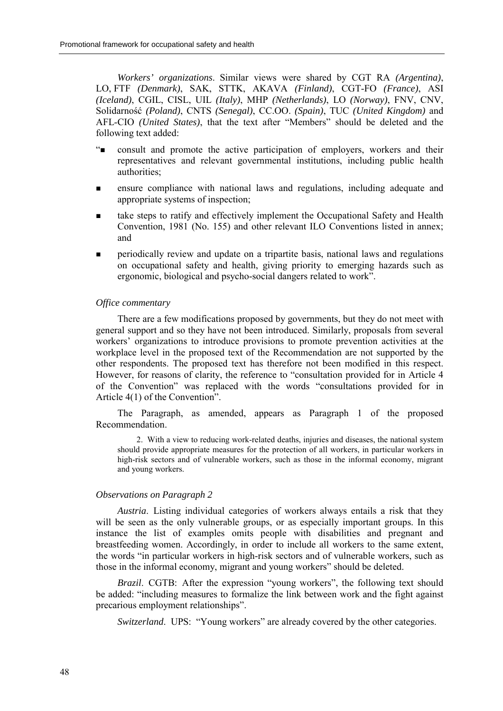*Workers' organizations*. Similar views were shared by CGT RA *(Argentina)*, LO, FTF *(Denmark)*, SAK, STTK, AKAVA *(Finland)*, CGT-FO *(France)*, ASI *(Iceland)*, CGIL, CISL, UIL *(Italy)*, MHP *(Netherlands)*, LO *(Norway)*, FNV, CNV, Solidarność *(Poland)*, CNTS *(Senegal)*, CC.OO. *(Spain)*, TUC *(United Kingdom)* and AFL-CIO (United States), that the text after "Members" should be deleted and the following text added:

- ì! consult and promote the active participation of employers, workers and their representatives and relevant governmental institutions, including public health authorities;
- **Example 1** ensure compliance with national laws and regulations, including adequate and appropriate systems of inspection;
- take steps to ratify and effectively implement the Occupational Safety and Health Convention, 1981 (No. 155) and other relevant ILO Conventions listed in annex; and
- ! periodically review and update on a tripartite basis, national laws and regulations on occupational safety and health, giving priority to emerging hazards such as ergonomic, biological and psycho-social dangers related to work".

#### *Office commentary*

There are a few modifications proposed by governments, but they do not meet with general support and so they have not been introduced. Similarly, proposals from several workers' organizations to introduce provisions to promote prevention activities at the workplace level in the proposed text of the Recommendation are not supported by the other respondents. The proposed text has therefore not been modified in this respect. However, for reasons of clarity, the reference to "consultation provided for in Article 4 of the Convention" was replaced with the words "consultations provided for in Article  $4(1)$  of the Convention".

The Paragraph, as amended, appears as Paragraph 1 of the proposed Recommendation.

2. With a view to reducing work-related deaths, injuries and diseases, the national system should provide appropriate measures for the protection of all workers, in particular workers in high-risk sectors and of vulnerable workers, such as those in the informal economy, migrant and young workers.

#### *Observations on Paragraph 2*

*Austria*. Listing individual categories of workers always entails a risk that they will be seen as the only vulnerable groups, or as especially important groups. In this instance the list of examples omits people with disabilities and pregnant and breastfeeding women. Accordingly, in order to include all workers to the same extent, the words "in particular workers in high-risk sectors and of vulnerable workers, such as those in the informal economy, migrant and young workers" should be deleted.

*Brazil.* CGTB: After the expression "young workers", the following text should be added: "including measures to formalize the link between work and the fight against precarious employment relationships".

*Switzerland.* UPS: "Young workers" are already covered by the other categories.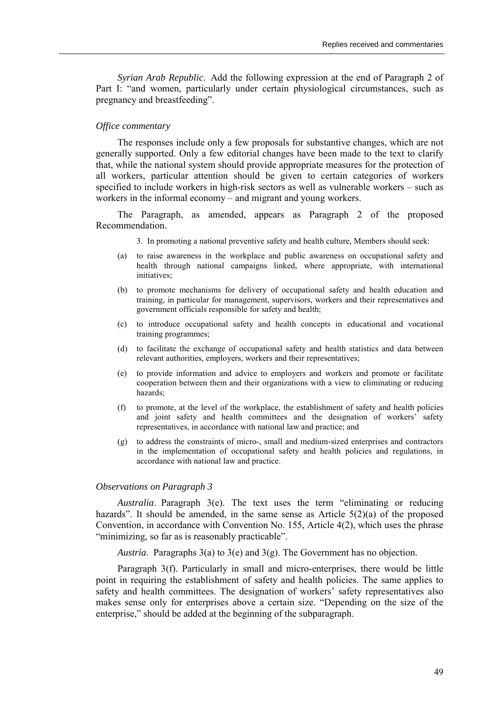*Syrian Arab Republic*. Add the following expression at the end of Paragraph 2 of Part I: "and women, particularly under certain physiological circumstances, such as pregnancy and breastfeeding".

# *Office commentary*

The responses include only a few proposals for substantive changes, which are not generally supported. Only a few editorial changes have been made to the text to clarify that, while the national system should provide appropriate measures for the protection of all workers, particular attention should be given to certain categories of workers specified to include workers in high-risk sectors as well as vulnerable workers  $-$  such as workers in the informal economy – and migrant and young workers.

The Paragraph, as amended, appears as Paragraph 2 of the proposed Recommendation.

3. In promoting a national preventive safety and health culture, Members should seek:

- (a) to raise awareness in the workplace and public awareness on occupational safety and health through national campaigns linked, where appropriate, with international initiatives;
- (b) to promote mechanisms for delivery of occupational safety and health education and training, in particular for management, supervisors, workers and their representatives and government officials responsible for safety and health;
- (c) to introduce occupational safety and health concepts in educational and vocational training programmes;
- (d) to facilitate the exchange of occupational safety and health statistics and data between relevant authorities, employers, workers and their representatives;
- (e) to provide information and advice to employers and workers and promote or facilitate cooperation between them and their organizations with a view to eliminating or reducing hazards;
- (f) to promote, at the level of the workplace, the establishment of safety and health policies and joint safety and health committees and the designation of workers' safety representatives, in accordance with national law and practice; and
- (g) to address the constraints of micro-, small and medium-sized enterprises and contractors in the implementation of occupational safety and health policies and regulations, in accordance with national law and practice.

#### *Observations on Paragraph 3*

*Australia*. Paragraph 3(e). The text uses the term "eliminating or reducing hazards". It should be amended, in the same sense as Article  $5(2)(a)$  of the proposed Convention, in accordance with Convention No. 155, Article 4(2), which uses the phrase "minimizing, so far as is reasonably practicable".

*Austria*. Paragraphs 3(a) to 3(e) and 3(g). The Government has no objection.

Paragraph 3(f). Particularly in small and micro-enterprises, there would be little point in requiring the establishment of safety and health policies. The same applies to safety and health committees. The designation of workers' safety representatives also makes sense only for enterprises above a certain size. "Depending on the size of the enterprise," should be added at the beginning of the subparagraph.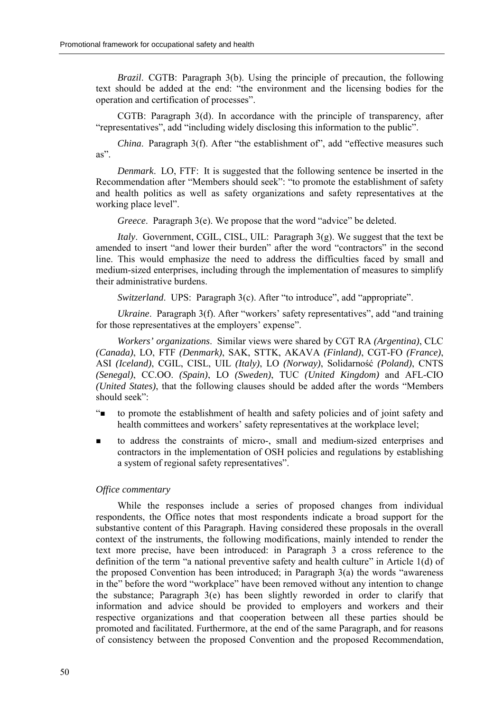*Brazil*. CGTB: Paragraph 3(b). Using the principle of precaution, the following text should be added at the end: "the environment and the licensing bodies for the operation and certification of processes".

CGTB: Paragraph 3(d). In accordance with the principle of transparency, after *i* representatives", add "including widely disclosing this information to the public".

*China*. Paragraph 3(f). After "the establishment of", add "effective measures such as"

*Denmark*. LO, FTF: It is suggested that the following sentence be inserted in the Recommendation after "Members should seek": "to promote the establishment of safety and health politics as well as safety organizations and safety representatives at the working place level".

*Greece.* Paragraph 3(e). We propose that the word "advice" be deleted.

*Italy*. Government, CGIL, CISL, UIL: Paragraph 3(g). We suggest that the text be amended to insert "and lower their burden" after the word "contractors" in the second line. This would emphasize the need to address the difficulties faced by small and medium-sized enterprises, including through the implementation of measures to simplify their administrative burdens.

*Switzerland.* UPS: Paragraph 3(c). After "to introduce", add "appropriate".

*Ukraine.* Paragraph 3(f). After "workers' safety representatives", add "and training for those representatives at the employers' expense".

*Workers' organizations*. Similar views were shared by CGT RA *(Argentina)*, CLC *(Canada)*, LO, FTF *(Denmark)*, SAK, STTK, AKAVA *(Finland)*, CGT-FO *(France)*, ASI *(Iceland)*, CGIL, CISL, UIL *(Italy)*, LO *(Norway)*, Solidarność *(Poland)*, CNTS *(Senegal)*, CC.OO. *(Spain)*, LO *(Sweden)*, TUC *(United Kingdom)* and AFL-CIO *(United States)*, that the following clauses should be added after the words "Members" should seek $"$ 

- ì! to promote the establishment of health and safety policies and of joint safety and health committees and workers' safety representatives at the workplace level;
- ! to address the constraints of micro-, small and medium-sized enterprises and contractors in the implementation of OSH policies and regulations by establishing a system of regional safety representatives".

# *Office commentary*

While the responses include a series of proposed changes from individual respondents, the Office notes that most respondents indicate a broad support for the substantive content of this Paragraph. Having considered these proposals in the overall context of the instruments, the following modifications, mainly intended to render the text more precise, have been introduced: in Paragraph 3 a cross reference to the definition of the term "a national preventive safety and health culture" in Article  $1(d)$  of the proposed Convention has been introduced; in Paragraph  $3(a)$  the words "awareness" in the" before the word "workplace" have been removed without any intention to change the substance; Paragraph 3(e) has been slightly reworded in order to clarify that information and advice should be provided to employers and workers and their respective organizations and that cooperation between all these parties should be promoted and facilitated. Furthermore, at the end of the same Paragraph, and for reasons of consistency between the proposed Convention and the proposed Recommendation,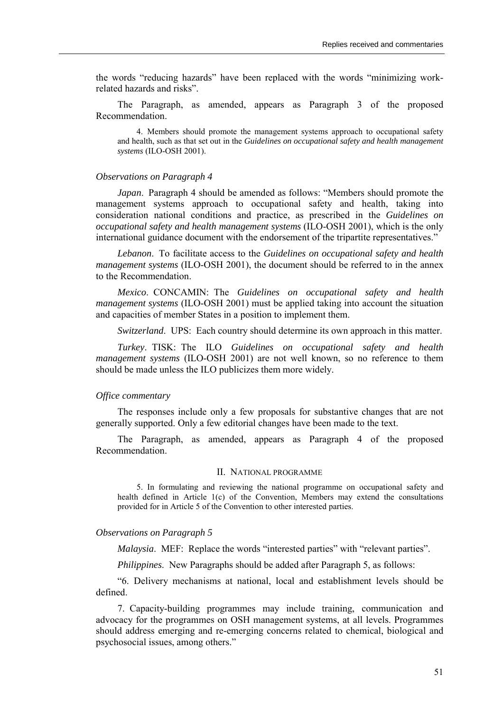the words "reducing hazards" have been replaced with the words "minimizing workrelated hazards and risks".

The Paragraph, as amended, appears as Paragraph 3 of the proposed Recommendation.

4. Members should promote the management systems approach to occupational safety and health, such as that set out in the *Guidelines on occupational safety and health management systems* (ILO-OSH 2001).

#### *Observations on Paragraph 4*

*Japan*. Paragraph 4 should be amended as follows: "Members should promote the management systems approach to occupational safety and health, taking into consideration national conditions and practice, as prescribed in the *Guidelines on occupational safety and health management systems* (ILO-OSH 2001), which is the only international guidance document with the endorsement of the tripartite representatives."

*Lebanon*. To facilitate access to the *Guidelines on occupational safety and health management systems* (ILO-OSH 2001), the document should be referred to in the annex to the Recommendation.

*Mexico*. CONCAMIN: The *Guidelines on occupational safety and health management systems* (ILO-OSH 2001) must be applied taking into account the situation and capacities of member States in a position to implement them.

*Switzerland*. UPS: Each country should determine its own approach in this matter.

*Turkey*. TISK: The ILO *Guidelines on occupational safety and health management systems* (ILO-OSH 2001) are not well known, so no reference to them should be made unless the ILO publicizes them more widely.

# *Office commentary*

The responses include only a few proposals for substantive changes that are not generally supported. Only a few editorial changes have been made to the text.

The Paragraph, as amended, appears as Paragraph 4 of the proposed Recommendation.

#### II. NATIONAL PROGRAMME

5. In formulating and reviewing the national programme on occupational safety and health defined in Article 1(c) of the Convention, Members may extend the consultations provided for in Article 5 of the Convention to other interested parties.

#### *Observations on Paragraph 5*

*Malaysia.* MEF: Replace the words "interested parties" with "relevant parties".

*Philippines*. New Paragraphs should be added after Paragraph 5, as follows:

ì6. Delivery mechanisms at national, local and establishment levels should be defined.

7. Capacity-building programmes may include training, communication and advocacy for the programmes on OSH management systems, at all levels. Programmes should address emerging and re-emerging concerns related to chemical, biological and psychosocial issues, among others."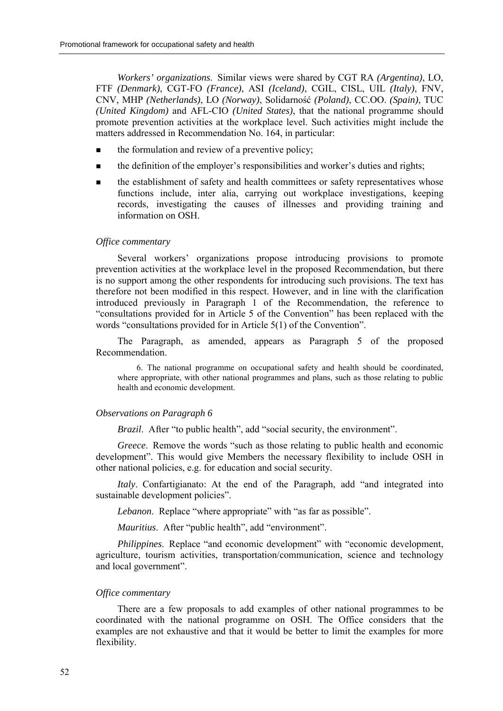*Workers' organizations*. Similar views were shared by CGT RA *(Argentina)*, LO, FTF *(Denmark)*, CGT-FO *(France)*, ASI *(Iceland)*, CGIL, CISL, UIL *(Italy)*, FNV, CNV, MHP *(Netherlands)*, LO *(Norway)*, Solidarność *(Poland)*, CC.OO. *(Spain)*, TUC *(United Kingdom)* and AFL-CIO *(United States)*, that the national programme should promote prevention activities at the workplace level. Such activities might include the matters addressed in Recommendation No. 164, in particular:

- the formulation and review of a preventive policy;
- the definition of the employer's responsibilities and worker's duties and rights;
- ! the establishment of safety and health committees or safety representatives whose functions include, inter alia, carrying out workplace investigations, keeping records, investigating the causes of illnesses and providing training and information on OSH.

#### *Office commentary*

Several workers' organizations propose introducing provisions to promote prevention activities at the workplace level in the proposed Recommendation, but there is no support among the other respondents for introducing such provisions. The text has therefore not been modified in this respect. However, and in line with the clarification introduced previously in Paragraph 1 of the Recommendation, the reference to ìconsultations provided for in Article 5 of the Conventionî has been replaced with the words "consultations provided for in Article  $5(1)$  of the Convention".

The Paragraph, as amended, appears as Paragraph 5 of the proposed Recommendation.

6. The national programme on occupational safety and health should be coordinated, where appropriate, with other national programmes and plans, such as those relating to public health and economic development.

## *Observations on Paragraph 6*

*Brazil.* After "to public health", add "social security, the environment".

*Greece*. Remove the words "such as those relating to public health and economic development". This would give Members the necessary flexibility to include OSH in other national policies, e.g. for education and social security.

*Italy*. Confartigianato: At the end of the Paragraph, add "and integrated into sustainable development policies".

*Lebanon*. Replace "where appropriate" with "as far as possible".

*Mauritius.* After "public health", add "environment".

*Philippines*. Replace "and economic development" with "economic development, agriculture, tourism activities, transportation/communication, science and technology and local government".

# *Office commentary*

There are a few proposals to add examples of other national programmes to be coordinated with the national programme on OSH. The Office considers that the examples are not exhaustive and that it would be better to limit the examples for more flexibility.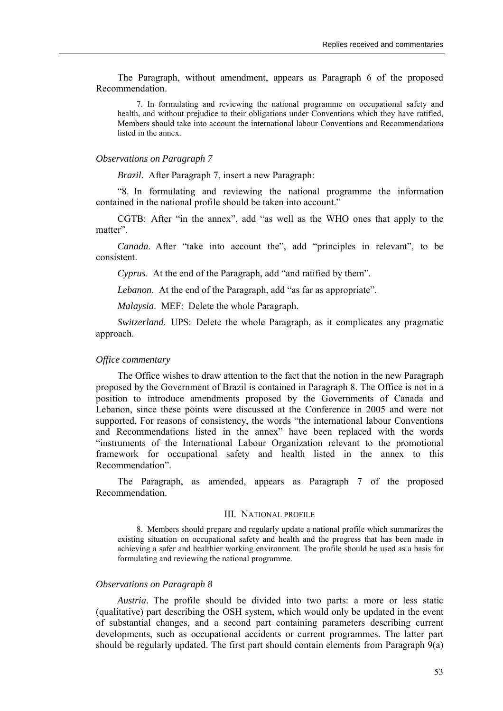The Paragraph, without amendment, appears as Paragraph 6 of the proposed Recommendation.

7. In formulating and reviewing the national programme on occupational safety and health, and without prejudice to their obligations under Conventions which they have ratified, Members should take into account the international labour Conventions and Recommendations listed in the annex.

#### *Observations on Paragraph 7*

*Brazil*. After Paragraph 7, insert a new Paragraph:

ì8. In formulating and reviewing the national programme the information contained in the national profile should be taken into account."

CGTB: After "in the annex", add "as well as the WHO ones that apply to the matter".

*Canada*. After "take into account the", add "principles in relevant", to be consistent.

*Cyprus.* At the end of the Paragraph, add "and ratified by them".

*Lebanon*. At the end of the Paragraph, add "as far as appropriate".

*Malaysia*. MEF: Delete the whole Paragraph.

*Switzerland*. UPS: Delete the whole Paragraph, as it complicates any pragmatic approach.

#### *Office commentary*

The Office wishes to draw attention to the fact that the notion in the new Paragraph proposed by the Government of Brazil is contained in Paragraph 8. The Office is not in a position to introduce amendments proposed by the Governments of Canada and Lebanon, since these points were discussed at the Conference in 2005 and were not supported. For reasons of consistency, the words "the international labour Conventions" and Recommendations listed in the annex<sup>"</sup> have been replaced with the words ìinstruments of the International Labour Organization relevant to the promotional framework for occupational safety and health listed in the annex to this Recommendation".

The Paragraph, as amended, appears as Paragraph 7 of the proposed Recommendation.

#### III. NATIONAL PROFILE

8. Members should prepare and regularly update a national profile which summarizes the existing situation on occupational safety and health and the progress that has been made in achieving a safer and healthier working environment. The profile should be used as a basis for formulating and reviewing the national programme.

## *Observations on Paragraph 8*

*Austria*. The profile should be divided into two parts: a more or less static (qualitative) part describing the OSH system, which would only be updated in the event of substantial changes, and a second part containing parameters describing current developments, such as occupational accidents or current programmes. The latter part should be regularly updated. The first part should contain elements from Paragraph 9(a)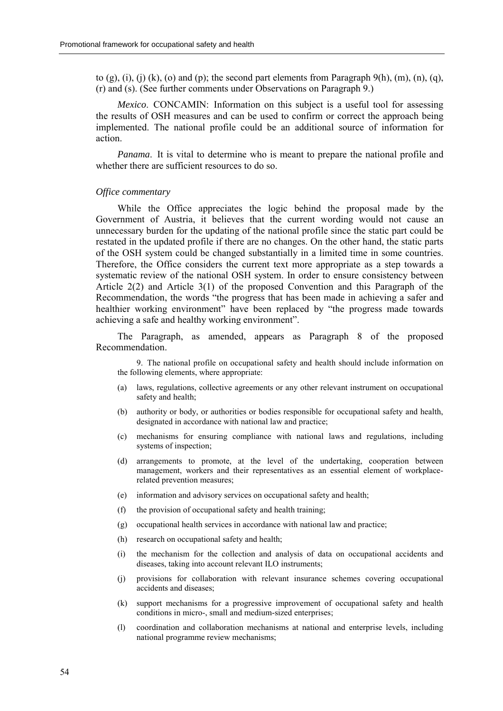to (g), (i), (j) (k), (o) and (p); the second part elements from Paragraph  $9(h)$ , (m), (n), (q), (r) and (s). (See further comments under Observations on Paragraph 9.)

*Mexico*. CONCAMIN: Information on this subject is a useful tool for assessing the results of OSH measures and can be used to confirm or correct the approach being implemented. The national profile could be an additional source of information for action.

*Panama*. It is vital to determine who is meant to prepare the national profile and whether there are sufficient resources to do so.

#### *Office commentary*

While the Office appreciates the logic behind the proposal made by the Government of Austria, it believes that the current wording would not cause an unnecessary burden for the updating of the national profile since the static part could be restated in the updated profile if there are no changes. On the other hand, the static parts of the OSH system could be changed substantially in a limited time in some countries. Therefore, the Office considers the current text more appropriate as a step towards a systematic review of the national OSH system. In order to ensure consistency between Article 2(2) and Article 3(1) of the proposed Convention and this Paragraph of the Recommendation, the words "the progress that has been made in achieving a safer and healthier working environment" have been replaced by "the progress made towards achieving a safe and healthy working environment".

The Paragraph, as amended, appears as Paragraph 8 of the proposed Recommendation.

9. The national profile on occupational safety and health should include information on the following elements, where appropriate:

- (a) laws, regulations, collective agreements or any other relevant instrument on occupational safety and health;
- (b) authority or body, or authorities or bodies responsible for occupational safety and health, designated in accordance with national law and practice;
- (c) mechanisms for ensuring compliance with national laws and regulations, including systems of inspection;
- (d) arrangements to promote, at the level of the undertaking, cooperation between management, workers and their representatives as an essential element of workplacerelated prevention measures;
- (e) information and advisory services on occupational safety and health;
- (f) the provision of occupational safety and health training;
- (g) occupational health services in accordance with national law and practice;
- (h) research on occupational safety and health;
- (i) the mechanism for the collection and analysis of data on occupational accidents and diseases, taking into account relevant ILO instruments;
- (j) provisions for collaboration with relevant insurance schemes covering occupational accidents and diseases;
- (k) support mechanisms for a progressive improvement of occupational safety and health conditions in micro-, small and medium-sized enterprises;
- (l) coordination and collaboration mechanisms at national and enterprise levels, including national programme review mechanisms;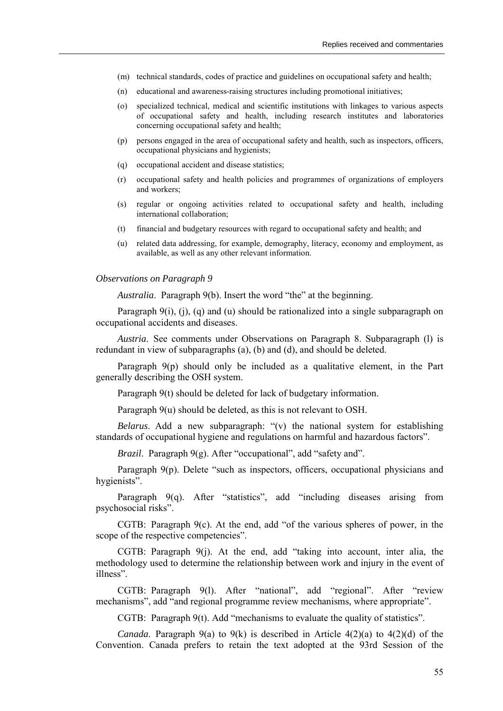- (m) technical standards, codes of practice and guidelines on occupational safety and health;
- (n) educational and awareness-raising structures including promotional initiatives;
- (o) specialized technical, medical and scientific institutions with linkages to various aspects of occupational safety and health, including research institutes and laboratories concerning occupational safety and health;
- (p) persons engaged in the area of occupational safety and health, such as inspectors, officers, occupational physicians and hygienists;
- (q) occupational accident and disease statistics;
- (r) occupational safety and health policies and programmes of organizations of employers and workers;
- (s) regular or ongoing activities related to occupational safety and health, including international collaboration;
- (t) financial and budgetary resources with regard to occupational safety and health; and
- (u) related data addressing, for example, demography, literacy, economy and employment, as available, as well as any other relevant information.

#### *Observations on Paragraph 9*

*Australia*. Paragraph 9(b). Insert the word "the" at the beginning.

Paragraph 9(i), (j), (q) and (u) should be rationalized into a single subparagraph on occupational accidents and diseases.

*Austria*. See comments under Observations on Paragraph 8. Subparagraph (l) is redundant in view of subparagraphs (a), (b) and (d), and should be deleted.

Paragraph 9(p) should only be included as a qualitative element, in the Part generally describing the OSH system.

Paragraph 9(t) should be deleted for lack of budgetary information.

Paragraph 9(u) should be deleted, as this is not relevant to OSH.

*Belarus*. Add a new subparagraph:  $\circ$ (v) the national system for establishing standards of occupational hygiene and regulations on harmful and hazardous factors".

*Brazil.* Paragraph 9(g). After "occupational", add "safety and".

Paragraph  $9(p)$ . Delete "such as inspectors, officers, occupational physicians and hygienists".

Paragraph  $9(q)$ . After "statistics", add "including diseases arising from psychosocial risks".

CGTB: Paragraph  $9(c)$ . At the end, add "of the various spheres of power, in the scope of the respective competencies".

CGTB: Paragraph  $9(i)$ . At the end, add "taking into account, inter alia, the methodology used to determine the relationship between work and injury in the event of illness".

CGTB: Paragraph 9(1). After "national", add "regional". After "review mechanisms", add "and regional programme review mechanisms, where appropriate".

 $CGTB:$  Paragraph  $9(t)$ . Add "mechanisms to evaluate the quality of statistics".

*Canada*. Paragraph 9(a) to 9(k) is described in Article 4(2)(a) to 4(2)(d) of the Convention. Canada prefers to retain the text adopted at the 93rd Session of the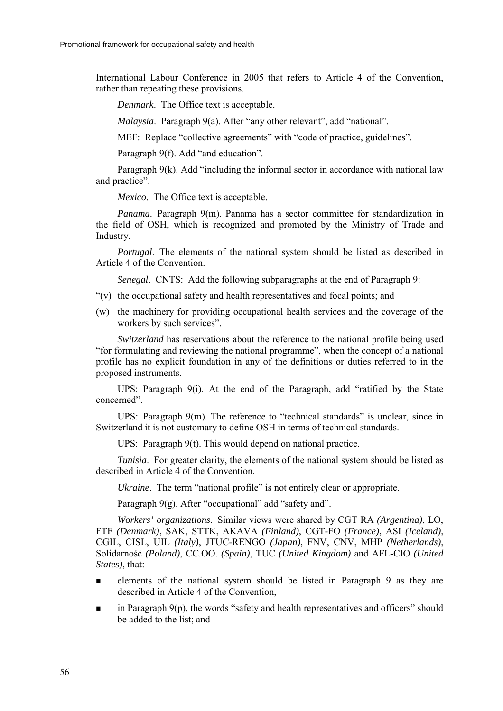International Labour Conference in 2005 that refers to Article 4 of the Convention, rather than repeating these provisions.

*Denmark*. The Office text is acceptable.

*Malaysia*. Paragraph 9(a). After "any other relevant", add "national".

MEF: Replace "collective agreements" with "code of practice, guidelines".

Paragraph 9(f). Add "and education".

Paragraph  $9(k)$ . Add "including the informal sector in accordance with national law and practice".

*Mexico*. The Office text is acceptable.

*Panama*. Paragraph 9(m). Panama has a sector committee for standardization in the field of OSH, which is recognized and promoted by the Ministry of Trade and Industry.

*Portugal*. The elements of the national system should be listed as described in Article 4 of the Convention.

*Senegal*. CNTS: Add the following subparagraphs at the end of Paragraph 9:

- $\hat{v}(v)$  the occupational safety and health representatives and focal points; and
- (w) the machinery for providing occupational health services and the coverage of the workers by such services".

*Switzerland* has reservations about the reference to the national profile being used "for formulating and reviewing the national programme", when the concept of a national profile has no explicit foundation in any of the definitions or duties referred to in the proposed instruments.

UPS: Paragraph  $9(i)$ . At the end of the Paragraph, add "ratified by the State" concerned".

UPS: Paragraph  $9(m)$ . The reference to "technical standards" is unclear, since in Switzerland it is not customary to define OSH in terms of technical standards.

UPS: Paragraph 9(t). This would depend on national practice.

*Tunisia.* For greater clarity, the elements of the national system should be listed as described in Article 4 of the Convention.

*Ukraine*. The term "national profile" is not entirely clear or appropriate.

Paragraph  $9(g)$ . After "occupational" add "safety and".

*Workers' organizations*. Similar views were shared by CGT RA *(Argentina)*, LO, FTF *(Denmark)*, SAK, STTK, AKAVA *(Finland)*, CGT-FO *(France)*, ASI *(Iceland)*, CGIL, CISL, UIL *(Italy)*, JTUC-RENGO *(Japan)*, FNV, CNV, MHP *(Netherlands)*, Solidarność *(Poland)*, CC.OO. *(Spain)*, TUC *(United Kingdom)* and AFL-CIO *(United States)*, that:

- ! elements of the national system should be listed in Paragraph 9 as they are described in Article 4 of the Convention,
- $\blacksquare$  in Paragraph 9(p), the words "safety and health representatives and officers" should be added to the list; and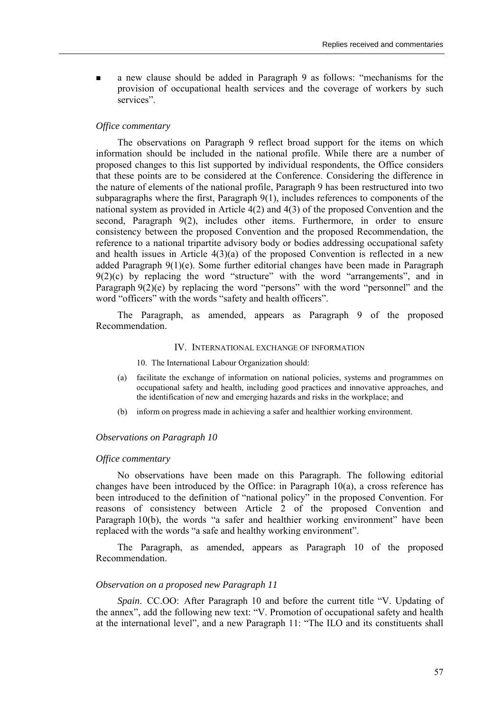**u** a new clause should be added in Paragraph 9 as follows: "mechanisms for the provision of occupational health services and the coverage of workers by such services"

# *Office commentary*

The observations on Paragraph 9 reflect broad support for the items on which information should be included in the national profile. While there are a number of proposed changes to this list supported by individual respondents, the Office considers that these points are to be considered at the Conference. Considering the difference in the nature of elements of the national profile, Paragraph 9 has been restructured into two subparagraphs where the first, Paragraph 9(1), includes references to components of the national system as provided in Article 4(2) and 4(3) of the proposed Convention and the second, Paragraph 9(2), includes other items. Furthermore, in order to ensure consistency between the proposed Convention and the proposed Recommendation, the reference to a national tripartite advisory body or bodies addressing occupational safety and health issues in Article  $4(3)(a)$  of the proposed Convention is reflected in a new added Paragraph 9(1)(e). Some further editorial changes have been made in Paragraph  $9(2)(c)$  by replacing the word "structure" with the word "arrangements", and in Paragraph  $9(2)(e)$  by replacing the word "persons" with the word "personnel" and the word "officers" with the words "safety and health officers".

The Paragraph, as amended, appears as Paragraph 9 of the proposed Recommendation.

# IV. INTERNATIONAL EXCHANGE OF INFORMATION

10. The International Labour Organization should:

- (a) facilitate the exchange of information on national policies, systems and programmes on occupational safety and health, including good practices and innovative approaches, and the identification of new and emerging hazards and risks in the workplace; and
- (b) inform on progress made in achieving a safer and healthier working environment.

#### *Observations on Paragraph 10*

#### *Office commentary*

No observations have been made on this Paragraph. The following editorial changes have been introduced by the Office: in Paragraph  $10(a)$ , a cross reference has been introduced to the definition of "national policy" in the proposed Convention. For reasons of consistency between Article 2 of the proposed Convention and Paragraph  $10(b)$ , the words "a safer and healthier working environment" have been replaced with the words "a safe and healthy working environment".

The Paragraph, as amended, appears as Paragraph 10 of the proposed Recommendation.

#### *Observation on a proposed new Paragraph 11*

*Spain.* CC.OO: After Paragraph 10 and before the current title "V. Updating of the annex", add the following new text: "V. Promotion of occupational safety and health at the international level", and a new Paragraph 11: "The ILO and its constituents shall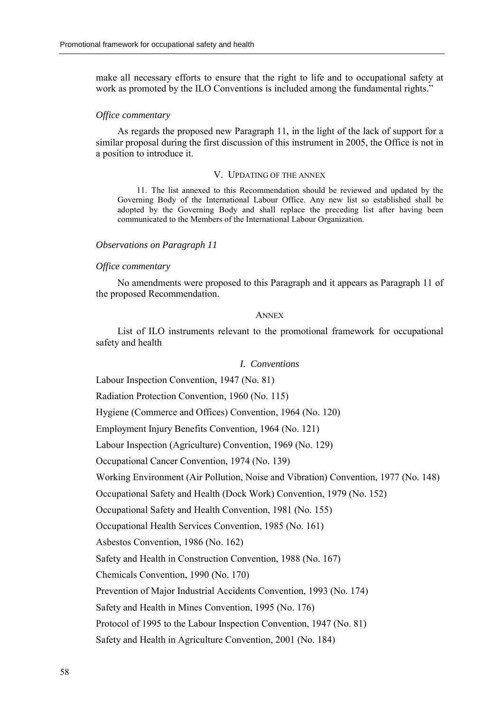make all necessary efforts to ensure that the right to life and to occupational safety at work as promoted by the ILO Conventions is included among the fundamental rights.<sup>"</sup>

#### *Office commentary*

As regards the proposed new Paragraph 11, in the light of the lack of support for a similar proposal during the first discussion of this instrument in 2005, the Office is not in a position to introduce it.

# V. UPDATING OF THE ANNEX

11. The list annexed to this Recommendation should be reviewed and updated by the Governing Body of the International Labour Office. Any new list so established shall be adopted by the Governing Body and shall replace the preceding list after having been communicated to the Members of the International Labour Organization.

# *Observations on Paragraph 11*

#### *Office commentary*

No amendments were proposed to this Paragraph and it appears as Paragraph 11 of the proposed Recommendation.

#### **ANNEX**

List of ILO instruments relevant to the promotional framework for occupational safety and health

# *I. Conventions*

Labour Inspection Convention, 1947 (No. 81)

Radiation Protection Convention, 1960 (No. 115)

Hygiene (Commerce and Offices) Convention, 1964 (No. 120)

Employment Injury Benefits Convention, 1964 (No. 121)

Labour Inspection (Agriculture) Convention, 1969 (No. 129)

Occupational Cancer Convention, 1974 (No. 139)

Working Environment (Air Pollution, Noise and Vibration) Convention, 1977 (No. 148)

Occupational Safety and Health (Dock Work) Convention, 1979 (No. 152)

Occupational Safety and Health Convention, 1981 (No. 155)

Occupational Health Services Convention, 1985 (No. 161)

Asbestos Convention, 1986 (No. 162)

Safety and Health in Construction Convention, 1988 (No. 167)

Chemicals Convention, 1990 (No. 170)

Prevention of Major Industrial Accidents Convention, 1993 (No. 174)

Safety and Health in Mines Convention, 1995 (No. 176)

Protocol of 1995 to the Labour Inspection Convention, 1947 (No. 81)

Safety and Health in Agriculture Convention, 2001 (No. 184)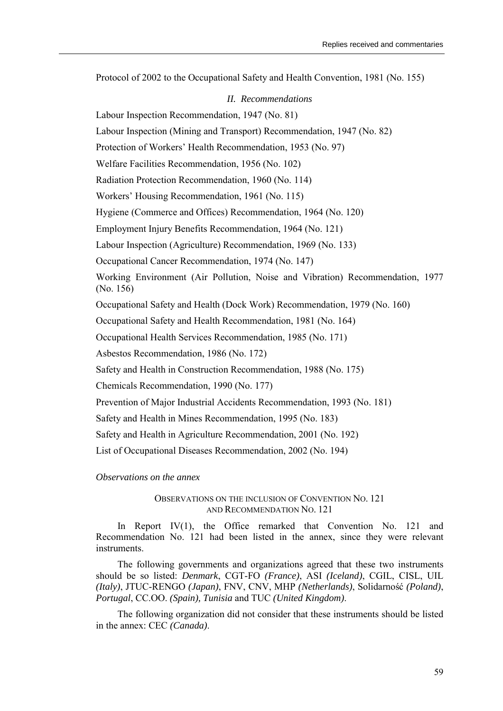Protocol of 2002 to the Occupational Safety and Health Convention, 1981 (No. 155)

# *II. Recommendations*

Labour Inspection Recommendation, 1947 (No. 81)

Labour Inspection (Mining and Transport) Recommendation, 1947 (No. 82)

Protection of Workers' Health Recommendation, 1953 (No. 97)

Welfare Facilities Recommendation, 1956 (No. 102)

Radiation Protection Recommendation, 1960 (No. 114)

Workers' Housing Recommendation, 1961 (No. 115)

Hygiene (Commerce and Offices) Recommendation, 1964 (No. 120)

Employment Injury Benefits Recommendation, 1964 (No. 121)

Labour Inspection (Agriculture) Recommendation, 1969 (No. 133)

Occupational Cancer Recommendation, 1974 (No. 147)

Working Environment (Air Pollution, Noise and Vibration) Recommendation, 1977 (No. 156)

Occupational Safety and Health (Dock Work) Recommendation, 1979 (No. 160)

Occupational Safety and Health Recommendation, 1981 (No. 164)

Occupational Health Services Recommendation, 1985 (No. 171)

Asbestos Recommendation, 1986 (No. 172)

Safety and Health in Construction Recommendation, 1988 (No. 175)

Chemicals Recommendation, 1990 (No. 177)

Prevention of Major Industrial Accidents Recommendation, 1993 (No. 181)

Safety and Health in Mines Recommendation, 1995 (No. 183)

Safety and Health in Agriculture Recommendation, 2001 (No. 192)

List of Occupational Diseases Recommendation, 2002 (No. 194)

*Observations on the annex* 

# OBSERVATIONS ON THE INCLUSION OF CONVENTION NO. 121 AND RECOMMENDATION NO. 121

In Report IV(1), the Office remarked that Convention No. 121 and Recommendation No. 121 had been listed in the annex, since they were relevant instruments.

The following governments and organizations agreed that these two instruments should be so listed: *Denmark*, CGT-FO *(France)*, ASI *(Iceland)*, CGIL, CISL, UIL *(Italy)*, JTUC-RENGO *(Japan)*, FNV, CNV, MHP *(Netherlands)*, Solidarność *(Poland)*, *Portugal*, CC.OO. *(Spain), Tunisia* and TUC *(United Kingdom)*.

The following organization did not consider that these instruments should be listed in the annex: CEC *(Canada)*.